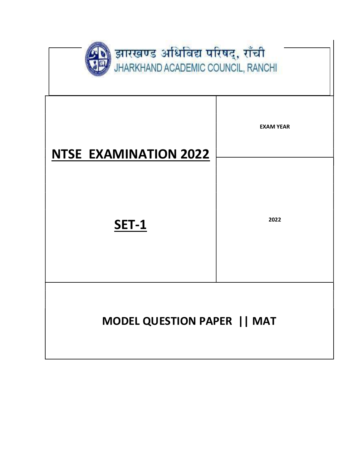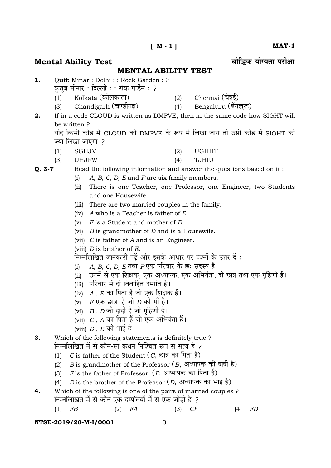# **Mental Ability Test §……Ë r˘EÚ ™……‰M™…i…… {…Æ˙"I……**

# **MENTAL ABILITY TEST**

- **1.** Outb Minar : Delhi : : Rock Garden : ? कतब मीनार : दिल्ली : : रॉक गार्डेन : ?
	- (1) Kolkata (कोलकाता) (2) Chennai (चेन्नई)
	- (3) Chandigarh (चण्डीगढ़) (4) Bengaluru (बेंगलुरू)
- **2.** If in a code CLOUD is written as DMPVE, then in the same code how SIGHT will be written ?

यदि किसी कोड में CLOUD को DMPVE के रूप में लिखा जाय तो उसी कोड़ में SIGHT को क्या लिखा जाएगा ?

- (1) SGHJV (2) UGHHT
- (3) UHJFW (4) TJHIU

- **Q. 3-7** Read the following information and answer the questions based on it:
	- (i) *A, B, C, D, E* and *F* are six family members.
	- (ii) There is one Teacher, one Professor, one Engineer, two Students and one Housewife.
	- (iii) There are two married couples in the family.
	- (iv) *A* who is a Teacher is father of *E*.
	- (v) *F* is a Student and mother of *D*.
	- (vi) *B* is grandmother of *D* and is a Housewife.
	- (vii) *C* is father of *A* and is an Engineer.
	- (viii) *D* is brother of *E*.

<u>निम्नलिखित जानकारी पढें और इसके आधार पर प्रश्नों के उत्तर दें :</u>

- (i) *A, B, C, D, E* तथा *F* एक परिवार के छः सदस्य हैं।
- (ii) जनमें से एक शिक्षक, एक अध्यापक, एक अभियंता, दो छात्र तथा एक गृहिणी हैं।
- <u>(iii) परिवार में दो विवाहित दम्पति हैं।</u>
- (iv)  $A$ ,  $E$  का पिता हैं जो एक शिक्षक हैं।
- (v)  $F$  एक छात्रा है जो  $D$  की माँ है।
- (vi)  $B$ ,  $D$  की दादी है जो गृहिणी है।
- (vii) *C* , A का पिता हैं जो एक अभियंता हैं।
- (viii)  $D$  ,  $E$  की भाई है।
- **3.** Which of the following statements is definitely true ? निम्नलिखित में से कौन-सा कथन निश्चित रूप से सत्य है ?
	- (1)  $C$  is father of the Student  $(C, \overline{S} \overline{S})$
	- (2)  $B$  is grandmother of the Professor  $(B, 3^*$ ध्यापक की दादी है)
	- (3)  $F$  is the father of Professor  $(F, 3)$  अध्यापक का पिता हैं)
	- (4) *D* is the brother of the Professor  $(D, \mathcal{V})$  and  $\pi(\vec{r})$
- **4.** Which of the following is one of the pairs of married couples ? <u>निम्नलिखित में से कौन एक दम्पतियों में से एक जोडी है ?</u>
	- (1) *FB* (2) *FA* (3) *CF* (4) *FD*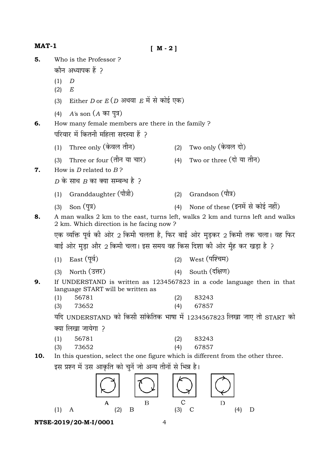**MAT-1 [ M - 2 ] 5.** Who is the Professor ? कौन अध्यापक हैं २ (1) *D* (2) *E* (3) Either *D* or  $E(D)$  अथवा  $E(\vec{H})$  कोई एक) (4) *A*'s son (*A* का पुत्र) **6.** How many female members are there in the family ? परिवार में कितनी महिला सदस्या हैं २ (1) Three only (केवल तीन)  $(2)$  Two only (केवल दो) (3) Three or four (तीन या चार)  $(4)$  Two or three (दो या तीन) **7.** How is *D* related to *B* ?  $D$  के साथ  $B$  का क्या सम्बन्ध है ?  $(1)$  Granddaughter  $(\vec{\eta}|\vec{\pi})$  (2) Grandson  $(\vec{\eta}|\vec{\pi})$ (3) Son  $(\overline{4})$  (4) None of these (इनमें से कोई नहीं) **8.** A man walks 2 km to the east, turns left, walks 2 km and turns left and walks 2 km. Which direction is he facing now ? एक व्यक्ति पूर्व की ओर  $\rm 2$  किमी चलता है, फिर बाईं ओर मुडकर  $\rm 2$  किमी तक चला। वह फिर बाईं ओर मुड़ा और 2 किमी चला। इस समय वह किस दिशा की ओर मुँह कर खड़ा है ? (1) East (पर्व) (2) West (पश्चिम) (3) North (उत्तर) (4) South (दक्षिण) **9.** If UNDERSTAND is written as 1234567823 in a code language then in that language START will be written as (1) 56781 (2) 83243 (3) 73652 (4) 67857 यदि UNDERSTAND को किसी सांकेतिक भाषा में 1234567823 लिखा जाए तो START को क्या लिखा जायेगा २ (1) 56781 (2) 83243 (3) 73652 (4) 67857 **10.** In this question, select the one figure which is different from the other three. इस प्रश्न में उस आकृति को चुनें जो अन्य तीनों से भिन्न है।  $\overline{B}$ D A (1) A (2) B (3) C (4) D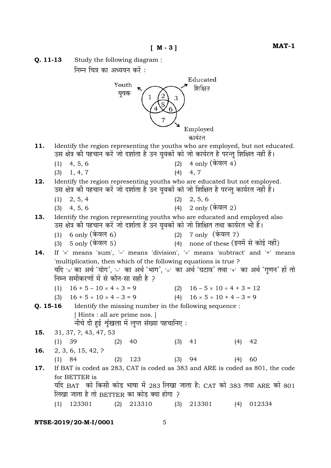**Q. 11-13** Study the following diagram :

<u>निम्न चित्र का अध्ययन करें :</u>

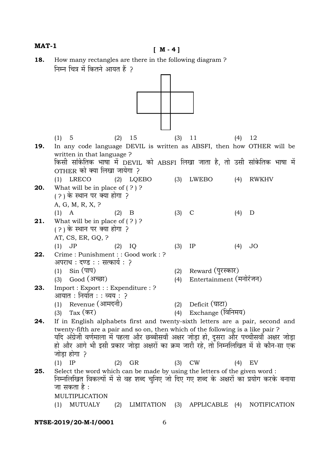# $[M - 4]$

How many rectangles are there in the following diagram ?<br>निम्न चित्र में कितने आयत हैं ? 18.  $\Box$ 

|     | 5<br>(1)                                                                        | (2)      | 15                | (3)     | 11                      | (4) | 12                                                                                         |
|-----|---------------------------------------------------------------------------------|----------|-------------------|---------|-------------------------|-----|--------------------------------------------------------------------------------------------|
| 19. | In any code language DEVIL is written as ABSFI, then how OTHER will be          |          |                   |         |                         |     |                                                                                            |
|     | written in that language?                                                       |          |                   |         |                         |     |                                                                                            |
|     |                                                                                 |          |                   |         |                         |     | किसी सांकेतिक भाषा में DEVIL को ABSFI लिखा जाता है, तो उसी सांकेतिक भाषा में               |
|     | OTHER को क्या लिखा जायेगा ?                                                     |          |                   |         |                         |     |                                                                                            |
|     | $(1)$ LRECO                                                                     |          | $(2)$ LQEBO       | (3)     | LWEBO                   | (4) | <b>RWKHV</b>                                                                               |
| 20. | What will be in place of $(?)$ ?<br>( ? ) के स्थान पर क्या होगा  ?              |          |                   |         |                         |     |                                                                                            |
|     | A, G, M, R, X, ?                                                                |          |                   |         |                         |     |                                                                                            |
|     | $(1)$ A                                                                         | $(2)$ B  |                   | $(3)$ C |                         | (4) | D                                                                                          |
| 21. | What will be in place of $(?)$ ?                                                |          |                   |         |                         |     |                                                                                            |
|     | ( ? ) के स्थान पर क्या होगा  ?                                                  |          |                   |         |                         |     |                                                                                            |
|     | AT, CS, ER, GQ, ?                                                               |          |                   |         |                         |     |                                                                                            |
|     | (1)<br>J <sub>P</sub>                                                           | $(2)$ IQ |                   | (3)     | IP                      | (4) | <b>JO</b>                                                                                  |
| 22. | Crime: Punishment:: Good work: ?<br>अपराध : दण्ड : : सत्कार्य : ?               |          |                   |         |                         |     |                                                                                            |
|     | $Sin(T\eta\Psi)$<br>(1)                                                         |          |                   | (2)     | Reward (पुरस्कार)       |     |                                                                                            |
|     | Good (अच्छा)<br>(3)                                                             |          |                   | (4)     | Entertainment (मनोरंजन) |     |                                                                                            |
| 23. | Import: Export: : Expenditure: ?                                                |          |                   |         |                         |     |                                                                                            |
|     | आयात : निर्यात : : व्यय : ?                                                     |          |                   |         |                         |     |                                                                                            |
|     | Revenue (आमदनी)<br>(1)                                                          |          |                   | (2)     | Deficit (घाटा)          |     |                                                                                            |
|     | Tax (कर)<br>(3)                                                                 |          |                   | (4)     | Exchange (विनिमय)       |     |                                                                                            |
| 24. | If in English alphabets first and twenty-sixth letters are a pair, second and   |          |                   |         |                         |     |                                                                                            |
|     | twenty-fifth are a pair and so on, then which of the following is a like pair ? |          |                   |         |                         |     | यदि अंग्रेजी वर्णमाला में पहला और छब्बीसवाँ अक्षर जोड़ा हो, दूसरा और पच्चीसवाँ अक्षर जोड़ा |
|     |                                                                                 |          |                   |         |                         |     | हो और आगे भी इसी प्रकार जोड़ा अक्षरों का क्रम जारी रहे, तो निम्नलिखित में से कौन-सा एक     |
|     | जोड़ा होगा ?                                                                    |          |                   |         |                         |     |                                                                                            |
|     | IP<br>(1)                                                                       | (2)      | GR                | (3)     | <b>CW</b>               | (4) | EV                                                                                         |
| 25. | Select the word which can be made by using the letters of the given word :      |          |                   |         |                         |     |                                                                                            |
|     | जा सकता है :                                                                    |          |                   |         |                         |     | निम्नलिखित विकल्पों में से वह शब्द चुनिए जो दिए गए शब्द के अक्षरों का प्रयोग करके बनाया    |
|     | MULTIPLICATION                                                                  |          |                   |         |                         |     |                                                                                            |
|     | <b>MUTUALY</b><br>(1)                                                           | (2)      | <b>LIMITATION</b> | (3)     | APPLICABLE              | (4) | <b>NOTIFICATION</b>                                                                        |
|     |                                                                                 |          |                   |         |                         |     |                                                                                            |

# NTSE-2019/20-M-I/0001

 $\sqrt{6}$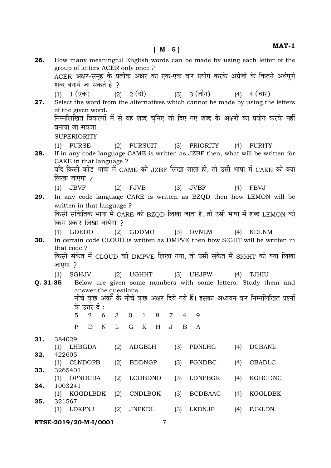$[M - 5]$ 

| 26.                                     |         | group of letters ACER only once?<br>शब्द बनाये जा सकते हैं ? |                                                  |             |     |                |                |             |                |     |                                          |     | How many meaningful English words can be made by using each letter of the<br>ACER अक्षर-समूह के प्रत्येक अक्षर का एक-एक बार प्रयोग करके अंग्रेजी के कितने अर्थपूर्ण       |  |
|-----------------------------------------|---------|--------------------------------------------------------------|--------------------------------------------------|-------------|-----|----------------|----------------|-------------|----------------|-----|------------------------------------------|-----|---------------------------------------------------------------------------------------------------------------------------------------------------------------------------|--|
| 27.                                     |         | $(1) 1$ (एक)<br>of the given word.                           |                                                  |             |     |                |                |             |                |     | $(2)$ 2 (दो) $(3)$ 3 (तीन) $(4)$ 4 (चार) |     | Select the word from the alternatives which cannot be made by using the letters<br>निम्नलिखित विकल्पों में से वह शब्द चूनिए जो दिए गए शब्द के अक्षरों का प्रयोग करके नहीं |  |
| 28.                                     |         | बनाया जा सकता<br><b>SUPERIORITY</b><br>$(1)$ PURSE           |                                                  |             |     |                |                |             |                |     |                                          |     | (2) PURSUIT (3) PRIORITY (4) PURITY<br>If in any code language CAME is written as JZBF then, what will be written for                                                     |  |
|                                         |         | CAKE in that language ?<br>लिखा जाएगा ?                      |                                                  |             |     |                |                |             |                |     |                                          |     | यदि किसी कोड भाषा में CAME को JZBF लिखा जाता हो, तो उसी भाषा में CAKE को क्या                                                                                             |  |
| 29.                                     | (1)     | <b>JBVF</b>                                                  |                                                  |             |     |                |                | $(2)$ FJVB  |                |     | $(3)$ JVBF                               | (4) | FBVJ<br>In any code language CARE is written as BZQD then how LEMON will be                                                                                               |  |
|                                         |         | written in that language?<br>किस प्रकार लिखा जायेगा ?        |                                                  |             |     |                |                |             |                |     |                                          |     | किसी सांकेतिक भाषा में CARE को BZQD लिखा जाता है, तो उसी भाषा में शब्द LEMON को                                                                                           |  |
| 30.                                     | (1)     | <b>GDEDO</b><br>that code?                                   |                                                  |             |     |                |                |             |                |     |                                          |     | (2) GDDMO (3) OVNLM (4) KDLNM<br>In certain code CLOUD is written as DMPVE then how SIGHT will be written in                                                              |  |
|                                         | जाएगा ? |                                                              |                                                  |             |     |                |                |             |                |     |                                          |     | किसी संकेत में CLOUD को DMPVE लिखा गया, तो उसी संकेत में SIGHT को क्या लिखा                                                                                               |  |
| $Q.31-35$                               | (1)     |                                                              | SGHJV<br>answer the questions :<br>के उत्तर दे : |             |     |                |                | $(2)$ UGHHT |                |     | $(3)$ UHJFW                              | (4) | <b>TJHIU</b><br>Below are given some numbers with some letters. Study them and<br>नीचे कुछ अंकों के नीचे कुछ अक्षर दिये गये हैं। इसका अध्ययन कर निम्नलिखित प्रश्नों       |  |
|                                         |         | 5                                                            | $\overline{2}$                                   | 6           | 3   | $\overline{0}$ | $\mathbf{1}$   | 8           | $\overline{7}$ | 4   | 9                                        |     |                                                                                                                                                                           |  |
|                                         |         | $\mathbf P$                                                  | D                                                | $\mathbb N$ | L   | $\mathbf G$    | $\rm K$        | H           | $\mathbf J$    | B   | A                                        |     |                                                                                                                                                                           |  |
| 31.                                     | 384029  | $(1)$ LHBGDA                                                 |                                                  |             | (2) |                | ADGBLH         |             |                | (3) | PDNLHG                                   | (4) | <b>DCBANL</b>                                                                                                                                                             |  |
| 32.                                     | 422605  | (1) CLNDOPB                                                  |                                                  |             | (2) |                | <b>BDDNGP</b>  |             |                | (3) | PGNDBC                                   | (4) | <b>CBADLC</b>                                                                                                                                                             |  |
| 33.                                     | 3265401 | (1) OPNDCBA                                                  |                                                  |             | (2) |                | <b>LCDBDNO</b> |             |                | (3) | <b>LDNPBGK</b>                           | (4) | KGBCDNC                                                                                                                                                                   |  |
| 34.                                     | 1003241 | (1) KGGDLBDK                                                 |                                                  |             | (2) |                | <b>CNDLBOK</b> |             |                | (3) | BCDBAAC                                  | (4) | KGGLDBK                                                                                                                                                                   |  |
| 35.                                     | 321567  | (1) LDKPNJ                                                   |                                                  |             | (2) |                | <b>JNPKDL</b>  |             |                | (3) | <b>LKDNJP</b>                            | (4) | <b>PJKLDN</b>                                                                                                                                                             |  |
| NTSE-2019/20-M-I/0001<br>$\overline{7}$ |         |                                                              |                                                  |             |     |                |                |             |                |     |                                          |     |                                                                                                                                                                           |  |

 $MAT-1$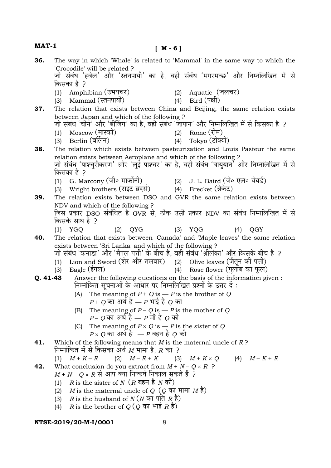**36.** The way in which 'Whale' is related to 'Mammal' in the same way to which the 'Crocodile' will be related ? जो संबंध 'ह्वेल' और 'स्तनपायी' का है, वही संबंध 'मगरमच्छ' और निम्नलिखित में से किसका है २ (1) Amphibian (उभयचर)  $(2)$  Aquatic (जलचर) (3) Mammal (स्तनपायी) (4) Bird (पक्षी) **37.** The relation that exists between China and Beijing, the same relation exists between Japan and which of the following ? जो संबंध 'चीन' और 'बीजिंग' का है, वही संबंध 'जापान' और निम्नलिखित में से किसका है ?  $(1)$  Moscow (मास्को)  $(2)$  Rome (रोम) (3) Berlin (बर्लिन) (4) Tokyo (टोक्यो) **38.** The relation which exists between pasteurization and Louis Pasteur the same relation exists between Aeroplane and which of the following ? जो संबंध 'पाश्चुरीकरण' और 'लुई पाश्चर' का है, वही संबंध 'वायुयान<sup>7</sup> और निम्नलिखित में से<br>किसका है ? (1) G. Marcony (जी० मार्कोनी) (2) J. L. Baird (जे० एल० बेयर्ड) (3) Wright brothers (राइट ब्रदर्स) (4) Brecket (ब्रेकेट) **39.** The relation exists between DSO and GVR the same relation exists between NDV and which of the following ? जिस प्रकार DSO संबंधित है GVR से, ठीक उसी प्रकार NDV का संबंध निम्नलिखित में से किसके साथ है ? (1) YGQ (2) QYG (3) YQG (4) QGY **40.** The relation that exists between 'Canada' and 'Maple leaves' the same relation exists between 'Sri Lanka' and which of the following ? जो संबंध 'कनाडा' और 'मैपल पत्ती' के बीच है, वही संबंध 'श्रीलंका' और किसके बीच है ? (1) Lion and Sword (शेर और तलवार) (2) Olive leaves (जैतन की पत्ती) (3) Eagle (ईगल)  $(4)$  Rose flower (गुलाब का फूल) **Q. 41-43** • Answer the following questions on the basis of the information given : निम्नांकित सूचनाओं के आधार पर निम्नलिखित प्रश्नों के उत्तर दें : (A) The meaning of  $P + Q$  is  $P$  is the brother of Q  $P$  +  $O$  का अर्थ है —  $P$  भाई है  $O$  का (B) The meaning of  $P - Q$  is  $P - P$  is the mother of  $Q$  $P - Q$  का अर्थ है — *P* माँ है *Q* की (C) The meaning of  $P \times Q$  is  $-P$  is the sister of Q  $P \times O$  का अर्थ है —  $P$  बहन है  $O$  की **41.** Which of the following means that *M* is the maternal uncle of *R* ? त्मिमांकित में से किसका अर्थ *M* मामा है, *R* का ? (1)  $M + K - R$  (2)  $M - R + K$  (3)  $M + K \times Q$  (4)  $M - K + R$ **42.** What conclusion do you extract from  $M + N - Q \times R$  ?  $M + N - Q \times R$  से आप क्या निष्कर्ष निकाल सकते हैं ? (1)  $R$  is the sister of  $N$  ( $R$  बहन है  $N$  की) (2) *M* is the maternal uncle of  $Q$  ( $Q$  का मामा  $M \gtrsim$ )  $(R)$  *R* is the husband of  $N(N \nabla \overline{R})$ (4)  $R$  is the brother of  $O$  ( $O$  का भाई  $R$  है)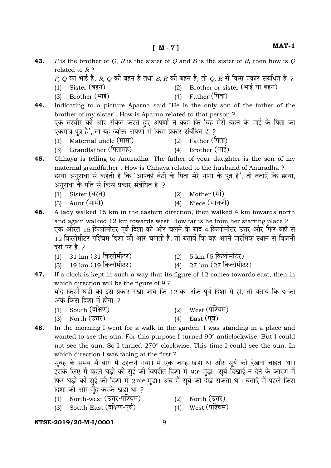#### $[M - 7]$

- P is the brother of Q, R is the sister of Q and S is the sister of R, then how is Q 43. related to  $R$ ?  $P$ ,  $Q$  का भाई है,  $R$ ,  $Q$  की बहन है तथा  $S$ ,  $R$  की बहन है, तो  $Q$ ,  $R$  से किस प्रकार संबंधित है ? (2) Brother or sister (भाई या बहन) Sister (बहन)  $(1)$ Brother (भाई) Father (पिता)  $(3)$  $(4)$ 44. Indicating to a picture Aparna said "He is the only son of the father of the brother of my sister". How is Aparna related to that person? एक तस्वीर की ओर संकेत करते हुए अपर्णा ने कहा कि 'वह मेरी बहन के भाई के पिता का एकमात्र पत्र है', तो यह व्यक्ति अपर्णा से किस प्रकार संबंधित है ? Father (पिता)  $(1)$  Maternal uncle  $($ HIHI $)$  $(2)$ Grandfather (पितामह)  $(4)$  Brother  $(\overline{415})$  $(3)$ 45. Chhaya is telling to Anuradha "The father of your daughter is the son of my maternal grandfather". How is Chhaya related to the husband of Anuradha? छाया अनुराधा से कहती है कि 'आपकी बेटी के पिता मेरे नाना के पुत्र हैं', तो बताएँ कि छाया, अनुराधा के पति से किस प्रकार संबंधित है ? Sister (बहन) (2) Mother  $(\vec{\pi})$  $(1)$ (4) Niece (भानजी)  $(3)$  Aunt  $(\overrightarrow{\text{H}}$ A lady walked 15 km in the eastern direction, then walked 4 km towards north 46. and again walked 12 km towards west. How far is he from her starting place ? एक औरत 15 किलोमीटर पूर्व दिशा की ओर चलने के बाद 4 किलोमीटर उत्तर और फिर वहाँ से  $12$  किलोमीटर पश्चिम दिशा की ओर चलती है. तो बतायें कि वह अपने प्रारंभिक स्थान से कितनी दरी पर है ? (2) 5 km (5 किलोमीटर)  $(1)$  31 km  $(31 \text{ }\overline{\text{}01})$ 19 km (19 किलोमीटर) (4) 27 km (27 किलोमीटर)  $(3)$ If a clock is kept in such a way that its figure of 12 comes towards east, then in 47. which direction will be the figure of 9? यदि किसी घड़ी को इस प्रकार रखा जाय कि 12 का अंक पर्व दिशा में हो, तो बतायें कि 9 का अंक किस दिशा में होगा ? South (दक्षिण) (2) West (पश्चिम)  $(1)$ (4) East (पूर्व) North (उत्तर)  $(3)$ In the morning I went for a walk in the garden. I was standing in a place and 48. wanted to see the sun. For this purpose I turned 90° anticlockwise. But I could not see the sun. So I turned 270° clockwise. This time I could see the sun. In which direction I was facing at the first? सुबह के समय मैं बाग में टहलने गया। मैं एक जगह खड़ा था और सूर्य को देखना चाहता था। इसके लिए मैं पहले घड़ी की सुई की विपरीत दिशा में 90° मुड़ा। सूर्य दिखाई न देने के कारण मैं फिर घड़ी की सुई की दिशा में 270° मुड़ा। अब मैं सूर्य को देख सकता था। बताएँ मैं पहले किस दिशा की ओर मुँह करके खड़ा था ? (1) North-west (उत्तर-पश्चिम)
	- South-East (दक्षिण-पूर्व)  $(3)$
- (2) North  $(3\pi)$
- (4) West (पश्चिम)

### NTSE-2019/20-M-I/0001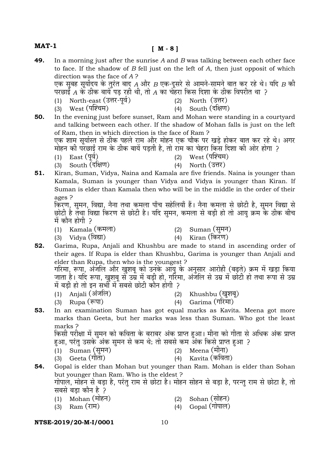### **[ M - 8 ]**

- **49.** In a morning just after the sunrise *A* and *B* was talking between each other face to face. If the shadow of *B* fell just on the left of *A*, then just opposit of which direction was the face of *A* ? एक सुबह सूर्योदय के तूरंत बाद A और B एक-दूसरे से आमने-सामने बात कर रहे थे। यदि B की  $\frac{d}{dx}$  सङ्ग हैं A के ठीक बायें पड़ रही थी, तो A का चेहरा किस दिशा के ठीक विपरीत था ? (1) North-east (उत्तर-पूर्व)  $(2)$  North (उत्तर) (3) West (पश्चिम) (4) South (दक्षिण) **50.** In the evening just before sunset, Ram and Mohan were standing in a courtyard and talking between each other. If the shadow of Mohan falls is just on the left of Ram, then in which direction is the face of Ram ? एक शाम सूर्यास्त से ठीक पहले राम और मोहन एक चौक पर खड़े होकर बात कर रहे थे। अगर मोहन की परछाईं राम के ठीक बायें पड़ती है, तो राम का चेहरा किस दिशा की ओर होगा ?  $(1)$  East  $({\rm T\dot{q}})$  (2) West  $({\rm T\dot{q}\dot{q}})$ (3) South (दक्षिण)  $(4)$  North (उत्तर) **51.** Kiran, Suman, Vidya, Naina and Kamala are five friends. Naina is younger than Kamala, Suman is younger than Vidya and Vidya is younger than Kiran. If Suman is elder than Kamala then who will be in the middle in the order of their ages ? किरण, सुमन, विद्या, नैना तथा कमला पाँच सहेलियाँ हैं। नैना कमला से छोटी है, सुमन विद्या से<br>छोटी है तथा विद्या किरण से छोटी है। यदि सुमन, कमला से बड़ी हो तो आयु क्रम के ठीक बीच<br>में कौन होगी ? (1) Kamala (कमला)  $(2)$  Suman (सुमन) (3) Vidya (विद्या)  $(4)$  Kiran (किरण) **52.** Garima, Rupa, Anjali and Khushbu are made to stand in ascending order of their ages. If Rupa is elder than Khushbu, Garima is younger than Anjali and elder than Rupa, then who is the youngest ? गरिमा, रूपा, अंजलि और खुशबू को उनके आयु के अनुसार आरोही (बढ़ते) क्रम में खड़ा किया<br>जाता है। यदि रूपा, खुशब से उम्र में बड़ी हो, गरिमा, अंजलि से उम्र में छोटी हो तथा रूपा से उम्र में बडी हो तो इन सभी में सबसे छोटी कौन होगी ? (1) Anjali (अञलि) → (2) Khushbu (खुशबू) (3) Rupa  $(\overline{\star} \overline{w})$  (4) Garima (गरिमा) **53.** In an examination Suman has got equal marks as Kavita. Meena got more marks than Geeta, but her marks was less than Suman. Who got the least marks ? किसी परीक्षा में सुमन को कविता के बराबर अंक प्राप्त हुआ। मीना को गीता से अधिक अंक प्राप्त<br>हुआ, परंतु उसके अंक सुमन से कम थे; तो सबसे कम अंक किसे प्राप्त हुआ ?<br>(1) Suman (समन)  $(1)$  Suman  $(\overline{H}H\overline{H})$  (2) (3) Geeta (गीता) (4) Kavita (कविता) **54.** Gopal is elder than Mohan but younger than Ram. Mohan is elder than Sohan but younger than Ram. Who is the eldest ? गोपाल, मोहन से बड़ा है, परंतु राम से छोटा है। मोहन सोहन से बड़ा है, परन्तु राम से छोटा है. तो
	- सबसे बड़ा कौन है ? (1) Mohan (मोहन) (2) Sohan (सोहन)
	- $(3)$  Ram (राम) (4) Gopal (गोपाल)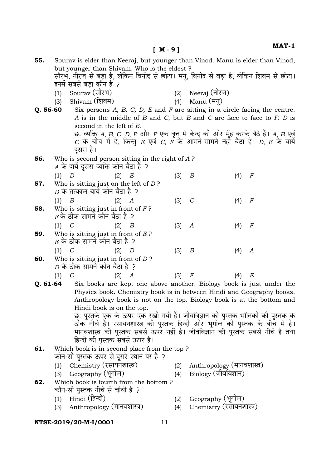| 55.       | Sourav is elder than Neeraj, but younger than Vinod. Manu is elder than Vinod, |                                                     |     |                                                    |     |                            |     |                                                                                                                                                                       |  |  |
|-----------|--------------------------------------------------------------------------------|-----------------------------------------------------|-----|----------------------------------------------------|-----|----------------------------|-----|-----------------------------------------------------------------------------------------------------------------------------------------------------------------------|--|--|
|           | but younger than Shivam. Who is the eldest?                                    |                                                     |     |                                                    |     |                            |     |                                                                                                                                                                       |  |  |
|           |                                                                                |                                                     |     |                                                    |     |                            |     | सौरभ, नीरज से बड़ा है, लेकिन विनोद से छोटा। मनु, विनोद से बड़ा है, लेकिन शिवम से छोटा।                                                                                |  |  |
|           |                                                                                | इनमें सबसे बड़ा कौन है ?                            |     |                                                    |     |                            |     |                                                                                                                                                                       |  |  |
|           | (1)                                                                            | Sourav (सौरभ)                                       |     |                                                    | (2) | Neeraj (नीरज)              |     |                                                                                                                                                                       |  |  |
|           | (3)                                                                            | Shivam (शिवम)                                       |     |                                                    | (4) | Manu (मन्)                 |     |                                                                                                                                                                       |  |  |
| $Q.56-60$ |                                                                                |                                                     |     |                                                    |     |                            |     | Six persons $A, B, C, D, E$ and $F$ are sitting in a circle facing the centre.                                                                                        |  |  |
|           | A is in the middle of B and C, but E and C are face to face to F. D is         |                                                     |     |                                                    |     |                            |     |                                                                                                                                                                       |  |  |
|           |                                                                                | second in the left of E.                            |     |                                                    |     |                            |     |                                                                                                                                                                       |  |  |
|           |                                                                                |                                                     |     |                                                    |     |                            |     | छः व्यक्ति A, B, C, D, E और F एक वृत्त में केन्द्र की ओर मुँह करके बैठे हैं। A, B एवं<br>C के बीच में है, किन्तु E एवं C, F के आमने-सामने नहीं बैठा है। D, E के बायें |  |  |
|           |                                                                                |                                                     |     |                                                    |     |                            |     |                                                                                                                                                                       |  |  |
|           |                                                                                | दूसरा है।                                           |     |                                                    |     |                            |     |                                                                                                                                                                       |  |  |
| 56.       |                                                                                |                                                     |     | Who is second person sitting in the right of $A$ ? |     |                            |     |                                                                                                                                                                       |  |  |
|           |                                                                                | $\overline{A}$ के दायें दूसरा व्यक्ति कौन बैठा है ? |     |                                                    |     |                            |     |                                                                                                                                                                       |  |  |
|           | (1)                                                                            | D                                                   | (2) | E                                                  | (3) | B                          | (4) | $_{\it F}$                                                                                                                                                            |  |  |
| 57.       |                                                                                | Who is sitting just on the left of $D$ ?            |     |                                                    |     |                            |     |                                                                                                                                                                       |  |  |
|           |                                                                                | $\overline{D}$ के तत्काल बायें कौन बैठा है ?        |     |                                                    |     |                            |     |                                                                                                                                                                       |  |  |
|           | (1)                                                                            | B                                                   | (2) | A                                                  | (3) | $\mathcal C$               | (4) | $_{\it F}$                                                                                                                                                            |  |  |
| 58.       |                                                                                | Who is sitting just in front of $F$ ?               |     |                                                    |     |                            |     |                                                                                                                                                                       |  |  |
|           |                                                                                | $\overline{F}$ के ठीक सामने कौन बैठा है ?           |     |                                                    |     |                            |     |                                                                                                                                                                       |  |  |
|           | (1)                                                                            | C                                                   | (2) | B                                                  | (3) | A                          | (4) | $\,F$                                                                                                                                                                 |  |  |
| 59.       |                                                                                | Who is sitting just in front of $E$ ?               |     |                                                    |     |                            |     |                                                                                                                                                                       |  |  |
|           |                                                                                | $\,E$ के ठीक सामने कौन बैठा है ?                    |     |                                                    |     |                            |     |                                                                                                                                                                       |  |  |
|           | (1)                                                                            | $\mathcal C$                                        | (2) | $\boldsymbol{D}$                                   | (3) | B                          | (4) | A                                                                                                                                                                     |  |  |
| 60.       |                                                                                | Who is sitting just in front of $D$ ?               |     |                                                    |     |                            |     |                                                                                                                                                                       |  |  |
|           |                                                                                | $\overline{D}$ के ठीक सामने कौन बैठा है ?           |     |                                                    |     |                            |     |                                                                                                                                                                       |  |  |
|           | (1)                                                                            | С                                                   | (2) | А                                                  | (3) | $_{\it F}$                 | (4) | E                                                                                                                                                                     |  |  |
| Q. 61-64  |                                                                                |                                                     |     |                                                    |     |                            |     | Six books are kept one above another. Biology book is just under the                                                                                                  |  |  |
|           |                                                                                |                                                     |     |                                                    |     |                            |     | Physics book. Chemistry book is in between Hindi and Geography books.                                                                                                 |  |  |
|           |                                                                                |                                                     |     |                                                    |     |                            |     | Anthropology book is not on the top. Biology book is at the bottom and                                                                                                |  |  |
|           |                                                                                | Hindi book is on the top.                           |     |                                                    |     |                            |     | छः पुस्तकें एक के ऊपर एक रखी गयी हैं। जीवविज्ञान की पुस्तक भौतिकी की पुस्तक के                                                                                        |  |  |
|           |                                                                                |                                                     |     |                                                    |     |                            |     | ठीक नीचे है। रसायनशास्त्र की पुस्तक हिन्दी और भूगोल की पुस्तक के बीच में है।                                                                                          |  |  |
|           |                                                                                |                                                     |     |                                                    |     |                            |     | मानवशास्त्र की पुस्तक सबसे ऊपर नहीं है। जीवविज्ञान की पुस्तक सबसे नीचे है तथा                                                                                         |  |  |
|           |                                                                                |                                                     |     |                                                    |     |                            |     |                                                                                                                                                                       |  |  |
| 61.       | हिन्दी की पुस्तक सबसे ऊपर है।<br>Which book is in second place from the top ?  |                                                     |     |                                                    |     |                            |     |                                                                                                                                                                       |  |  |
|           | कौन-सी पुस्तक ऊपर से दूसरे स्थान पर है ?                                       |                                                     |     |                                                    |     |                            |     |                                                                                                                                                                       |  |  |
|           | (1)                                                                            | Chemistry (रसायनशास्त्र)                            |     |                                                    | (2) | Anthropology (मानवशास्त्र) |     |                                                                                                                                                                       |  |  |
|           |                                                                                | (3) Geography (भूगोल)                               |     |                                                    | (4) | Biology (जीवविज्ञान)       |     |                                                                                                                                                                       |  |  |
| 62.       |                                                                                |                                                     |     | Which book is fourth from the bottom?              |     |                            |     |                                                                                                                                                                       |  |  |
|           |                                                                                | कौन-सी पुस्तक नीचे से चौथी है ?                     |     |                                                    |     |                            |     |                                                                                                                                                                       |  |  |
|           | (1)                                                                            | Hindi (हिन्दी)                                      |     |                                                    | (2) | Geography (भूगोल)          |     |                                                                                                                                                                       |  |  |
|           | (3)                                                                            | Anthropology (मानवशास्त्र)                          |     |                                                    | (4) | Chemistry (रसायनशास्त्र)   |     |                                                                                                                                                                       |  |  |

# NTSE-2019/20-M-I/0001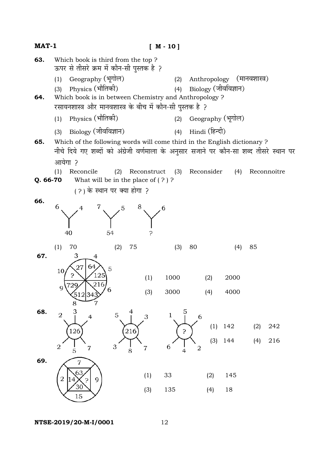| MAT-1    |                            |                                                                                                                                                                   |             | $[M - 10]$              |                                                    |        |     |             |  |
|----------|----------------------------|-------------------------------------------------------------------------------------------------------------------------------------------------------------------|-------------|-------------------------|----------------------------------------------------|--------|-----|-------------|--|
| 63.      |                            | Which book is third from the top?<br>ऊपर से तीसरे क्रम में कौन-सी पुस्तक है ?                                                                                     |             |                         |                                                    |        |     |             |  |
| 64.      | (1)<br>(3)                 | Geography (भूगोल)<br>Physics (भौतिकी)<br>Which book is in between Chemistry and Anthropology?<br>रसायनशास्त्र और मानवशास्त्र के बीच में कौन-सी पुस्तक है ?        |             | (2)<br>(4)              | Anthropology (मानवशास्त्र)<br>Biology (जीवविज्ञान) |        |     |             |  |
|          | (1)                        | Physics (भौतिकी)                                                                                                                                                  |             |                         | (2) Geography (भूगोल)                              |        |     |             |  |
|          | (3)                        | Biology (जीवविज्ञान)                                                                                                                                              |             |                         | (4) Hindi (हिन्दी)                                 |        |     |             |  |
| 65.      |                            | Which of the following words will come third in the English dictionary?<br>नीचे दिये गए शब्दों को अंग्रेजी वर्णमाला के अनुसार सजाने पर कौन-सा शब्द तीसरे स्थान पर |             |                         |                                                    |        |     |             |  |
|          | आयेगा ?                    |                                                                                                                                                                   |             |                         |                                                    |        |     |             |  |
| Q. 66-70 | Reconcile<br>(1)           | (2)<br>What will be in the place of $(?)$ ?                                                                                                                       | Reconstruct | (3)                     | Reconsider                                         | (4)    |     | Reconnoitre |  |
| 66.      | 6<br>40                    | (?) के स्थान पर क्या होगा ?<br>54                                                                                                                                 | 8           | 6                       |                                                    |        |     |             |  |
| 67.      | 70<br>(1)<br>З<br>27       | (2)<br>4<br>64<br>5                                                                                                                                               | 75          | (3)                     | 80                                                 | (4)    | 85  |             |  |
|          | 10                         | 125                                                                                                                                                               | (1)         | 1000                    | (2)                                                | 2000   |     |             |  |
|          | 9<br>512 343<br>8          | 216                                                                                                                                                               | (3)         | 3000                    | (4)                                                | 4000   |     |             |  |
| 68.      | 3<br>$\overline{2}$<br>126 | 5<br>4<br>216                                                                                                                                                     | 3           | 5.<br>$\mathbf 1$<br>5. | 6<br>(1)                                           | 142    | (2) | 242         |  |
|          | $\overline{2}$<br>5        | 3<br>7<br>$\dot{8}$                                                                                                                                               | 7           | 6<br>4                  | (3)<br>2                                           | 144    | (4) | 216         |  |
| 69.      | 7<br>63<br>2<br>5<br>30    | 9                                                                                                                                                                 | (1)         | 33                      | (2)                                                | 145    |     |             |  |
|          | 15                         |                                                                                                                                                                   | (3)         | 135                     | (4)                                                | $18\,$ |     |             |  |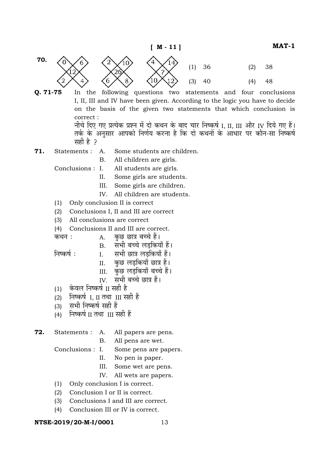38

48

 $(2)$ 

 $(4)$ 



O. 71-75  $In$ the following questions two statements and four conclusions I, II, III and IV have been given. According to the logic you have to decide on the basis of the given two statements that which conclusion is correct: नीचे दिए गए प्रत्येक प्रश्न में दो कथन के बाद चार निष्कर्ष I, II, III और IV दिये गए हैं।

तर्क के अनुसार आपको निर्णय करना है कि दो कथनों के आधार पर कौन-सा निष्कर्ष सही है २

- 71. Statements : A. Some students are children.
	- **B.** All children are girls.

Conclusions : I. All students are girls.

- $II.$ Some girls are students.
- Some girls are children.  $III.$
- IV. All children are students.
- (1) Only conclusion II is correct
- Conclusions I. II and III are correct  $(2)$
- (3) All conclusions are correct
- (4) Conclusions II and III are correct.
- कुछ छात्र बच्चे हैं। कथन : A.
	- सभी बच्चे लडकियाँ हैं।  $B.$

सभी छात्र लड़कियाँ हैं। निष्कर्ष :  $\mathbf{L}$ 

- कछ लडकियाँ छात्र हैं।  $II.$
- III. कुछ लड़कियाँ बच्चे हैं।
- IV सभी बच्चे छात्र हैं।
- केवल निष्कर्ष II सही है  $(1)$
- निष्कर्ष I, II तथा III सही हैं  $(2)$
- सभी निष्कर्ष सही हैं  $(3)$
- निष्कर्ष II तथा III सही हैं  $(4)$
- 72. All papers are pens. Statements : A.
	- $\mathbf{B}$ All pens are wet.

Conclusions : I. Some pens are papers.

- No pen is paper.  $II.$
- Some wet are pens. III.
- IV. All wets are papers.
- (1) Only conclusion I is correct.
- $(2)$ Conclusion I or II is correct.
- Conclusions I and III are correct.  $(3)$
- $(4)$ Conclusion III or IV is correct.

#### NTSE-2019/20-M-I/0001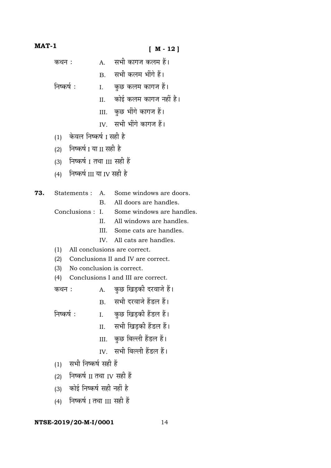#### **[ M - 12 ]**

 $\overline{P}$ कथन :  $\overline{A}$ . सभी कागज कलम हैं।

B. सभी कलम भींगे हैं।

निष्कर्ष: I. कुछ कलम कागज हैं।

- II. कोई कलम कागज नहीं है।
- III. कुछ भींगे कागज हैं।
- IV. सभी भींगे कागज हैं।
- $(1)$  केवल निष्कर्ष I सही है
- $(2)$  निष्कर्ष I या II सही है
- (3) निष्कर्ष I तथा III सही हैं
- $(4)$  निष्कर्ष III या IV सही है
- **73.** Statements : A. Some windows are doors.
	- B. All doors are handles.
	- Conclusions : I. Some windows are handles.
		- II. All windows are handles.
		- III. Some cats are handles.
		- IV. All cats are handles.
	- (1) All conclusions are correct.
	- (2) Conclusions II and IV are correct.
	- (3) No conclusion is correct.
	- (4) Conclusions I and III are correct.

EÚl…x… : A. E÷ÚUÙ J…c˜EÚ" n˘Æ˙¥……V…‰ ΩÈ˛\*

B. सभी दरवाजे हैंडल हैं।

 $\overline{r}$ निष्कर्ष: I. कृछ खिडकी हैंडल हैं।

- II. 4भी खिडकी हैंडल हैं।
- III. कुछ बिल्ली हैंडल हैं।
- IV. सभी बिल्ली हैं. हल हैं।
- $(1)$  सभी निष्कर्ष सही हैं
- (2) निष्कर्ष II तथा IV सही हैं
- $(3)$  कोई निष्कर्ष सही नहीं है
- $(4)$  निष्कर्ष I तथा III सही हैं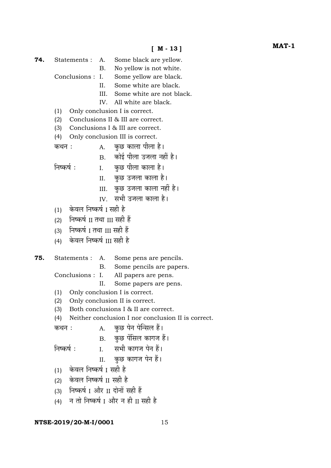74. Statements: A. Some black are yellow.

> **B.** No yellow is not white.

Conclusions: L Some yellow are black.

> II. Some white are black.

- $III.$ Some white are not black.
- IV. All white are black.
- (1) Only conclusion I is correct.
- Conclusions II & III are correct.  $(2)$
- Conclusions I & III are correct.  $(3)$
- (4) Only conclusion III is correct.

कुछ काला पीला है। कथन : A.

> कोई पीला उजला नहीं है।  $\mathbf{B}$

कछ पीला काला है।  $\mathbf{I}$ . निष्कर्ष :

- II. कुछ उजला काला है।
- III. कुछ उजला काला नहीं है।
- IV. सभी उजला काला है।
- $(1)$  केवल निष्कर्ष । सही है
- (2) निष्कर्ष II तथा III सही हैं
- (3) निष्कर्ष I तथा III सही हैं
- केवल निष्कर्ष III सही है  $(4)$
- 75. Statements : A. Some pens are pencils.
	- $B<sub>1</sub>$ Some pencils are papers.

Conclusions : I. All papers are pens.

> $II.$ Some papers are pens.

- Only conclusion I is correct.  $(1)$
- Only conclusion II is correct.  $(2)$
- Both conclusions I & II are correct.  $(3)$
- Neither conclusion I nor conclusion II is correct.  $(4)$
- कुछ पेन पेन्सिल हैं।  $A_{\cdot}$ कथन :
	- B. कछ पेंसिल कागज हैं।
- सभी कागज पेन हैं। निष्कर्ष:  $\mathbf{L}$

कुछ कागज पेन हैं। II.

- केवल निष्कर्ष । सही है  $(1)$
- $(2)$  केवल निष्कर्ष II सही है
- (3) निष्कर्ष I और II दोनों सही हैं
- न तो निष्कर्ष । और न ही ॥ सही है  $(4)$

#### NTSE-2019/20-M-I/0001

15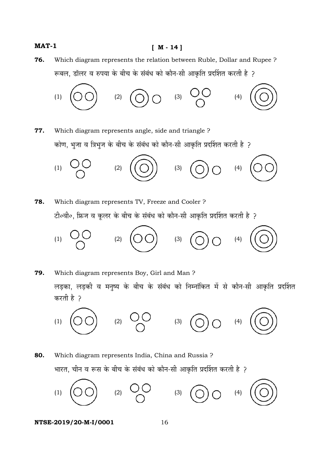**76.** Which diagram represents the relation between Ruble, Dollar and Rupee ? रूबल, डॉलर व रुपया के बीच के संबंध को कौन-सी आकृति प्रदर्शित करती है ?



**77.** Which diagram represents angle, side and triangle ? कोण, भूजा व त्रिभूज के बीच के संबंध को कौन-सी आकृति प्रदर्शित करती है ?



**78.** Which diagram represents TV, Freeze and Cooler ? टी॰वी॰, फ्रिज व कुलर के बीच के संबंध को कौन-सी आकृति प्रदर्शित करती है ?

$$
(1) \quad \begin{matrix} 0 & 0 \\ 0 & 0 \end{matrix} \quad (2) \quad (3) \quad (3) \quad (4) \quad (5) \quad (6)
$$

**79.** Which diagram represents Boy, Girl and Man ? लड़का, लड़की व मनुष्य के बीच के संबंध को निम्नांकित में से कौन-सी आकृति प्रदर्शित करती है ?



**80.** Which diagram represents India, China and Russia ? भारत, चीन व रूस के बीच के संबंध को कौन-सी आकृति प्रदर्शित करती है ?

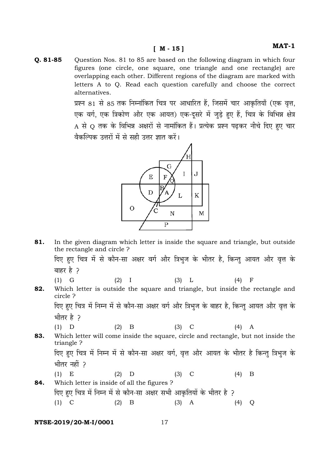O. 81-85 Question Nos. 81 to 85 are based on the following diagram in which four figures (one circle, one square, one triangle and one rectangle) are overlapping each other. Different regions of the diagram are marked with letters A to Q. Read each question carefully and choose the correct alternatives.

> प्रश्न 81 से 85 तक निम्नांकित चित्र पर आधारित हैं, जिसमें चार आकृतियाँ (एक वृत्त, एक वर्ग, एक त्रिकोण और एक आयत) एक-दसरे में जड़े हुए हैं, चित्र के विभिन्न क्षेत्र A से O तक के विभिन्न अक्षरों से नामांकित हैं। प्रत्येक प्रश्न पढकर नीचे दिए हुए चार वैकल्पिक उत्तरों में से सही उत्तर ज्ञात करें।



81. In the given diagram which letter is inside the square and triangle, but outside the rectangle and circle?

दिए हुए चित्र में से कौन-सा अक्षर वर्ग और त्रिभुज के भीतर है, किन्तु आयत और वृत्त के बाहर है ?

- $(1)$  G  $(3)$  L  $(2)$  I  $(4)$  F
- Which letter is outside the square and triangle, but inside the rectangle and 82. circle ?

दिए हुए चित्र में निम्न में से कौन-सा अक्षर वर्ग और त्रिभुज के बाहर है, किन्तु आयत और वृत्त के भीतर है 2

$$
(1) D \t (2) B \t (3) C \t (4) A
$$

83. Which letter will come inside the square, circle and rectangle, but not inside the triangle?

दिए हुए चित्र में निम्न में से कौन-सा अक्षर वर्ग, वृत्त और आयत के भीतर है किन्तु त्रिभुज के भीतर नहीं ?

$$
(1) E \t (2) D \t (3) C \t (4) B
$$

84. Which letter is inside of all the figures? दिए हुए चित्र में निम्न में से कौन-सा अक्षर सभी आकृतियों के भीतर है ?  $(1)$  C  $(2)$  $\overline{B}$  $(3)$  A  $(4)$  $\overline{O}$ 

#### NTSE-2019/20-M-I/0001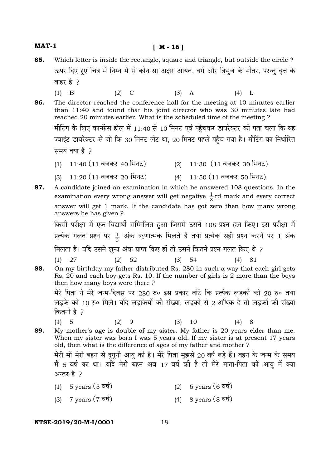- **85.** Which letter is inside the rectangle, square and triangle, but outside the circle ? ऊपर दिए हए चित्र में निम्न में से कौन-सा अक्षर आयत, वर्ग और त्रिभज के भीतर, परन्त वृत्त के बाहर है ?
- (1) B (2) C (3) A (4) L

**86.** The director reached the conference hall for the meeting at 10 minutes earlier than 11:40 and found that his joint director who was 30 minutes late had reached 20 minutes earlier. What is the scheduled time of the meeting ? मीटिंग के लिए कान्फ्रेंस हॉल में 11:40 से 10 मिनट पूर्व पहुँचकर डायरेक्टर को पता चला कि वह ज्वाइंट डायरेक्टर से जो कि 30 मिनट लेट था, 20 मिनट पहले पहँच गया है। मीटिंग का निर्धारित समय क्या है २

- (1)  $11:40$  (11 बजकर 40 मिनट)  $(2)$   $11:30$  (11 बजकर 30 मिनट)
- (3)  $11:20$  (11 बजकर 20 मिनट) (4)  $11:50$  (11 बजकर 50 मिनट)

**87.** A candidate joined an examination in which he answered 108 questions. In the examination every wrong answer will get negative  $\frac{1}{3}$ rd mark and every correct answer will get 1 mark. If the candidate has got zero then how many wrong answers he has given ?

किसी परीक्षा में एक विद्यार्थी सम्मिलित हुआ जिसमें उसने 108 प्रश्न हल किए। इस परीक्षा में प्रत्येक गलत प्रश्न पर  $\frac{1}{3}$  अंक ऋणात्मक मिलते हैं तथा प्रत्येक सही प्रश्न करने पर 1 अंक <u>मिलता है। यदि उसने शन्य अंक प्राप्त किए हों तो उसने कितने प्रश्न गलत किए थे ?</u>

(1) 27 (2) 62 (3) 54 (4) 81

**88.** On my birthday my father distributed Rs. 280 in such a way that each girl gets Rs. 20 and each boy gets Rs. 10. If the number of girls is 2 more than the boys then how many boys were there ?

मेरे पिता ने मेरे जन्म-दिवस पर 280 रु० इस प्रकार बाँटे कि प्रत्येक लडकी को 20 रु० तथा लड़के को 10 रु॰ मिले। यदि लड़कियों की संख्या. लड़कों से 2 अधिक है तो लड़कों की संख्या कितनी है २

$$
(1) 5 (2) 9 (3) 10 (4) 8
$$

**89.** My mother's age is double of my sister. My father is 20 years elder than me. When my sister was born I was 5 years old. If my sister is at present 17 years old, then what is the difference of ages of my father and mother ? मेरी माँ मेरी बहन से दुगुनी आयु की है। मेरे पिता मुझसे 20 वर्ष बड़े हैं। बहन के जन्म के समय सैं 5 वर्ष का था। यदि मेरी बहन अब 17 वर्ष की है तो मेरे माता-पिता की आयु में क्या

अन्तर है ?

 $(1)$  5 years  $(5 \overline{q} \dot{q})$  (2) 6 years  $(6 \overline{q} \dot{q})$ 

(3)  $7 \text{ years } (7 \text{ } \text{qq})$  (4)  $8 \text{ years } (8 \text{ } \text{qq})$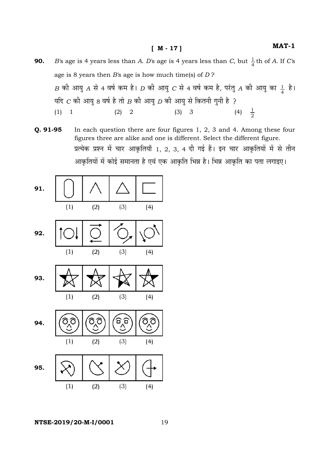**[ M - 17 ]** 

- **90.** *B'*s age is 4 years less than *A*. *D'*s age is 4 years less than *C*, but  $\frac{1}{4}$ th of *A*. If *C'*s age is 8 years then *B'*s age is how much time(s) of *D* ?  $B$  की आयु  $A$  से 4 वर्ष कम है।  $D$  की आयु  $C$  से 4 वर्ष कम है, परंतु  $A$  की आयु का  $\frac{1}{4}$  है। यदि *C* की आयु 8 वर्ष है तो *B* की आयु *D* की आयु से कितनी गुनी है ? (1) 1 (2) 2 (3) 3 (4)  $\frac{1}{2}$ (4)  $\frac{1}{2}$
- **Q. 91-95** In each question there are four figures 1, 2, 3 and 4. Among these four figures three are alike and one is different. Select the different figure. प्रत्येक प्रश्न में चार आकृतियाँ 1, 2, 3, 4 दी गई हैं। इन चार आकृतियों में से तीन आकृतियों में कोई समानता है एवं एक आकृति भिन्न है। भिन्न आकृति का पता लगाइए।

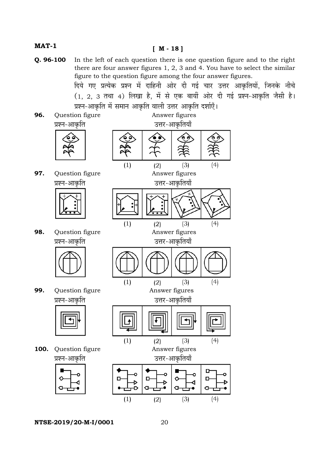#### **[ M - 18 ]**

**Q. 96-100** In the left of each question there is one question figure and to the right there are four answer figures 1, 2, 3 and 4. You have to select the similar figure to the question figure among the four answer figures. दिये गए प्रत्येक प्रश्न में दाहिनी ओर दी गई चार उत्तर आकृतियों, जिनके नीचे

 $(1, 2, 3$  तथा 4) लिखा है, में से एक बायीं ओर दी गई प्रश्न-आकृति जैसी है। प्रश्न-आकृति में समान आकृति वाली उत्तर आकृति दर्शाएँ।

**96.** Question figure **Answer figures** 







$$
\boxed{\textcolor{blue}{\blacksquare}}
$$





**NTSE-2019/20-M-I/0001** 20

 $(2)$ 

 $(1)$ 

 $(3)$ 

 $(4)$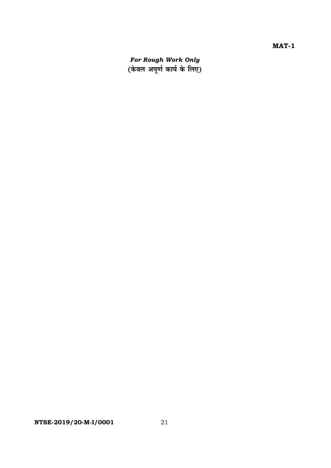*For Rough Work Only*<br>(केवल अपूर्ण कार्य के लिए)

 $MAT-1$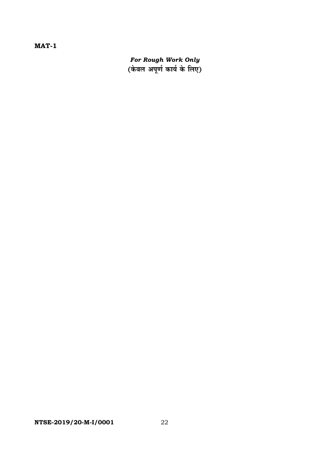*For Rough Work Only*<br>(केवल अपूर्ण कार्य के लिए)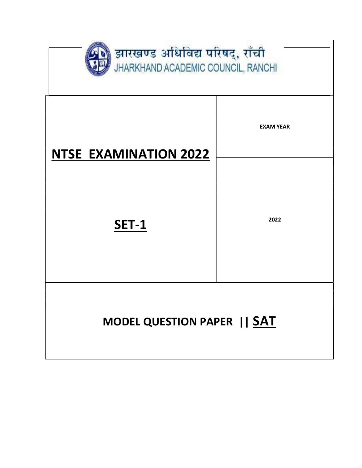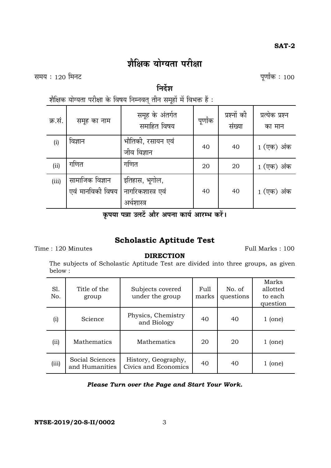# <u>श्रौक्षिक योग्यता परीक्षा</u>

त्तमय : 120 मिनट $\frac{120}{100}$  हिन्दुः संस्था : 100

# <u>निर्देश</u>

शैक्षिक योग्यता परीक्षा के विषय निम्नवत् तीन समूहों में विभक्त हैं :

| क्र.सं. | समूह का नाम                         | समूह के अंतर्गत<br>समाहित विषय                     | पूर्णांक | प्रश्नों की<br>संख्या | प्रत्येक प्रश्न<br>का मान |
|---------|-------------------------------------|----------------------------------------------------|----------|-----------------------|---------------------------|
| (i)     | विज्ञान                             | भौतिकी, रसायन एवं<br>जीव विज्ञान                   | 40       | 40                    | 1 (एक) अंक                |
| (ii)    | गणित                                | गणित                                               | 20       | 20                    | $1$ (एक) अंक              |
| (iii)   | सामाजिक विज्ञान<br>एवं मानविकी विषय | इतिहास, भूगोल,<br>नागरिकशास्त्र एवं<br>अर्थशास्त्र | 40       | 40                    | $1$ (एक) अंक              |

 $\frac{1}{2}$  कृपया पत्रा उलटें और अपना कार्य आरम्भ करें।

# **Scholastic Aptitude Test**

Time : 120 Minutes Full Marks : 100

# **DIRECTION**

 The subjects of Scholastic Aptitude Test are divided into three groups, as given below :

| SI.<br>No. | Title of the<br>group             | Subjects covered<br>under the group         | Full<br>marks | No. of<br>questions | Marks<br>allotted<br>to each<br>question |
|------------|-----------------------------------|---------------------------------------------|---------------|---------------------|------------------------------------------|
| (i)        | Science                           | Physics, Chemistry<br>and Biology           | 40            | 40                  | 1 (one)                                  |
| (i)        | Mathematics                       | Mathematics                                 | 20            | 20                  | 1 (one)                                  |
| (iii)      | Social Sciences<br>and Humanities | History, Geography,<br>Civics and Economics | 40            | 40                  | 1 (one)                                  |

*Please Turn over the Page and Start Your Work.*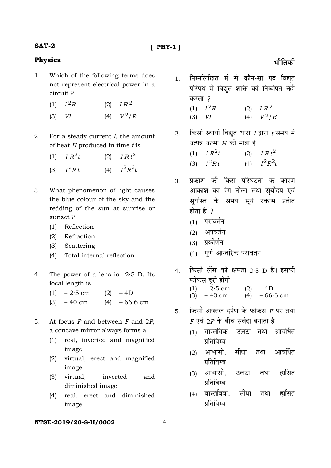#### **SAT-2**

# $[$  PHY-1  $]$

#### **Physics**

- $1.$ Which of the following terms does not represent electrical power in a circuit?
	- $(1)$   $I^2R$  $(2)$   $IR^2$
	- (4)  $V^2/R$  $(3)$  $\it VI$
- 2. For a steady current  $I$ , the amount of heat  $H$  produced in time  $t$  is
	- (1)  $IR^2t$ (2)  $I R t^2$
	- (4)  $I^2R^2t$ (3)  $I^2Rt$
- 3. What phenomenon of light causes the blue colour of the sky and the redding of the sun at sunrise or sunset ?
	- (1) Reflection
	- (2) Refraction
	- $(3)$ Scattering
	- (4) Total internal reflection
- The power of a lens is  $-2.5$  D. Its  $4.$ focal length is
	- $(1) 2.5$  cm  $(2) - 4D$
	- $(3)$  $-40$  cm  $(4) - 66.6$  cm
- 5. At focus  $F$  and between  $F$  and  $2F$ . a concave mirror always forms a
	- (1) real, inverted and magnified image
	- (2) virtual, erect and magnified image
	- $(3)$  virtual, inverted and diminished image
	- real, erect and diminished  $(4)$ image
- निम्नलिखित में से कौन-सा पद विद्युत  $1<sup>1</sup>$ परिपथ में विद्युत शक्ति को निरूपित नहीं करता २  $(1)$   $I^2R$  $(2)$   $IR^2$ (4)  $V^2/R$  $(3)$  VI
- किसी स्थायी विद्युत धारा  $I$  द्वारा  $t$  समय में 2. उत्पन्न ऊष्मा  $H$  की मात्रा है (2)  $I R t^2$  $(1)$   $IR^2t$ 
	- $I^2R^2t$ (3)  $I^2Rt$  $(4)$
- प्रकाश की किस परिघटना के कारण  $\mathcal{R}$ . आकाश का रंग नीला तथा सुर्योदय एवं सर्यास्त के समय सर्य रक्ताभ प्रतीत होता है २
	- (1) परावर्तन
	- (2) अपवर्तन
	- (3) प्रकोर्णन
	- (4) पर्ण आन्तरिक परावर्तन
- किसी लेंस की क्षमता-2.5 D है। इसकी  $\overline{4}$ . फोकस दूरी होगी
	- (1)  $-2.5$  cm<br>(3)  $-40$  cm (2)  $-4D$ <br>(4)  $-66.6$  cm
- किसी अवतल दर्पण के फोकस *F* पर तथा  $5<sub>1</sub>$  $F$  एवं  $2F$  के बीच सर्वदा बनाता है
	- (1) वास्तविक. उलटा तथा आवर्धित प्रतिबिम्ब
	- (2) आभासी. सीधा आवर्धित तथा प्रतिबिम्ब
	- (3) आभासी. उलटा तथा ह्रासित प्रतिबिम्ब
	- (4) वास्तविक. सीधा ह्रासित तथा प्रतिबिम्ब

## NTSE-2019/20-S-II/0002

# भौतिकी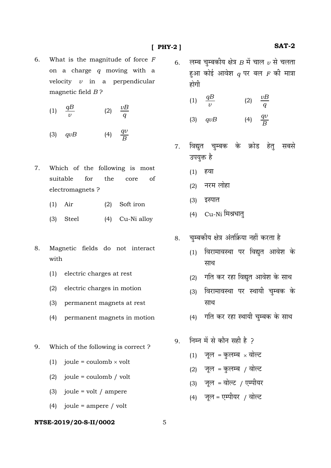- 6. What is the magnitude of force *F* on a charge *q* moving with a velocity *v* in a perpendicular magnetic field *B* ?
	- (1)  $\frac{qB}{v}$  $\frac{qB}{v}$  (2)  $\frac{vB}{q}$
	- (3)  $qvB$  (4)  $rac{qv}{B}$
- 7. Which of the following is most suitable for the core of electromagnets ?
	- (1) Air (2) Soft iron
	- (3) Steel (4) Cu-Ni alloy
- 8. Magnetic fields do not interact with
	- (1) electric charges at rest
	- (2) electric charges in motion
	- (3) permanent magnets at rest
	- (4) permanent magnets in motion
- 9. Which of the following is correct ?
	- (1) joule = coulomb  $\times$  volt
	- (2) joule = coulomb / volt
	- (3) joule = volt / ampere
	- (4) joule = ampere / volt

#### **NTSE-2019/20-S-II/0002** 5

- $6.$   $\,$  लम्ब चुम्बकीय क्षेत्र  $B$  में चाल  $\nu$  से चलता हुआ कोई आवेश  $q$  पर बल  $F$  की मात्रा होगी
- (1)  $\frac{qB}{v}$  (2)  $\frac{vB}{q}$  $(3)$  *qvB* (4)  $\frac{qv}{B}$
- 7. विद्युत चुम्बक के क्रोड हेतु सबसे उपयुक्त है
	- $(1)$  हवा
	- $(2)$  नरम लोहा
	- (3) इस्पात
	- $(4)$  Cu-Ni मिश्रधातु
- 8. चुम्बकीय क्षेत्र अंतर्क्रिया नहीं करता है
	- (1) विरामावस्था पर विद्युत आवेश के साथ
	- $(2)$  गति कर रहा विद्युत आवेश के साथ
	- (3) विरामावस्था पर स्थायी चम्बक के साथ
	- (4) गति कर रहा स्थायी चुम्बक के साथ
- 9. निम्न में से कौन सही है ?
	- (1) जूल = कुलम्ब  $\times$  वोल्ट
	- $(2)$  जुल = कुलम्ब / वोल्ट
	- $(3)$  जुल = वोल्ट / एम्पीयर
	- $(4)$  जुल = एम्पीयर / वोल्ट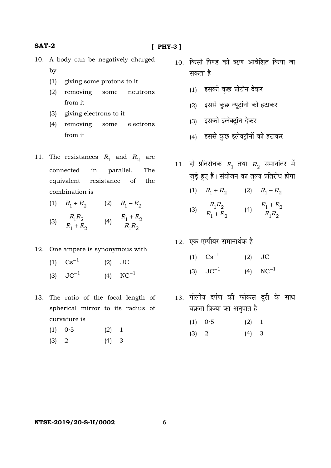## **SAT-2**

## **[ PHY-3 ]**

- 10. A body can be negatively charged by
	- (1) giving some protons to it
	- (2) removing some neutrons from it
	- (3) giving electrons to it
	- (4) removing some electrons from it
- 11. The resistances  $R_1$  and  $R_2$  are connected in parallel. The equivalent resistance of the combination is
	- (1)  $R_1 + R_2$  (2)  $R_1 R_2$
- (3)  $\cdot_1$  +  $\cdot_2$  $1''2$  $R_1 + R$  $R_1R$  $\frac{1}{1+R_2}$  (4)  $\frac{1}{R_1R_2}$  $\cdot_1$   $\cdot_2$  $R_1R_2$  $R_1 + R$
- 12. One ampere is synonymous with
	- (1)  $Cs^{-1}$  (2) JC
	- (3)  $JC^{-1}$  (4)  $NC^{-1}$
- 13. The ratio of the focal length of spherical mirror to its radius of curvature is
	- (1) 0·5 (2) 1
	- $(3)$  2  $(4)$  3
- 10. किसी पिण्ड को ऋण आवेशित किया जा सकता है
	- (1) इसको कुछ प्रोटॉन देकर
	- (2) इससे कुछ न्यूट्रॉनों को हटाकर
	- (3) इसको इलेक्टॉन देकर
	- (4) इससे कुछ इलेक्ट्रॉनों को हटाकर
- $11.$  दो प्रतिरोधक  $R_1$  तथा  $R_2$  समानांतर में जुड़े हुए हैं। संयोजन का तुल्य प्रतिरोध होगा
	- (1)  $R_1 + R_2$  (2)  $R_1 R_2$
- (3)  $\cdot_1$  +  $\cdot_2$  $1''2$  $R_1 + R$  $R_1R$  $\frac{1}{1} + R_2$  (4)  $\frac{1}{R_1 R_2}$  $\cdot_1$   $\cdot_2$  $R_1R_2$  $R_1 + R$
- 12. एक एम्पीयर समानार्थक है
	- (1)  $Cs^{-1}$  (2) JC
	- (3)  $JC^{-1}$  (4)  $NC^{-1}$
- 13. गोलीय दर्पण की फोकस दूरी के साथ वक्रता त्रिज्या का अनुपात है
	- (1) 0·5 (2) 1
	- $(3)$  2  $(4)$  3

**NTSE-2019/20-S-II/0002** 6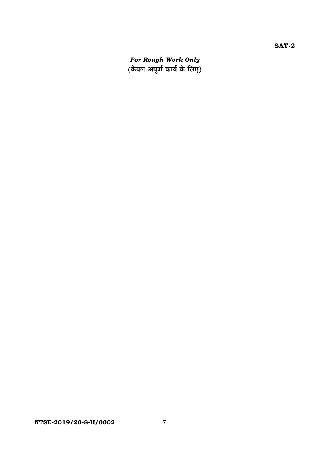*For Rough Work Only*<br>(केवल अपूर्ण कार्य के लिए)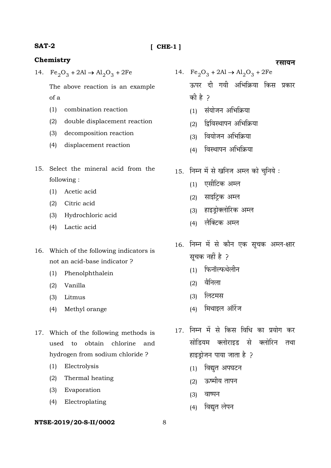### **SAT-2**

# **[ CHE-1 ]**

## **Chemistry**

14.  $Fe_2O_3 + 2Al \rightarrow Al_2O_3 + 2Fe$ 

 The above reaction is an example of a

- (1) combination reaction
- (2) double displacement reaction
- (3) decomposition reaction
- (4) displacement reaction
- 15. Select the mineral acid from the following :
	- (1) Acetic acid
	- (2) Citric acid
	- (3) Hydrochloric acid
	- (4) Lactic acid
- 16. Which of the following indicators is not an acid-base indicator ?
	- (1) Phenolphthalein
	- (2) Vanilla
	- (3) Litmus
	- (4) Methyl orange
- 17. Which of the following methods is used to obtain chlorine and hydrogen from sodium chloride ?
	- (1) Electrolysis
	- (2) Thermal heating
	- (3) Evaporation
	- (4) Electroplating

#### **NTSE-2019/20-S-II/0002** 8

#### रसायन

- 14.  $\text{Fe}_2\text{O}_3 + 2\text{Al} \rightarrow \text{Al}_2\text{O}_3 + 2\text{Fe}$ ऊपर दी गयी अभिक्रिया किस प्रकार  $\frac{1}{2}$   $\frac{1}{2}$  2
	- $(1)$  संयोजन अभिक्रिया
	- $(2)$  द्विविस्थापन अभिक्रिया
	- (3) वियोजन अभिक्रिया
	- (4) विस्थापन अभिक्रिया
- $15.$  निम्न में से खनिज अम्ल को चुनिये :
	- $(1)$  एसीटिक अम्ल
	- $(2)$  साइट्रिक अम्ल
	- (3) हाइड़ोक्लोरिक अम्ल
	- (4) लैक्टिक अम्ल
- 16. निम्न में से कौन एक सूचक अम्ल-क्षार सूचक नहीं है ?
	- $(1)$  फिनॉल्फथेलीन
	- $(2)$  वैनिला
	- (3) लिटमस
	- (4) मिथाइल ऑरेंज
- 17. निम्न में से किस विधि का प्रयोग कर ्<br>सोडियम क्लोराइड से क्लोरिन तथा हाइड्रोजन पाया जाता है ?
	- $(1)$  विद्यत अपघटन
	- (2) ऊष्मीय तापन
	- $(3)$  वाष्पन
	- (4) विद्युत लेपन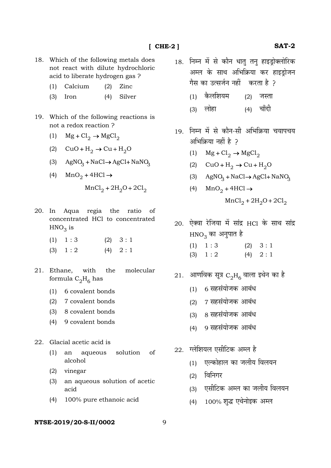- 18. Which of the following metals does not react with dilute hydrochloric acid to liberate hydrogen gas ?
	- (1) Calcium (2) Zinc
	- (3) Iron (4) Silver
- 19. Which of the following reactions is not a redox reaction ?
	- (1)  $Mg + Cl_2 \rightarrow MgCl_2$
	- (2)  $\text{CuO} + \text{H}_2 \rightarrow \text{Cu} + \text{H}_2\text{O}$
	- (3)  $AgNO_3 + NaCl \rightarrow AgCl + NaNO_3$
	- (4)  $\text{MnO}_2 + 4\text{HCl} \rightarrow$

$$
MnCl2 + 2H2O + 2Cl2
$$

- 20. In Aqua regia the ratio of concentrated HCl to concentrated  $HNO<sub>3</sub>$  is
	- $(1)$  1 : 3  $(2)$  3 : 1
	- $(3) \quad 1 : 2 \quad (4) \quad 2 : 1$
- 21. Ethane, with the molecular formula  $C_2H_6$  has
	- (1) 6 covalent bonds
	- (2) 7 covalent bonds
	- (3) 8 covalent bonds
	- (4) 9 covalent bonds
- 22. Glacial acetic acid is
	- (1) an aqueous solution of alcohol
	- (2) vinegar
	- (3) an aqueous solution of acetic acid
	- (4) 100% pure ethanoic acid

#### **NTSE-2019/20-S-II/0002** 9

- 18. निम्न में से कौन धातु तनु हाइड्रोक्लोरिक अम्ल के साथ अभिक्रिया कर हाइड़ोजन गैस का उत्सर्जन नहीं करता है ?
	- $(1)$  कैलशियम  $(2)$  जस्ता
	- (3) लोहा (4) चाँदी
- 19. निम्न में से कौन-सी अभिक्रिया चयापचय आभिक्रिया नहीं है ?
	- (1)  $Mg + Cl_2 \rightarrow MgCl_2$
	- (2)  $\text{CuO} + \text{H}_2 \rightarrow \text{Cu} + \text{H}_2\text{O}$
	- (3)  $AgNO_3 + NaCl \rightarrow AgCl + NaNO_3$
	- (4)  $\text{MnO}_2 + 4\text{HCl} \rightarrow$

$$
MnCl_2 + 2H_2O + 2Cl_2
$$

- $20.$  ऐक्वा रेजिया में सांद्र  $HC1$  के साथ सांद्र  $HNO<sub>3</sub>$  का अनुपात है
	- $(1)$  1 : 3  $(2)$  3 : 1
	- $(3) \quad 1:2$   $(4) \quad 2:1$
- 21. आणविक सूत्र  $C_2H_6$  वाला इथेन का है
	- $(1)$  6 सहसंयोजक आबंध
	- (2) 7 सहसंयोजक आबंध
	- $(3)$  8 सहसंयोजक आबंध
	- (4) 9 सहसंयोजक आबंध
- $22.$  ग्लेशियल एसीटिक अम्ल है
	- $(1)$  एल्कोहाल का जलीय विलयन
	- $(2)$  विनिगर
	- (3) एसीटिक अम्ल का जलीय विलयन
	- (4) 100% श़द्ध एथेनोइक अम्ल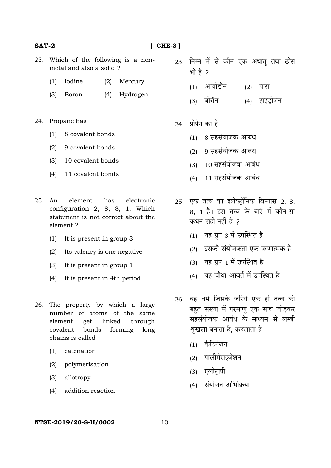# **SAT-2**

# $[CHE-3]$

- 23. Which of the following is a nonmetal and also a solid?
	- $(1)$ Iodine  $(2)$ Mercury
	- (4) Hydrogen  $(3)$ Boron
- 24. Propane has
	- 8 covalent bonds  $(1)$
	- 9 covalent bonds  $(2)$
	- (3) 10 covalent bonds
	- (4) 11 covalent bonds
- 25. An element has electronic configuration 2, 8, 8, 1. Which statement is not correct about the element ?
	- It is present in group 3  $(1)$
	- $(2)$ Its valency is one negative
	- It is present in group 1  $(3)$
	- It is present in 4th period  $(4)$
- 26. The property by which a large number of atoms of the same element linked get through covalent bonds forming long chains is called
	- catenation  $(1)$
	- polymerisation  $(2)$
	- $(3)$ allotropy
	- addition reaction  $(4)$
- 23. निम्न में से कौन एक अधातु तथा ठोस भी है 2
	- (1) आयोडीन  $(2)$  पारा
	- (3) बोरॉन (4) हाइड्रोजन
- 24. प्रोपेन का है
	- (1) 8 सहसंयोजक आबंध
	- (2) 9 सहसंयोजक आबंध
	- (3) 10 सहसंयोजक आबंध
	- (4) 11 सहसंयोजक आबंध
- $25.$  एक तत्व का इलेक्टॉनिक विन्यास  $2.8.$ 8. 1 है। इस तत्व के बारे में कौन-सा कथन सही नहीं है ?
	- (1) यह ग्रप 3 में उपस्थित है
	- (2) इसकी संयोजकता एक ऋणात्मक है
	- (3) यह ग्रप 1 में उपस्थित है
	- (4) यह चौथा आवर्त में उपस्थित है
- 26. वह धर्म जिसके जरिये एक ही तत्व की बहत संख्या में परमाण एक साथ जोडकर सहसंयोजक आबंध के माध्यम से लम्बी शृंखला बनाता है, कहलाता है
	- (1) कैटिनेशन
	- (2) पालीमेराइजेशन
	- (3) एलोट्रापी
	- (4) संयोजन अभिक्रिया

## NTSE-2019/20-S-II/0002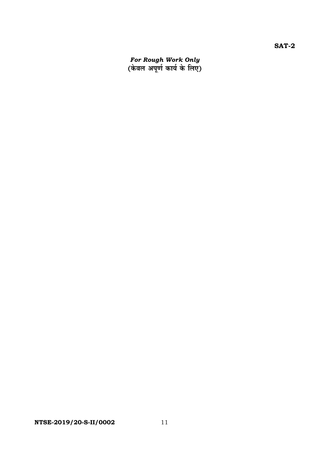*For Rough Work Only*<br>(केवल अपूर्ण कार्य के लिए)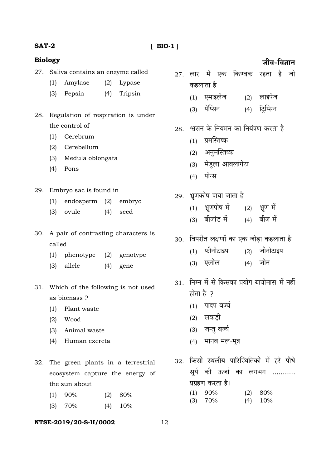### $[$  BIO-1]

# **SAT-2**

### **Biology**

- 27. Saliva contains an enzyme called
	- Amylase  $(2)$  Lypase  $(1)$
	- $(3)$ Pepsin  $(4)$ Tripsin
- 28. Regulation of respiration is under the control of
	- $(1)$  Cerebrum
	- $(2)$ Cerebellum
	- Medula oblongata  $(3)$
	- $(4)$ Pons
- 29. Embryo sac is found in
	- endosperm (2) embryo  $(1)$
	- $(4)$  $(3)$ ovule seed
- 30. A pair of contrasting characters is called
	- phenotype  $(2)$ genotype  $(1)$
	- $(3)$ allele  $(4)$ gene
- 31. Which of the following is not used as biomass ?
	- Plant waste  $(1)$
	- $(2)$ Wood
	- $(3)$ Animal waste
	- $(4)$ Human excreta
- 32. The green plants in a terrestrial ecosystem capture the energy of the sun about
	- 90% 80%  $(1)$  $(2)$
	- 70%  $(4)$ 10%  $(3)$

#### NTSE-2019/20-S-II/0002

# 27. लार में एक किण्वक रहता है जो कहलाता है

- (1) एमाइलेज  $(2)$  लाइपेज
- (4) टिप्सिन (3) पेप्सिन
- 28. श्वसन के नियमन का नियंत्रण करता है
	- $(1)$  प्रमस्तिष्क
	- (2) अनुमस्तिष्क
	- (3) मेडुला आवलांगेटा
	- (4) पॉन्स
- 29. भ्रूणकोष पाया जाता है
	- (1) भ्रूणपोष में (2) भ्रूण में
	- (4) बीज में (3) बीजांड में
- 30. विपरीत लक्षणों का एक जोड़ा कहलाता है
	- (2) जीनोटाइप  $(1)$  फीनोटाइप जीन (3) एलील  $(4)$
- 31. निम्न में से किसका प्रयोग बायोमास में नहीं होता है २
	- (1) पादप वर्ज्य
	- (2) लकड़ी

12

- (3) जन्तू वर्ज्य
- (4) मानव मल-मूत्र
- 32. किसी स्थलीय पारिस्थितिकी में हरे पौधे सूर्य की ऊर्जा का लगभग ........... प्रग्रहण करता है। 90% 80%  $(1)$  $(2)$  $10%$ 70%  $(4)$  $(3)$

जीव-विज्ञान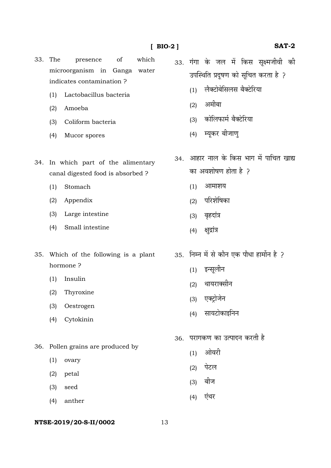- 33. The presence  $\sigma$ f which microorganism in Ganga water indicates contamination?
	- Lactobacillus bacteria  $(1)$
	- $(2)$ Amoeba
	- Coliform bacteria  $(3)$
	- (4) Mucor spores
- 34. In which part of the alimentary canal digested food is absorbed?
	- Stomach  $(1)$
	- Appendix  $(2)$
	- Large intestine  $(3)$
	- $(4)$ Small intestine
- 35. Which of the following is a plant hormone?
	- Insulin  $(1)$
	- $(2)$ Thyroxine
	- $(3)$ Oestrogen
	- $(4)$ Cytokinin
- 36. Pollen grains are produced by
	- $(1)$ ovary
	- $(2)$ petal
	- $(3)$ seed
	- anther  $(4)$
- 33. गंगा के जल में किस सुक्ष्मजीवी की उपस्थिति प्रदूषण को सूचित करता है ?
	- (1) लैक्टोबेसिलस बैक्टेरिया
	- (2) अमीबा
	- (3) कोलिफार्म बैक्टेरिया
	- (4) म्यूकर बीजाण्
- 34. आहार नाल के किस भाग में पाचित खाद्य का अवशोषण होता है ?
	- आमाशय  $(1)$
	- (2) परिशेषिका
	- (3) बृहदांत्र
	- (4) क्षुद्रांत्र
- 35. निम्न में से कौन एक पौधा हार्मोन है ?
	- (1) इन्सुलीन
	- (2) थायराक्सीन
	- (3) एक्ट्रोजेन
	- सायटोकाइनिन  $(4)$
- 36. परागकण का उत्पादन करती है
	- ओवरी  $(1)$
	- (2) पेटल
	- (3) बीज
	- एंथर  $(4)$

13

# NTSE-2019/20-S-II/0002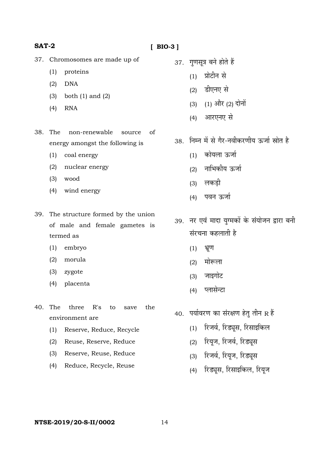**[ BIO-3 ]** 

- 37. Chromosomes are made up of
	- (1) proteins
	- (2) DNA
	- (3) both (1) and (2)
	- (4) RNA
- 38. The non-renewable source of energy amongst the following is
	- (1) coal energy
	- (2) nuclear energy
	- (3) wood
	- (4) wind energy
- 39. The structure formed by the union of male and female gametes is termed as
	- (1) embryo
	- (2) morula
	- (3) zygote
	- (4) placenta
- 40. The three R's to save the environment are
	- (1) Reserve, Reduce, Recycle
	- (2) Reuse, Reserve, Reduce
	- (3) Reserve, Reuse, Reduce
	- (4) Reduce, Recycle, Reuse
- 37. गणसूत्र बने होते हैं
	- $(1)$  प्रोटीन से
		- $(2)$  डीएनए से
		- (3) (1) और (2) दोनों
		- (4) आरएनए से
- 38. निम्न में से गैर-नवीकरणीय ऊर्जा स्रोत है
	- $(1)$  कोयला ऊर्जा
	- $(2)$  नाभिकीय ऊर्जा
	- (3) लकड<u>ी</u>
	- (4) पवन ऊर्जा
- 39. नर एवं मादा युग्मकों के संयोजन द्वारा बनी संरचना कहलाती है
	- $(1)$  भ्रूण
	- $(2)$  मोरूला
	- (3) जाइगोट
	- $(4)$  प्लासेन्टा
- $40.$  पर्यावरण का संरक्षण हेत् तीन  $R$  हैं
	- (1) रिजर्व, रिड्यस, रिसाइकिल
	- (2) रियूज, रिजर्व, रिड्यूस
	- (3) रिजर्व, रियुज, रिड्युस
	- (4) रिड्यूस, रिसाइकिल, रियूज

**NTSE-2019/20-S-II/0002** 14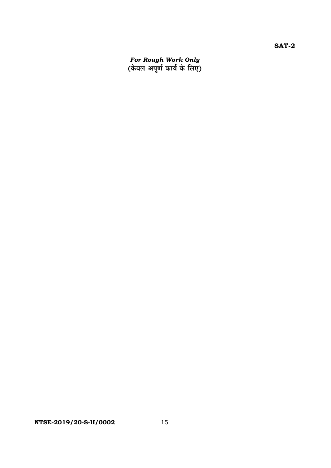*For Rough Work Only*<br>(केवल अपूर्ण कार्य के लिए)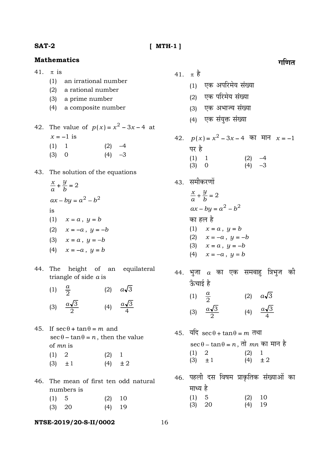## **[ MTH-1 ]**

# **Mathematics**

41.  $\pi$  is

**SAT-2**

- (1) an irrational number
- (2) a rational number
- (3) a prime number
- (4) a composite number

42. The value of  $p(x) = x^2 - 3x - 4$  at  $x = -1$  is

- $(1)$  1  $(2)$   $-4$  $(3)$  0  $(4)$   $-3$
- 43. The solution of the equations

$$
\frac{x}{a} + \frac{y}{b} = 2
$$
  
ax - by =  $a^2 - b^2$   
is

- (1)  $x = a, y = b$
- (2) *x* = −*a* , *y* = −*b*
- (3)  $x = a, y = -b$

$$
(4) \qquad x = -a \ , \ y = b
$$

- 44. The height of an equilateral triangle of side *a* is
- (1)  $\frac{a}{2}$ (2)  $a\sqrt{3}$ (3)  $\frac{a\sqrt{3}}{2}$  (4)  $\frac{a\sqrt{3}}{4}$
- 45. If  $\sec\theta + \tan\theta = m$  and  $\sec \theta - \tan \theta = n$ , then the value of *mn* is
	- $(1)$  2  $(2)$  1
- (3)  $\pm 1$  (4)  $\pm 2$
- 46. The mean of first ten odd natural numbers is

| (1) 5 |          | $(2)$ 10 |  |
|-------|----------|----------|--|
|       | $(3)$ 20 | $(4)$ 19 |  |

#### **NTSE-2019/20-S-II/0002** 16

 $41. \pi$  है

- (1) एक अपरिमेय संख्या
	- $(2)$  एक परिमेय संख्या
	- $(3)$  एक अभाज्य संख्या
- $(4)$  एक संयुक्त संख्या
- 42.  $p(x) = x^2 3x 4$  का मान  $x = -1$ पर है  $(1)$  1  $(2)$   $-4$  $(3)$  0  $(4)$   $-3$
- 43. समीकरणों
	- $+\frac{y}{b} = 2$ *a x*  $ax - by = a^2 - b^2$ का हल है  $(x + 1)$   $x = a, y = b$ (2)  $x = -a$ ,  $y = -b$ (3)  $x = a, y = -b$ (4)  $x = -a$ ,  $y = b$
- $44.$  भुजा  $a$  का एक समबाहु त्रिभुज की ऊँचाई है (1)  $\frac{a}{2}$  (2)  $a\sqrt{3}$
- (3)  $\frac{a\sqrt{3}}{2}$  (4)  $\frac{a\sqrt{3}}{4}$
- 45. यदि sec  $θ$  + tan  $θ$  = *m* तथा  $sec θ - tan θ = n$ , तो *mn* का मान है  $(1)$  2  $(2)$  1 (3)  $\pm 1$  (4)  $\pm 2$
- 46. पहली दस विषम प्राकृतिक संख्याओं का माध्य है  $(1) 5 (2) 10$ (3) 20 (4) 19

गणित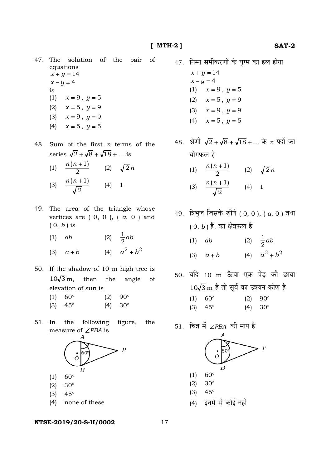47. The solution of the pair  $\alpha$ f equations  $x + y = 14$  $x - y = 4$ is (1)  $x = 9$ ,  $y = 5$ (2)  $x = 5$ ,  $y = 9$ 

- (3)  $x = 9$ ,  $y = 9$
- (4)  $x = 5, y = 5$
- 48. Sum of the first  $n$  terms of the series  $\sqrt{2} + \sqrt{8} + \sqrt{18} + ...$  is

(1) 
$$
\frac{n(n+1)}{2}
$$
 (2)  $\sqrt{2}n$   
(3)  $\frac{n(n+1)}{\sqrt{2}}$  (4) 1

- 49. The area of the triangle whose vertices are  $(0, 0)$ ,  $(a, 0)$  and  $(0, b)$  is
	- (2)  $\frac{1}{2}ab$  $(1)$  ab
	- (4)  $a^2 + b^2$  $(3)$  $a + b$
- 50. If the shadow of 10 m high tree is  $10\sqrt{3}$  m, then the angle of elevation of sun is
	- $60^\circ$  $(2)$  $90^\circ$  $(1)$
	- $(4)$  $30^\circ$  $(3)$  $45^{\circ}$
- 51. In the following figure, the measure of  $\angle$ *PBA* is



- $60^\circ$  $(1)$
- $(2)$  $30^\circ$
- $45^{\circ}$  $(3)$
- $(4)$ none of these

#### NTSE-2019/20-S-II/0002

- 47. निम्न समीकरणों के युग्म का हल होगा  $x + y = 14$  $x - y = 4$ (1)  $x = 9, y = 5$ (2)  $x = 5, y = 9$ (3)  $x = 9, y = 9$ (4)  $x = 5$ ,  $y = 5$
- 48. श्रेणी  $\sqrt{2} + \sqrt{8} + \sqrt{18} + ...$  के n पदों का योगफल है (1)  $\frac{n(n+1)}{2}$  (2)  $\sqrt{2}n$ (3)  $\frac{n(n+1)}{\sqrt{2}}$  (4) 1
- 49. त्रिभुज जिसके शीर्ष (0, 0), (a, 0) तथा  $(0, b)$  हैं, का क्षेत्रफल है (2)  $\frac{1}{2}ab$  $(1)$  ab (3)  $a+b$  (4)  $a^2+b^2$
- 50. यदि 10 m ऊँचा एक पेड की छाया  $10\sqrt{3}$  m है तो सूर्य का उन्नयन कोण है  $(1) 60^{\circ}$  $(2)$  $90^\circ$  $(3)$  45°  $(4)$  $30^\circ$
- 51. चित्र में ∠PBA की माप है



इनमें से कोई नहीं  $(4)$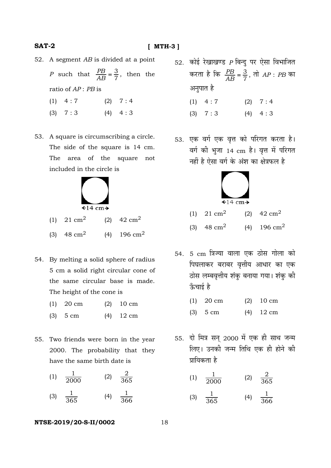#### **SAT-2**

#### **[ MTH-3 ]**

52. A segment *AB* is divided at a point

*P* such that  $\frac{PB}{AB} = \frac{3}{7}$ , then the ratio of *AP* : *PB* is

- $(1)$  4 : 7  $(2)$  7 : 4
- $(3)$   $7:3$   $(4)$   $4:3$
- 53. A square is circumscribing a circle. The side of the square is 14 cm. The area of the square not included in the circle is



- (1)  $21 \text{ cm}^2$  (2)  $42 \text{ cm}^2$
- (3)  $48 \text{ cm}^2$  (4)  $196 \text{ cm}^2$
- 54. By melting a solid sphere of radius 5 cm a solid right circular cone of the same circular base is made. The height of the cone is
	- (1) 20 cm (2) 10 cm
	- (3) 5 cm (4) 12 cm
- 55. Two friends were born in the year 2000. The probability that they have the same birth date is
- (1)  $\frac{1}{2000}$  (2)  $\frac{2}{365}$
- (3)  $\frac{1}{365}$  (4)  $\frac{1}{366}$ 1

#### **NTSE-2019/20-S-II/0002** 18

- 52. कोई रेखाखण्ड *P* बिन्दु पर ऐसा विभाजित करता है कि  $\frac{PB}{AB} = \frac{3}{7}$ , तो  $AP : PB$  का अनुपात है
	- $(1)$  4 : 7  $(2)$  7 : 4  $(3) \quad 7 : 3$   $(4) \quad 4 : 3$
- 53. एक वर्ग एक वृत्त को परिगत करता है। aर्ग की भूजा 14 cm है। वृत्त में परिगत नहीं है ऐसा वर्ग के अंश का क्षेत्रफल है



|  | (1) 21 $\text{cm}^2$  | (2) $42 \text{ cm}^2$   |
|--|-----------------------|-------------------------|
|  | (3) $48 \text{ cm}^2$ | (4) 196 cm <sup>2</sup> |

- 54. 5 cm त्रिज्या वाला एक ठोस गोला को पिघलाकर बराबर वृत्तीय आधार का एक ठोस लम्बवृत्तीय शंकू बनाया गया। शंकू की ऊँचाई है
	- (1) 20 cm (2) 10 cm (3) 5 cm (4) 12 cm
- 55. दो मित्र सन् 2000 में एक ही साथ जन्म .<br>लिए। उनकी जन्म तिथि एक ही होने की प्रायिकता है
- (1)  $\frac{1}{2000}$  (2)  $\frac{2}{365}$
- (3)  $\frac{1}{365}$  (4)  $\frac{1}{366}$ 1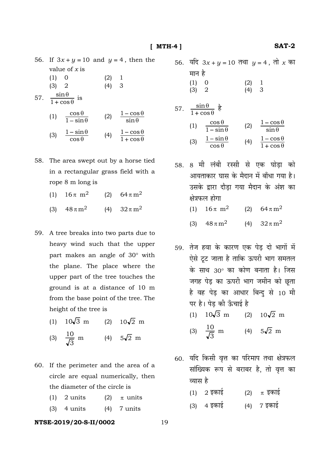- 56. If  $3x + y = 10$  and  $y = 4$ , then the value of *x* is
	- $(1) 0 (2) 1$  $(3)$  2  $(4)$  3
	- sin
- 57.  $\frac{\sin \theta}{1 + \cos \theta}$  $1 + \cos$  $\frac{\sin \theta}{\cos \theta}$  is
- (1)  $\frac{\cos \theta}{1 \sin \theta}$  $1 - \sin$  $\frac{\cos \theta}{-\sin \theta}$  (2)  $\frac{1-\cos \theta}{\sin \theta}$ θ sin  $1 - \cos$ (3)  $\frac{1-\sin\theta}{\cos\theta}$  $rac{1-\sin\theta}{\cos\theta}$  (4)  $rac{1-\cos\theta}{1+\cos\theta}$ θ  $1 + \cos$  $1 - \cos$ + −
- 58. The area swept out by a horse tied in a rectangular grass field with a rope 8 m long is
	- (1)  $16\pi \text{ m}^2$  (2)  $64\pi \text{ m}^2$
	- (3)  $48 \pi \text{ m}^2$  (4)  $32 \pi \text{ m}^2$
- 59. A tree breaks into two parts due to heavy wind such that the upper part makes an angle of 30° with the plane. The place where the upper part of the tree touches the ground is at a distance of 10 m from the base point of the tree. The height of the tree is
	- (1)  $10\sqrt{3}$  m (2)  $10\sqrt{2}$  m
- (3)  $\frac{10}{\sqrt{3}}$  m (4)  $5\sqrt{2}$  m
- 60. If the perimeter and the area of a circle are equal numerically, then the diameter of the circle is
	- (1) 2 units (2)  $\pi$  units
	- (3) 4 units (4) 7 units

#### **NTSE-2019/20-S-II/0002** 19

56. यदि  $3x + y = 10$  तथा  $y = 4$ , तो x का मान $\dot{\tilde{z}}$ 

- $(1) 0 (2) 1$  $(3)$  2  $(4)$  3
- 57.  $\frac{\sin \theta}{1 + \cos \theta}$  $1 + \cos$ sin  $\frac{\sin \theta}{\cos \theta}$  है (1)  $\frac{\cos \theta}{1 - \sin \theta}$  $1 - \sin$ cos  $\frac{\cos \theta}{-\sin \theta}$  (2)  $\frac{1-\cos \theta}{\sin \theta}$ sin  $1 - \cos$ (3)  $\frac{1-\sin\theta}{\cos\theta}$ cos  $rac{1-\sin\theta}{\cos\theta}$  (4)  $rac{1-\cos\theta}{1+\cos\theta}$  $1 + \cos$  $1 - \cos$ + −
- 58. 8 मी लंबी रस्सी से एक घोड़ा को आयताकार घास के मैदान में बाँधा गया है। उसके द्वारा दौडा गया मैदान के अंश का क्षेत्रफल होगा
	- (1)  $16\pi \text{ m}^2$  (2)  $64\pi \text{ m}^2$
	- (3)  $48 \pi \text{m}^2$  (4)  $32 \pi \text{m}^2$
- 59. तेज हवा के कारण एक पेड दो भागों में ऐसे टट जाता है ताकि ऊपरी भाग समतल के साथ 30° का कोण बनाता है। जिस जगह पेड़ का ऊपरी भाग जमीन को छूता है वह पेड़ का आधार बिन्दु से 10 मी पर है। पेड की ऊँचाई है (1)  $10\sqrt{3}$  m (2)  $10\sqrt{2}$  m (3)  $\frac{10}{\sqrt{3}}$  m (4)  $5\sqrt{2}$  m
- 60. यदि किसी वृत्त का परिमाप तथा क्षेत्रफल सांख्यिक रूप से बराबर है, तो वृत्त का व्यास है $\,$ 
	- (1) 2 इकाई  $(2)$  π इकाई
	- (3) 4 इकाई (4) 7 इकाई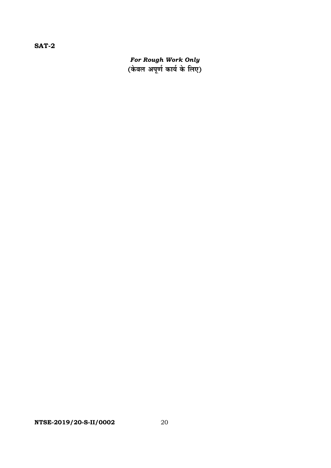**SAT-2** 

*For Rough Work Only*<br>(केवल अपूर्ण कार्य के लिए)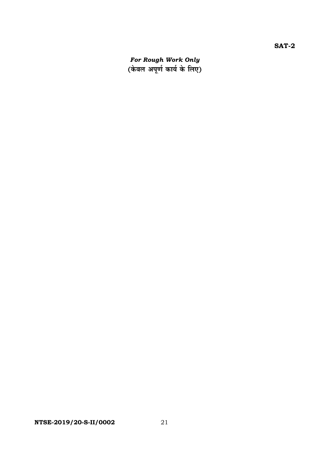*For Rough Work Only*<br>(केवल अपूर्ण कार्य के लिए)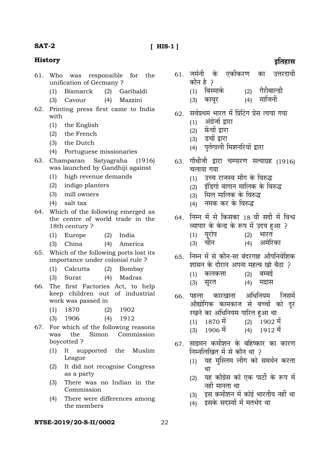#### $[$  HIS-1  $]$

### **History**

- 61. Who was responsible for the unification of Germany?
	- $(1)$ **Bismarck**  $(2)$ Garibaldi
	- $(3)$  $(4)$ Mazzini Cavour
- 62. Printing press first came to India with
	- $(1)$ the English
	- $(2)$ the French
	- the Dutch  $(3)$
	- $(4)$ Portuguese missionaries
- 63. Champaran Satvagraha  $(1916)$ was launched by Gandhiii against
	- $(1)$ high revenue demands
	- $(2)$ indigo planters
	- mill owners  $(3)$
	- $(4)$ salt tax
- 64. Which of the following emerged as the centre of world trade in the 18th century?
	- $(1)$ Europe  $(2)$ India
	- $(3)$ China  $(4)$ America
- 65. Which of the following ports lost its importance under colonial rule?
	- $(1)$ Calcutta  $(2)$ Bombay
	- $(3)$ Surat  $(4)$ Madras
- 66. The first Factories Act, to help keep children out of industrial work was passed in
	- 1870 1902  $(1)$  $(2)$
	- $(3)$ 1906  $(4)$ 1912
- 67. For which of the following reasons Simon Commission was the boycotted?
	- $(1)$ It supported Muslim the League
	- It did not recognise Congress  $(2)$ as a party
	- There was no Indian in the  $(3)$ Commission
	- There were differences among  $(4)$ the members

#### जर्मनी के एकीकरण उत्तरदायी का 61. कौन है २

- बिस्मार्क गैरीबाल्डी  $(1)$  $(2)$
- माजिनी  $(3)$ कावर  $(4)$
- सर्वप्रथम भारत में प्रिंटिंग प्रेस लाया गया 62.
	- अंग्रेजों द्रारा  $(1)$
	- फ्रेंचों द्रारा  $(2)$
	- ंडचों द्रारा  $(3)$
	- पुर्तगाली मिशनरियों द्वारा  $(4)$
- गाँधीजी द्वारा चम्पारण सत्याग्रह (1916) 63. चलाया गया
	- उच्च राजस्व माँग के विरुद्ध  $(1)$
	- इंडिगो बागान मालिक के विरुद्ध  $(2)$
	- मिल मालिक के विरुद्ध  $(3)$
	- (4) नमक कर के विरुद्ध
- 64. निम्न में से किसका 18 वीं सदी में विश्व व्यापार के केन्द्र के रूप में उदय हुआ ? यरोप भारत  $(1)$  $(2)$ चीन अमेरिका  $(3)$  $(4)$
- 65. निम्न में से कौन-सा बंदरगाह औपनिवेशिक
	- शासन के दौरान अपना महत्व खो बैठा २ बम्बडे  $(1)$ कलकत्ता  $(2)$
	- $(3)$ सूरत  $(4)$ मद्रास
- अधिनियम जिसमें 66. पहला कारखाना औद्योगिक कामकाज से बच्चों को दर रखने का अधिनियम पारित हुआ था
	- 1870 में 1902 में  $(1)$  $(2)$
	- 1906 मे  $(4)$ 1912 मे  $(3)$
- साइमन कमीशन के बहिष्कार का कारण 67. निम्नलिखित में से कौन था २
	- यह मुस्लिम लीग को समर्थन करता  $(1)$ था
	- यह काँग्रेस को एक पार्टी के रूप में  $(2)$ नहीं मानता था
	- इस कमीशन में कोई भारतीय नहीं था  $(3)$
	- इसके सदस्यों में मतभेद था  $(4)$

#### NTSE-2019/20-S-II/0002

# डतिहास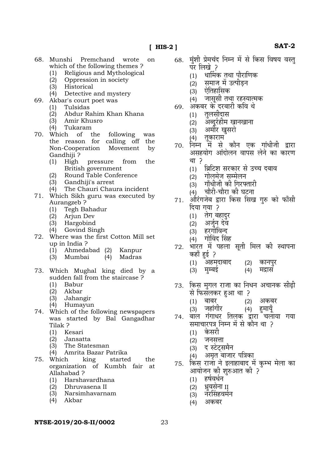- 68. Munshi Premchand wrote on which of the following themes ?
	- (1) Religious and Mythological
	- (2) Oppression in society
	- (3) Historical
	- (4) Detective and mystery
- 69. Akbar's court poet was
	- (1) Tulsidas
	- (2) Abdur Rahim Khan Khana
	- (3) Amir Khusro
	- (4) Tukaram
- 70. Which of the following was the reason for calling off the Non-Cooperation Movement by Gandhiji ?
	- (1) High pressure from the British government
	- (2) Round Table Conference
	- (3) Gandhiji's arrest
	- (4) The Chauri Chaura incident
- 71. Which Sikh guru was executed by Aurangzeb ?
	- (1) Tegh Bahadur
	- (2) Arjun Dev
	- (3) Hargobind
	- (4) Govind Singh
- 72. Where was the first Cotton Mill set up in India ?
	- (1) Ahmedabad (2) Kanpur
	- (3) Mumbai (4) Madras
- 73. Which Mughal king died by a sudden fall from the staircase ?
	- (1) Babur
	- (2) Akbar
	- (3) Jahangir
	- (4) Humayun
- 74. Which of the following newspapers was started by Bal Gangadhar Tilak ?
	- (1) Kesari
	- (2) Jansatta
	- (3) The Statesman
	- (4) Amrita Bazar Patrika
- 75. Which king started the organization of Kumbh fair at Allahabad ?
	- (1) Harshavardhana
	- (2) Dhruvasena II
	- (3) Narsimhavarnam
	- (4) Akbar

#### (3) ऐतिहासिक (4) जासूसी तथा रहस्यात्मक

पर लिखे ?

69. अकबर के दरबारी कवि थे

(1) धार्मिक तथा पौराणिक (2) । समाज में उत्पीडन

- $(1)$  तुलसीदास
	- (2) → अब्दुरेहीम खानखाना
	- (3) → अमीर खुसरो
	- (4) तुकाराम
- 70. निम्न में से कौन एक गांधीजी द्वारा असहयोग आंदोलन वापस लेने का कारण था ?

68. मंशी प्रेमचंद निम्न में से किस विषय वस्त

- (1) ब्रिटिश सरकार से उच्च दबाव
- (2) गोलमेज सम्मेलन
- (3) गाँधीजी की गिरफ्तारी
- (4) चौरी-चौरा की घटना
- 71. औरंगजेब द्वारा किस सिख गुरु को फाँसी दिया गया ?
	- (1) तेग बहादुर
	- (2) अर्जुन देव
	- (3) हरगोविन्द
	- (4) गोविंद सिंह
- $72$ . भारत में पहला सूती मिल की स्थापना कहाँ हुई ?
	- $(1)$  अहमदाबाद  $(2)$  कानपूर
- (3) मुम्बई (4) मद्रास
- 73. किस मुगल राजा का निधन अचानक सीढ़ी से फिसलकर हुआ था ?
	- $(1)$  बाबर  $(2)$  अकबर
	- (3) जहांगीर (4) हमायूँ
- 74. बाल गंगाधर तिलक द्वारा चलाया गया समाचारपत्र निम्न में से कौन था ?
	- (1) केसरी
	- $(2)$  जनसत्ता
	- (3) द स्टेट्समैन
	- (4) अमृत बाजार पत्रिका
- 75. किस राजा ने इलाहाबाद में कुम्भ मेला का आयोजन को शुरुआत को ?
	- (1) हर्षवर्धन
	- $(2)$  ध्रुवसेना II
	- (3) नरसिंहवर्मन
	- (4) अकबर

# **NTSE-2019/20-S-II/0002** 23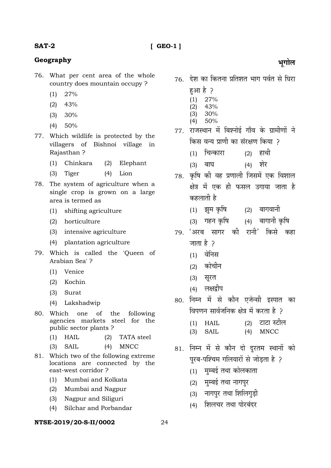#### **SAT-2**

#### $IGEO-1$ ]

#### Geography

- 76. What per cent area of the whole country does mountain occupy?
	- $(1)$ 27%
	- 43%  $(2)$
	- $(3)$ 30%
	- $(4)$ 50%
- 77. Which wildlife is protected by the villagers of Bishnoi village in Rajasthan?
	- Chinkara  $(1)$  $(2)$  Elephant
	- Tiger  $(4)$  Lion  $(3)$
- 78. The system of agriculture when a single crop is grown on a large area is termed as
	- shifting agriculture  $(1)$
	- $(2)$ horticulture
	- (3) intensive agriculture
	- (4) plantation agriculture
- 79. Which is called the 'Queen of Arabian Sea' ?
	- Venice  $(1)$
	- $(2)$ Kochin
	- $(3)$ Surat
	- (4) Lakshadwip
- 80. Which one of the following agencies markets steel for the public sector plants?
	- HAIL  $(2)$ TATA steel  $(1)$
	- $(3)$ **SAIL**  $(4)$ MNCC
- 81. Which two of the following extreme locations are connected by the east-west corridor?
	- Mumbai and Kolkata  $(1)$
	- $(2)$ Mumbai and Nagpur
	- Nagpur and Siliguri  $(3)$
	- Silchar and Porbandar  $(4)$

#### NTSE-2019/20-S-II/0002

# भूगोल

76. देश का कितना प्रतिशत भाग पर्वत से घिरा

- हआ है ?
- 27%  $(1)$
- $(2)$ 43%  $30%$  $(3)$
- $(4)$  $50%$
- 77. राजस्थान में बिश्नोई गाँव के ग्रामीणों ने किस वन्य प्राणी का संरक्षण किया 2
	- (1) चिन्कारा  $(2)$  हाथी
	- (4) शेर (3) बाघ
- 78. कृषि की वह प्रणाली जिसमें एक विशाल क्षेत्र में एक ही फसल उगाया जाता है कहलाती है
	- $(2)$  बागवानी (1) झम कृषि
	- (3) गहन कृषि (4) बागानी कृषि
- 79 'अरब सागर की रानी' किसे कहा जाता है २
	- $(1)$  वेनिस
	- (2) कोचीन
	- (3) सूरत
	- (4) लक्षद्रीप
- 80. निम्न में से कौन एजेन्सी इस्पात का विपणन सार्वजनिक क्षेत्र में करता है 2
	- (2) टाटा स्टील  $(1)$  HAIL
	- **MNCC**  $(3)$ **SAIL**  $(4)$
- 81. निम्न में से कौन दो दूरतम स्थानों को पुरब-पश्चिम गलियारों से जोडता है ?
	- (1) मुम्बई तथा कोलकाता
	- (2) मुम्बई तथा नागपुर
	- (3) नागपुर तथा शिलिगड़ी
	- (4) शिलचर तथा पोरबंदर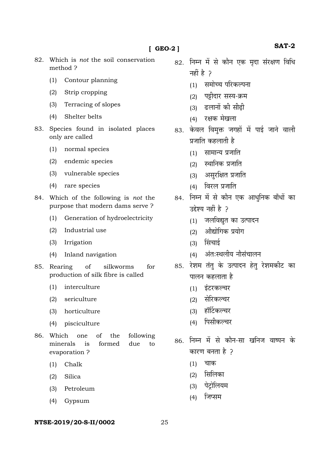- 82. Which is *not* the soil conservation method ?
	- (1) Contour planning
	- (2) Strip cropping
	- (3) Terracing of slopes
	- (4) Shelter belts
- 83. Species found in isolated places only are called
	- (1) normal species
	- (2) endemic species
	- (3) vulnerable species
	- (4) rare species
- 84. Which of the following is *not* the purpose that modern dams serve ?
	- (1) Generation of hydroelectricity
	- (2) Industrial use
	- (3) Irrigation
	- (4) Inland navigation
- 85. Rearing of silkworms for production of silk fibre is called
	- (1) interculture
	- (2) sericulture
	- (3) horticulture
	- (4) pisciculture
- 86. Which one of the following minerals is formed due to evaporation ?
	- (1) Chalk
	- (2) Silica
	- (3) Petroleum
	- (4) Gypsum

#### **NTSE-2019/20-S-II/0002** 25

- $82.$  निम्न में से कौन एक मृदा संरक्षण विधि  $\overrightarrow{AB}$  है ?
	- (1) । समोच्च परिकल्पना
	- (2) । पट्टीदार सस्य-क्रम
	- (3) दलानों की सीढी
	- (4) रक्षक मेखला
- 83. केवल विमुक्त जगहों में पाई जाने वाली प्रजाति कहलाती है
	- $(1)$  सामान्य प्रजाति
	- $(2)$  स्थानिक प्रजाति
	- $(3)$  असरक्षित प्रजाति
	- (4) विरल प्रजाति
- 84. निम्न में से कौन एक आधुनिक बाँधों का उद्देश्य नहीं है ?
	- (1) जलविद्युत का उत्पादन
	- $(2)$  औद्योगिक प्रयोग
	- $(3)$  सिंचाई
	- $(4)$  अंत:स्थलीय नौसंचालन
- 85. रेशम तंत के उत्पादन हेत रेशमकीट का पालन कहलाता है
	- (1) इंटरकल्चर
	- $(2)$  सेरिकल्चर
	- (3) हॉर्टिकल्चर
	- (4) पिसीकल्चर
- 86. निम्न में से कौन-सा खनिज वाष्पन के कारण बनता है २
	- $(1)$  चाक
	- $(2)$  सिलिका
	- (3) पेट्रोलियम
	- (4) जिप्सम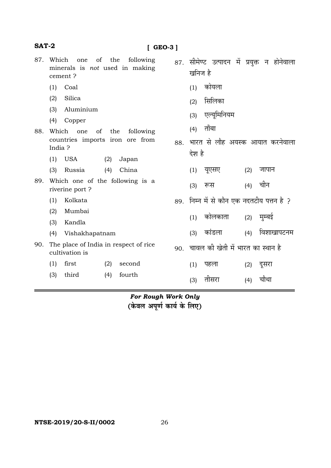| 87. | the<br>Which<br>of<br>following<br>one<br>minerals is <i>not</i> used in making<br>cement? | 87. | खनिज है | सीमेण्ट उत्पादन में प्रयुक्त न होनेवाला   |     |            |
|-----|--------------------------------------------------------------------------------------------|-----|---------|-------------------------------------------|-----|------------|
|     | (1)<br>Coal                                                                                |     | (1)     | कोयला                                     |     |            |
|     | Silica<br>(2)                                                                              |     | (2)     | सिलिका                                    |     |            |
|     | Aluminium<br>(3)                                                                           |     | (3)     | एल्यूमिनियम                               |     |            |
|     | (4)<br>Copper                                                                              |     |         |                                           |     |            |
| 88. | Which<br>of<br>the<br>following<br>one                                                     |     | (4)     | ताँबा                                     |     |            |
|     | countries imports iron ore from<br>India?                                                  | 88. |         | भारत से लौह अयस्क आयात करनेवाला           |     |            |
|     | (1)<br><b>USA</b><br>(2)<br>Japan                                                          |     |         | देश है                                    |     |            |
|     | Russia<br>China<br>(3)<br>(4)                                                              |     | (1)     | यूएसए                                     | (2) | जापान      |
| 89. | Which one of the following is a<br>riverine port?                                          |     | (3)     | रूस                                       | (4) | चीन        |
|     | Kolkata<br>(1)                                                                             |     |         | 89. निम्न में से कौन एक नदतटीय पत्तन है ? |     |            |
|     | Mumbai<br>(2)                                                                              |     |         | कोलकाता                                   |     |            |
|     | Kandla<br>(3)                                                                              |     | (1)     |                                           | (2) | मुम्बई     |
|     | (4)<br>Vishakhapatnam                                                                      |     | (3)     | कांडला                                    | (4) | विशाखापटनम |
| 90. | The place of India in respect of rice<br>cultivation is                                    | 90. |         | चावल की खेती में भारत का स्थान है         |     |            |
|     | (1)<br>first<br>(2)<br>second                                                              |     | (1)     | पहला                                      | (2) | दूसरा      |
|     | third<br>(3)<br>fourth<br>(4)                                                              |     | (3)     | तीसरा                                     | (4) | चौथा       |

*For Rough Work Only*  (केवल अपूर्ण कार्य के लिए)

**NTSE-2019/20-S-II/0002** 26

# **SAT-2**

# **[ GEO-3 ]**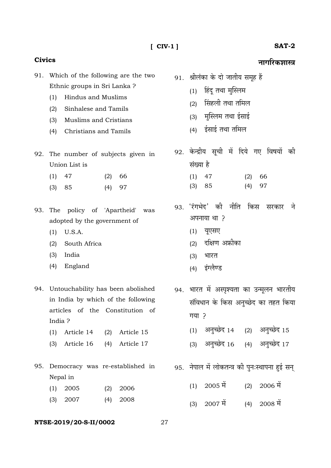#### **SAT-2**

#### **Civics**

91. Which of the following are the two Ethnic groups in Sri Lanka ?

(1) Hindus and Muslims

(2) Sinhalese and Tamils

- (3) Muslims and Cristians
- (4) Christians and Tamils
- 92. The number of subjects given in Union List is
- (1) 47 (2) 66
- (3) 85 (4) 97
- 93. The policy of 'Apartheid' was adopted by the government of
	- (1) U.S.A.
	- (2) South Africa
	- (3) India
	- (4) England
- 94. Untouchability has been abolished in India by which of the following articles of the Constitution of India ?
	- (1) Article 14 (2) Article 15
	- (3) Article 16 (4) Article 17
- 95. Democracy was re-established in Nepal in
	- (1) 2005 (2) 2006
	- (3) 2007 (4) 2008

#### **NTSE-2019/20-S-II/0002** 27

## <u>नागरिकशास्त्र</u>

- 91. श्रीलंका के दो जातीय समूह हैं
	- $(1)$  हिंदु तथा मुस्लिम
	- $(2)$  सिंहली तथा तमिल
	- (3) मुस्लिम तथा ईसाई
	- $(4)$  ईसाई तथा तमिल

92. केन्द्रीय सूची में दिये गए विषयों की संख्या है

- (1) 47 (2) 66 (3) 85 (4) 97
- 93. 'रंगभेद' की नीति किस सरकार ने अपनाया था ?
	- $(1)$  यूएसए
	- $(2)$  दक्षिण अफ्रीका
	- (3) भारत
	- (4) इंग्लैण्ड
- 94. भारत में अस्पृश्यता का उन्मूलन भारतीय संविधान के किस अनुच्छेद का तहत किया  $T^{\text{H}}$  ?
	- $(1)$  अनुच्छेद 14  $(2)$  अनुच्छेद 15
	- (3) अनुच्छेद 16 (4) अनुच्छेद 17
- 95. नेपाल में लोकतन्त्र की पुनःस्थापना हुई सन्
	- $(1)$  2005  $\vec{H}$  (2) 2006  $\vec{H}$
	- $(3)$  2007  $\ddot{q}$  (4) 2008  $\ddot{q}$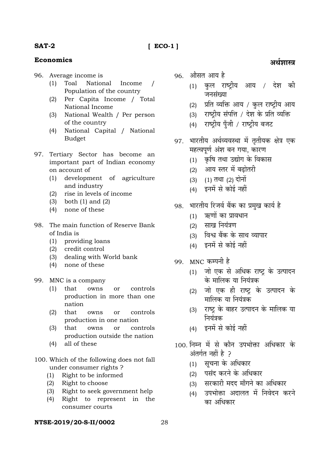#### $[ECO-1]$

# **Economics**

- 96. Average income is
	- $(1)$  Toal National Income  $\prime$ Population of the country
	- Per Capita Income / Total  $(2)$ National Income
	- $(3)$ National Wealth / Per person of the country
	- National Capital / National  $(4)$ **Budget**
- 97. Tertiary Sector has become an important part of Indian economy on account of
	- (1) development of agriculture and industry
	- $(2)$ rise in levels of income
	- $(3)$ both  $(1)$  and  $(2)$
	- (4) none of these
- 98. The main function of Reserve Bank of India is
	- (1) providing loans
	- (2) credit control
	- dealing with World bank  $(3)$
	- $(4)$ none of these
- 99. MNC is a company
	- $(1)$  that owns **or** controls production in more than one nation
	- $(2)$  that owns or controls production in one nation
	- owns <sub>or</sub>  $(3)$ that controls production outside the nation
	- $(4)$ all of these
- 100. Which of the following does not fall under consumer rights?
	- (1) Right to be informed
	- Right to choose  $(2)$
	- Right to seek government help  $(3)$
	- Right to represent in the  $(4)$ consumer courts

#### NTSE-2019/20-S-II/0002

- 96. औसत आय है
	- (1) कुल राष्ट्रीय आय / देश की जनसंख्या

अर्थशास्त्र

- (2) प्रति व्यक्ति आय / कुल राष्ट्रीय आय
- राष्ट्रीय संपत्ति / देश के प्रति व्यक्ति  $(3)$
- राष्टीय पँजी / राष्टीय बजट  $(4)$
- भारतीय अर्थव्यवस्था में तृतीयक क्षेत्र एक 97. महत्वपूर्ण अंश बन गया, कारण
	- (1) कृषि तथा उद्योग के विकास
	- (2) आय स्तर में बढोतरी
	- $(3)$   $(1)$  तथा  $(2)$  दोनों
	- (4) इनमें से कोई नहीं
- भारतीय रिजर्व बैंक का प्रमुख कार्य है 98.
	- (1) ऋणों का प्रावधान
	- (2) साख नियंत्रण
	- (3) विश्व बैंक के साथ व्यापार
	- (4) इनमें से कोई नहीं
- 99. MNC कम्पनी है
	- (1) जो एक से अधिक राष्ट्र के उत्पादन के मालिक या नियंत्रक
	- (2) जो एक ही राष्ट्र के उत्पादन के मालिक या नियंत्रक
	- (3) राष्ट्र के बाहर उत्पादन के मालिक या नियंत्रक
	- (4) इनमें से कोई नहीं
- 100 निम्न में से कौन उपभोक्ता अधिकार के अंतर्गत नहीं है २
	- सूचना के अधिकार  $(1)$
	- पसंद करने के अधिकार  $(2)$
	- सरकारी मदद माँगने का अधिकार  $(3)$
	- उपभोक्ता अदालत में निवेदन करने  $(4)$ का अधिकार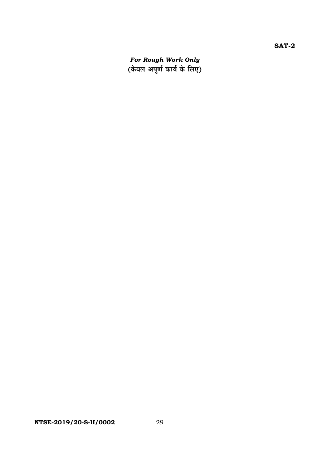*For Rough Work Only*<br>(केवल अपूर्ण कार्य के लिए)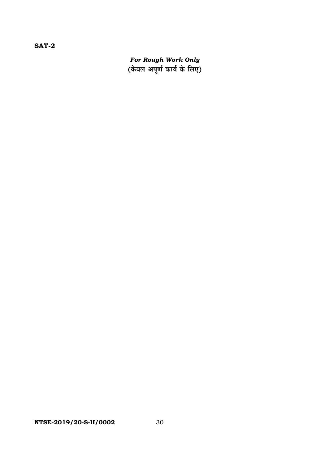**SAT-2** 

*For Rough Work Only*<br>(केवल अपूर्ण कार्य के लिए)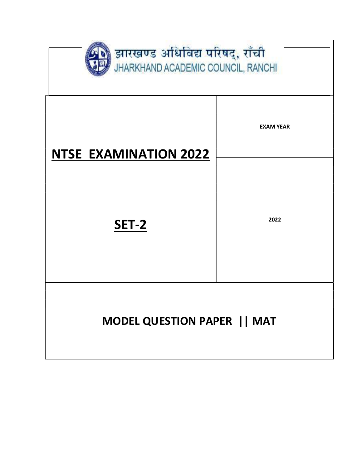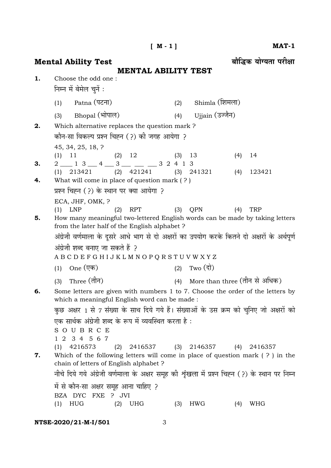|    | $M - 1$                                                                                                                                                                                                                                                                           |     |                                   |     | MAT-1                   |
|----|-----------------------------------------------------------------------------------------------------------------------------------------------------------------------------------------------------------------------------------------------------------------------------------|-----|-----------------------------------|-----|-------------------------|
|    | <b>Mental Ability Test</b>                                                                                                                                                                                                                                                        |     |                                   |     | बौद्धिक योग्यता परीक्षा |
|    | <b>MENTAL ABILITY TEST</b>                                                                                                                                                                                                                                                        |     |                                   |     |                         |
| 1. | Choose the odd one:<br>निम्न में बेमेल चुनें :                                                                                                                                                                                                                                    |     |                                   |     |                         |
|    | (1) Patna (पटना)                                                                                                                                                                                                                                                                  | (2) | Shimla (शिमला)                    |     |                         |
|    | (3) Bhopal (भोपाल)                                                                                                                                                                                                                                                                | (4) | Ujjain (उज्जैन)                   |     |                         |
| 2. | Which alternative replaces the question mark?<br>कौन-सा विकल्प प्रश्न चिह्न (?) की जगह आयेगा ?<br>45, 34, 25, 18, ?                                                                                                                                                               |     |                                   |     |                         |
| 3. | $(2)$ 12<br>(1)<br>11                                                                                                                                                                                                                                                             | (3) | 13                                | (4) | 14                      |
| 4. | $\frac{2}{(1)}$ 1 3 4 $\frac{3}{(2)}$ 4 $\frac{3}{421241}$ 3 2 4 1 3<br>(1) 213421 (2) 421241 (3) 241321<br>What will come in place of question mark $(?)$                                                                                                                        |     |                                   | (4) | 123421                  |
|    | प्रश्न चिह्न (?) के स्थान पर क्या आयेगा ?                                                                                                                                                                                                                                         |     |                                   |     |                         |
| 5. | ECA, JHF, OMK, ?<br>$(2)$ RPT<br>$(1)$ LNP<br>How many meaningful two-lettered English words can be made by taking letters<br>from the later half of the English alphabet?                                                                                                        | (3) | QPN                               | (4) | <b>TRP</b>              |
|    | अंग्रेजी वर्णमाला के दूसरे आधे भाग से दो अक्षरों का उपयोग करके कितने दो अक्षरों के अर्थपूर्ण                                                                                                                                                                                      |     |                                   |     |                         |
|    | अंग्रेजी शब्द बनाए जा सकते हैं ?                                                                                                                                                                                                                                                  |     |                                   |     |                         |
|    | A B C D E F G H I J K L M N O P Q R S T U V W X Y Z<br>(1) One (एक)                                                                                                                                                                                                               |     | $(2)$ Two $(\overrightarrow{5})$  |     |                         |
|    | (3) Three (तीन)                                                                                                                                                                                                                                                                   |     | (4) More than three (तीन से अधिक) |     |                         |
| 6. | Some letters are given with numbers 1 to 7. Choose the order of the letters by                                                                                                                                                                                                    |     |                                   |     |                         |
|    | which a meaningful English word can be made:<br>कुछ अक्षर 1 से 7 संख्या के साथ दिये गये हैं। संख्याओं के उस क्रम को चुनिए जो अक्षरों को                                                                                                                                           |     |                                   |     |                         |
|    | एक सार्थक अंग्रेजी शब्द के रूप में व्यवस्थित करता है :                                                                                                                                                                                                                            |     |                                   |     |                         |
|    | SOUBRCE                                                                                                                                                                                                                                                                           |     |                                   |     |                         |
| 7. | 1 2 3 4 5 6 7<br>4216573<br>2416537<br>(2)<br>(1)<br>Which of the following letters will come in place of question mark $( ? )$ in the<br>chain of letters of English alphabet?<br>नीचे दिये गये अंग्रेजी वर्णमाला के अक्षर समूह की शृंखला में प्रश्न चिह्न (?) के स्थान पर निम्न |     | $(3)$ 2146357                     | (4) | 2416357                 |
|    | में से कौन-सा अक्षर समूह आना चाहिए ?                                                                                                                                                                                                                                              |     |                                   |     |                         |
|    | BZA DYC FXE ? JVI<br>HUG<br>(1)<br>(2)<br>UHG                                                                                                                                                                                                                                     | (3) | <b>HWG</b>                        | (4) | WHG                     |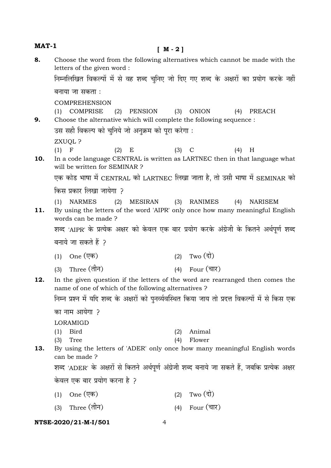| MAT-1 | $[M - 2]$                                                                                                                                                 |                      |                |
|-------|-----------------------------------------------------------------------------------------------------------------------------------------------------------|----------------------|----------------|
| 8.    | Choose the word from the following alternatives which cannot be made with the<br>letters of the given word :                                              |                      |                |
|       | निम्नलिखित विकल्पों में से वह शब्द चुनिए जो दिए गए शब्द के अक्षरों का प्रयोग करके नहीं                                                                    |                      |                |
|       | बनाया जा सकता :                                                                                                                                           |                      |                |
|       | <b>COMPREHENSION</b>                                                                                                                                      |                      |                |
| 9.    | COMPRISE<br>(2)<br>PENSION<br>(3)<br>(1)                                                                                                                  | ONION<br>(4)         | PREACH         |
|       | Choose the alternative which will complete the following sequence :<br>उस सही विकल्प को चुनिये जो अनुक्रम को पूरा करेगा :                                 |                      |                |
|       | ZXUQL ?                                                                                                                                                   |                      |                |
|       | $(3)$ C<br>(1)<br>$\mathbf F$<br>(2)<br>E                                                                                                                 | (4)                  | H              |
| 10.   | In a code language CENTRAL is written as LARTNEC then in that language what<br>will be written for SEMINAR?                                               |                      |                |
|       | एक कोड भाषा में CENTRAL को LARTNEC लिखा जाता है, तो उसी भाषा में SEMINAR को                                                                               |                      |                |
|       | किस प्रकार लिखा जायेगा ?                                                                                                                                  |                      |                |
| 11.   | <b>NARMES</b><br>MESIRAN (3) RANIMES<br>(1)<br>(2)<br>By using the letters of the word 'AIPR' only once how many meaningful English<br>words can be made? | (4)                  | <b>NARISEM</b> |
|       | शब्द 'AIPR' के प्रत्येक अक्षर को केवल एक बार प्रयोग करके अंग्रेजी के कितने अर्थपूर्ण शब्द                                                                 |                      |                |
|       | बनाये जा सकते हैं ?                                                                                                                                       |                      |                |
|       | (2) Two $(\vec{q})$<br>(1) One (एक)                                                                                                                       |                      |                |
|       | (3) Three (तीन)<br>Four (चार)<br>(4)                                                                                                                      |                      |                |
| 12.   | In the given question if the letters of the word are rearranged then comes the<br>name of one of which of the following alternatives?                     |                      |                |
|       | निम्न प्रश्न में यदि शब्द के अक्षरों को पुनर्व्यवस्थित किया जाय तो प्रदत्त विकल्पों में से किस एक                                                         |                      |                |
|       | का नाम आयेगा ?                                                                                                                                            |                      |                |
|       | LORAMIGD                                                                                                                                                  |                      |                |
|       | <b>Bird</b><br>Animal<br>(2)<br>(1)<br>Tree<br>Flower<br>(4)<br>(3)                                                                                       |                      |                |
| 13.   | By using the letters of 'ADER' only once how many meaningful English words<br>can be made?                                                                |                      |                |
|       | शब्द 'ADER' के अक्षरों से कितने अर्थपूर्ण अंग्रेजी शब्द बनाये जा सकते हैं, जबकि प्रत्येक अक्षर                                                            |                      |                |
|       | केवल एक बार प्रयोग करना है ?                                                                                                                              |                      |                |
|       | Two $(\vec{a})$<br>One (एक)<br>(2)<br>(1)                                                                                                                 |                      |                |
|       | Three (तीन)<br>(3)<br>(4)                                                                                                                                 | Four $(\overline{u}$ |                |
|       |                                                                                                                                                           |                      |                |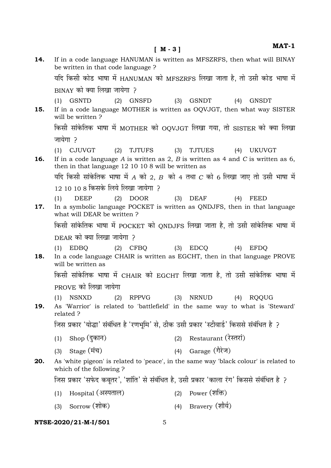**14.** If in a code language HANUMAN is written as MFSZRFS, then what will BINAY be written in that code language ? यदि किसी कोड भाषा में HANUMAN को MFSZRFS लिखा जाता है, तो उसी कोड भाषा में BINAY को क्या लिखा जायेगा 2 (1) GSNTD (2) GNSFD (3) GSNDT (4) GNSDT **15.** If in a code language MOTHER is written as OQVJGT, then what way SISTER will be written ? किसी सांकेतिक भाषा में MOTHER को OOVJGT लिखा गया. तो SISTER को क्या लिखा जायेगा ? (1) CJUVGT (2) TJTUFS (3) TJTUES (4) UKUVGT **16.** If in a code language *A* is written as 2, *B* is written as 4 and *C* is written as 6, then in that language 12 10 10 8 will be written as  $\,$ यदि किसी सांकेतिक भाषा में  $\,$  को  $\,$  2,  $\,$  *B* को 4 तथा  $\,$  को 6 लिखा जाए तो उसी भाषा में  $12\ 10\ 10\ 8$  किसके लिये लिखा जायेगा २ (1) DEEP (2) DOOR (3) DEAF (4) FEED **17.** In a symbolic language POCKET is written as QNDJFS, then in that language what will DEAR be written ? िकसी सांकेतिक भाषा में POCKET को ONDJFS लिखा जाता है. तो उसी सांकेतिक भाषा में DEAR को क्या लिखा जायेगा 2 (1) EDBQ (2) CFBQ (3) EDCQ (4) EFDQ **18.** In a code language CHAIR is written as EGCHT, then in that language PROVE will be written as किसी सांकेतिक भाषा में CHAIR को EGCHT लिखा जाता है, तो उसी सांकेतिक भाषा में  $PROVE$  को लिखा जायेगा (1) NSNXD (2) RPPVG (3) NRNUD (4) RQQUG **19.** As 'Warrior' is related to 'battlefield' in the same way to what is 'Steward' related ? जिस प्रकार 'योद्धा' संबंधित है 'रणभूमि' से, ठीक उसी प्रकार 'स्टीवार्ड' किससे संबंधित है ? (1) Shop (दुकान)  $(2)$  Restaurant (रेस्तरां)  $(3)$  Stage  $(\dot{H} \dot{\mathbf{\tau}})$  (4) Garage  $(\dot{\mathbf{\tau}})$ **20.** As 'white pigeon' is related to 'peace', in the same way 'black colour' is related to which of the following ? जिस प्रकार 'सफेद कबूतर', 'शांति' से संबंधित है, उसी प्रकार 'काला रंग' किससे संबंधित है ?  $(1)$  Hospital (अस्पताल)  $(2)$  Power (शक्ति) (3) Sorrow (शोक) (4) Bravery (शौर्य) **[ M - 3 ]** 

#### **NTSE-2020/21-M-I/501** 5

**MAT-1**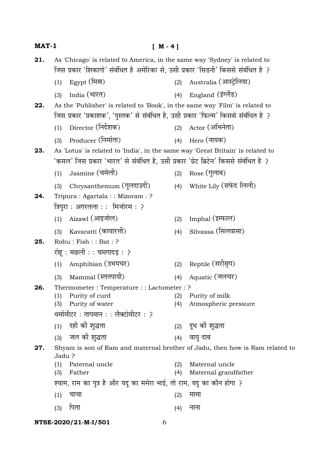| MAT-1 |                                                                                  | $[M-4]$                                                                               |     |                                                                              |  |
|-------|----------------------------------------------------------------------------------|---------------------------------------------------------------------------------------|-----|------------------------------------------------------------------------------|--|
| 21.   |                                                                                  | As 'Chicago' is related to America, in the same way 'Sydney' is related to            |     |                                                                              |  |
|       | जिस प्रकार 'शिकागो' संबंधित है अमेरिका से, उसी प्रकार 'सिडनी' किससे संबंधित है ? |                                                                                       |     |                                                                              |  |
|       | (1)                                                                              | Egypt (मिस्र)                                                                         |     | (2) Australia (आस्ट्रेलिया)                                                  |  |
|       | (3)                                                                              | India (भारत)                                                                          |     | (4) England (इंग्लैंड)                                                       |  |
| 22.   |                                                                                  | As the 'Publisher' is related to 'Book', in the same way 'Film' is related to         |     |                                                                              |  |
|       |                                                                                  | जिस प्रकार 'प्रकाशक', 'पुस्तक' से संबंधित है, उसी प्रकार 'फिल्म' किससे संबंधित है  ?  |     |                                                                              |  |
|       | (1)                                                                              | Director (निर्देशक)                                                                   |     | (2) Actor (अभिनेता)                                                          |  |
|       | (3)                                                                              | Producer (निर्माता)                                                                   | (4) | Hero (नायक)                                                                  |  |
| 23.   |                                                                                  | As 'Lotus' is related to 'India', in the same way 'Great Britain' is related to       |     |                                                                              |  |
|       |                                                                                  | 'कमल' जिस प्रकार 'भारत' से संबंधित है, उसी प्रकार 'ग्रेट ब्रिटेन' किससे संबंधित है  ? |     |                                                                              |  |
|       | (1)                                                                              | Jasmine (चमेली)                                                                       |     | (2) Rose (गुलाब)                                                             |  |
|       | (3)                                                                              | Chrysanthemum (गुलदाउदी)                                                              |     | (4) White Lily (सफेद लिली)                                                   |  |
| 24.   |                                                                                  | Tripura: Agartala:: Mizoram: ?                                                        |     |                                                                              |  |
|       |                                                                                  | त्रिपुरा : अगरतला : : मिजोरम : ?                                                      |     |                                                                              |  |
|       |                                                                                  | (1) Aizawl (आइजोल)                                                                    | (2) | Imphal (इम्फाल)                                                              |  |
|       |                                                                                  | (3) Kavaratti (कावारत्ती)                                                             | (4) | Silvassa (सिलवासा)                                                           |  |
| 25.   |                                                                                  | Rohu : Fish :: Bat : ?                                                                |     |                                                                              |  |
|       |                                                                                  | रोहू : मछली : : चमगादड़ : ?                                                           |     |                                                                              |  |
|       | (1)                                                                              | Amphibian (उभयचर)                                                                     |     | (2) Reptile (सरीसृप)                                                         |  |
|       | (3)                                                                              | Mammal (स्तनपायी)                                                                     | (4) | Aquatic (जलचर)                                                               |  |
| 26.   |                                                                                  | Thermometer: Temperature:: Lactometer: ?                                              |     |                                                                              |  |
|       | (1)                                                                              | Purity of curd                                                                        | (2) | Purity of milk                                                               |  |
|       | (3)                                                                              | Purity of water                                                                       | (4) | Atmospheric pressure                                                         |  |
|       |                                                                                  | थर्मामीटर : तापमान : : लैक्टोमीटर : ?                                                 |     |                                                                              |  |
|       |                                                                                  | (1) दही की शुद्धता                                                                    |     | (2) दूध को शुद्धता                                                           |  |
|       | (3)                                                                              | जल की शुद्धता                                                                         | (4) | वायु दाब                                                                     |  |
| 27.   | Jadu?                                                                            |                                                                                       |     | Shyam is son of Ram and maternal brother of Jadu, then how is Ram related to |  |
|       | (1)                                                                              | Paternal uncle                                                                        | (2) | Maternal uncle                                                               |  |
|       | (3)                                                                              | Father                                                                                | (4) | Maternal grandfather                                                         |  |
|       |                                                                                  | श्याम, राम का पुत्र है और यदु का ममेरा भाई, तो राम, यदु का कौन होगा ?                 |     |                                                                              |  |
|       | (1)                                                                              | चाचा                                                                                  | (2) | मामा                                                                         |  |
|       | (3)                                                                              | पिता                                                                                  | (4) | नाना                                                                         |  |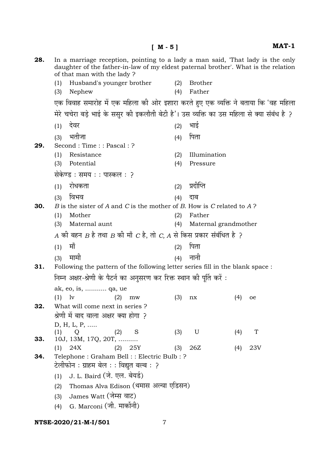28. In a marriage reception, pointing to a lady a man said, 'That lady is the only daughter of the father-in-law of my eldest paternal brother'. What is the relation of that man with the lady? Husband's younger brother **Brother**  $(1)$  $(2)$  $(3)$ Nephew  $(4)$ Father एक विवाह समारोह में एक महिला की ओर इशारा करते हए एक व्यक्ति ने बताया कि 'वह महिला मेरे चचेरा बड़े भाई के ससर की इकलौती बेटी है'। उस व्यक्ति का उस महिला से क्या संबंध है ? देवर भाई  $(1)$  $(2)$ भतीजा पिता  $(3)$  $(4)$ Second: Time:: Pascal: ? 29.  $(1)$ Resistance  $(2)$ Illumination (3) Potential  $(4)$ Pressure सेकेण्ड: समय : : पास्कल : २ रोधकता प्रदीप्ति  $(1)$  $(2)$ (3) विभव  $(4)$ दाब B is the sister of A and C is the mother of B. How is C related to A? 30.  $(1)$ Mother  $(2)$ Father Maternal aunt (4) Maternal grandmother  $(3)$ A की बहन  $B$  है तथा  $B$  की माँ  $C$  है, तो  $C$ , A से किस प्रकार संबंधित है ?  $(1)$ माँ पिता  $(2)$ (4) नानी मामी  $(3)$ 31. Following the pattern of the following letter series fill in the blank space : निम्न अक्षर-श्रेणी के पैटर्न का अनुसरण कर रिक्त स्थान की पूर्ति करें: ak, eo, is, ........... qa, ue  $(1)$  $1v$  $(2)$  mw  $(3)$  $(4)$  oe  $nx$ 32. What will come next in series ? श्रेणी में बाद वाला अक्षर क्या होगा ? D, H, L, P, ..... S  $\mathbf U$ T  $(1)$  $(2)$  $(3)$  $(4)$  $\Omega$  $33<sub>1</sub>$ 10J, 13M, 17Q, 20T, .........  $(1)$ 24X  $25Y$  $26Z$  $23V$  $(2)$  $(3)$  $(4)$ 34. Telephone: Graham Bell: : Electric Bulb: ? टेलीफोन : ग्राहम बेल : : विद्युत बल्ब : ? J. L. Baird (जे. एल. बेयर्ड)  $(1)$ Thomas Alva Edison (थमास अल्वा एडिसन)  $(2)$ James Watt (जेम्स वाट)  $(3)$ G. Marconi (जी. मार्कोनी)  $(4)$ 

 $[M - 5]$ 

#### NTSE-2020/21-M-I/501

 $MAT-1$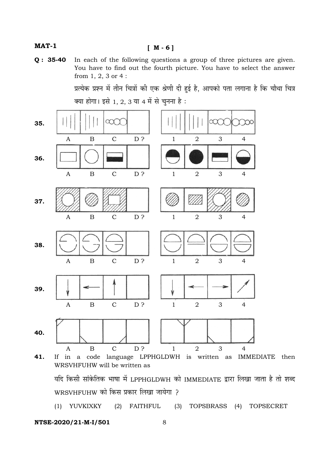#### $MAT-1$

 $Q: 35-40$ In each of the following questions a group of three pictures are given. You have to find out the fourth picture. You have to select the answer from  $1, 2, 3$  or  $4$ :

> प्रत्येक प्रश्न में तीन चित्रों की एक श्रेणी दी हुई है, आपको पता लगाना है कि चौथा चित्र क्या होगा। इसे 1, 2, 3 या 4 में से चुनना है :



यदि किसी सांकेतिक भाषा में LPPHGLDWH को IMMEDIATE द्वारा लिखा जाता है तो शब्द WRSVHFUHW को किस प्रकार लिखा जायेगा ?

(1) YUVKIXKY (2) FAITHFUL TOPSBRASS (4) TOPSECRET  $(3)$ 

NTSE-2020/21-M-I/501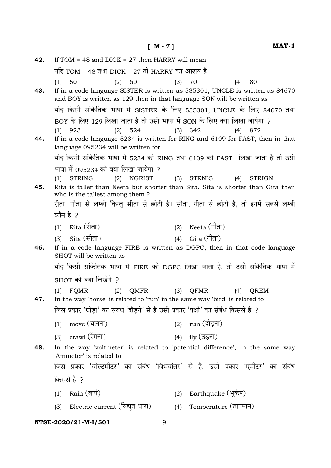| 42. | If TOM = 48 and DICK = $27$ then HARRY will mean                                                                                                                                                                                                                                                              |                                                       |
|-----|---------------------------------------------------------------------------------------------------------------------------------------------------------------------------------------------------------------------------------------------------------------------------------------------------------------|-------------------------------------------------------|
|     | यदि TOM = 48 तथा DICK = 27 तो HARRY का आशय है                                                                                                                                                                                                                                                                 |                                                       |
| 43. | (1)<br>50<br>(2)<br>60<br>If in a code language SISTER is written as 535301, UNCLE is written as 84670<br>and BOY is written as 129 then in that language SON will be written as<br>यदि किसी सांकेतिक भाषा में SISTER के लिए 535301, UNCLE के लिए 84670 तथा                                                   | (3)<br>70<br>80<br>(4)                                |
| 44. | BOY के लिए 129 लिखा जाता है तो उसी भाषा में SON के लिए क्या लिखा जायेगा ?<br>$(2)$ 524<br>$(1)$ 923<br>If in a code language 5234 is written for RING and 6109 for FAST, then in that<br>language 095234 will be written for<br>यदि किसी सांकेतिक भाषा में 5234 को RING तथा 6109 को FAST  लिखा जाता है तो उसी | $(3)$ 342<br>$(4)$ 872                                |
| 45. | भाषा में 095234 को क्या लिखा जायेगा ?<br><b>STRING</b><br>NGRIST (3)<br>(2)<br>(1)<br>Rita is taller than Neeta but shorter than Sita. Sita is shorter than Gita then<br>who is the tallest among them?<br>रीता, नीता से लम्बी किन्तु सीता से छोटी है। सीता, गीता से छोटी है, तो इनमें सबसे लम्बी             | <b>STRNIG</b><br><b>STRIGN</b><br>(4)                 |
|     | कौन है ?<br>$(1)$ Rita (रीता)                                                                                                                                                                                                                                                                                 | Neeta (नीता)                                          |
| 46. | (3) Sita (सीता)<br>If in a code language FIRE is written as DGPC, then in that code language<br>SHOT will be written as                                                                                                                                                                                       | (2)<br>$(4)$ Gita $(\overline{\eta} \overline{\eta})$ |
|     | यदि किसी सांकेतिक भाषा में FIRE को DGPC लिखा जाता है, तो उसी सांकेतिक भाषा में                                                                                                                                                                                                                                |                                                       |
|     | SHOT को क्या लिखेंगे ?                                                                                                                                                                                                                                                                                        |                                                       |
| 47. | FQMR<br>(2)<br>QMFR<br>(1)<br>In the way 'horse' is related to 'run' in the same way 'bird' is related to<br>जिस प्रकार 'घोड़ा' का संबंध 'दौड़ने' से है उसी प्रकार 'पक्षी' का संबंध किससे है ?                                                                                                                | (3)<br>QFMR<br>(4)<br>QREM                            |
|     | $(1)$ move (चलना)                                                                                                                                                                                                                                                                                             | (2) run (दौड़ना)                                      |
|     | (3) $crawl(\tilde{\mathcal{X}}\mathcal{H})$                                                                                                                                                                                                                                                                   | (4) fly (उड़ना)                                       |
| 48. | In the way 'voltmeter' is related to 'potential difference', in the same way<br>'Ammeter' is related to                                                                                                                                                                                                       |                                                       |
|     | जिस प्रकार 'वोल्टमीटर' का संबंध 'विभवांतर' से है, उसी प्रकार 'एमीटर' का संबंध                                                                                                                                                                                                                                 |                                                       |
|     | किससे है ?                                                                                                                                                                                                                                                                                                    |                                                       |
|     | (1) Rain (वर्षा)                                                                                                                                                                                                                                                                                              | Earthquake (भूकंप)<br>(2)                             |
|     | (3) Electric current (विद्युत धारा)                                                                                                                                                                                                                                                                           | Temperature (तापमान)<br>(4)                           |
|     |                                                                                                                                                                                                                                                                                                               |                                                       |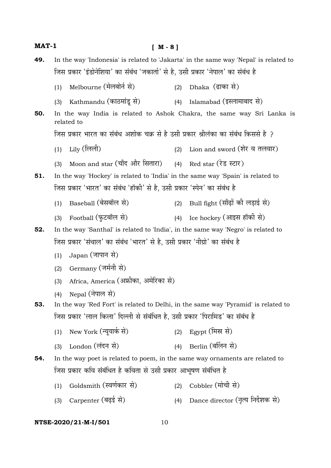| MAT-1 |                                                                                  | $[M-8]$                                                                            |     |                                                                                      |  |
|-------|----------------------------------------------------------------------------------|------------------------------------------------------------------------------------|-----|--------------------------------------------------------------------------------------|--|
| 49.   |                                                                                  |                                                                                    |     | In the way 'Indonesia' is related to 'Jakarta' in the same way 'Nepal' is related to |  |
|       | जिस प्रकार 'इंडोनेशिया' का संबंध 'जकार्ता' से है, उसी प्रकार 'नेपाल' का संबंध है |                                                                                    |     |                                                                                      |  |
|       | (1)                                                                              | Melbourne (मेलबोर्न से)                                                            | (2) | Dhaka (ढाका से)                                                                      |  |
|       | (3)                                                                              | Kathmandu (काठमांडू से)                                                            |     | (4) Islamabad (इस्लामाबाद से)                                                        |  |
| 50.   |                                                                                  | related to                                                                         |     | In the way India is related to Ashok Chakra, the same way Sri Lanka is               |  |
|       |                                                                                  | जिस प्रकार भारत का संबंध अशोक चक्र से है उसी प्रकार श्रीलंका का संबंध किससे है ?   |     |                                                                                      |  |
|       | (1)                                                                              | Lily (लिली)                                                                        |     | (2) Lion and sword (शेर व तलवार)                                                     |  |
|       | (3)                                                                              | Moon and star (चाँद और सितारा)                                                     |     | (4) Red star (रेड स्टार)                                                             |  |
| 51.   |                                                                                  | In the way 'Hockey' is related to 'India' in the same way 'Spain' is related to    |     |                                                                                      |  |
|       |                                                                                  | जिस प्रकार 'भारत' का संबंध 'हॉकी' से है, उसी प्रकार 'स्पेन' का संबंध है            |     |                                                                                      |  |
|       | (1)                                                                              | Baseball (बेसबॉल से)                                                               |     | (2) Bull fight (साँढ़ों की लड़ाई से)                                                 |  |
|       | (3)                                                                              | Football (फुटबॉल से)                                                               |     | (4) Ice hockey (आइस हॉकी से)                                                         |  |
| 52.   |                                                                                  | In the way 'Santhal' is related to 'India', in the same way 'Negro' is related to  |     |                                                                                      |  |
|       |                                                                                  | जिस प्रकार 'संथाल' का संबंध 'भारत' से है, उसी प्रकार 'नीग्रो' का संबंध है          |     |                                                                                      |  |
|       | (1)                                                                              | Japan (जापान से)                                                                   |     |                                                                                      |  |
|       | (2)                                                                              | Germany (जर्मनी से)                                                                |     |                                                                                      |  |
|       | (3)                                                                              | Africa, America (अफ्रीका, अमेरिका से)                                              |     |                                                                                      |  |
|       | (4)                                                                              | Nepal (नेपाल से)                                                                   |     |                                                                                      |  |
| 53.   |                                                                                  | In the way 'Red Fort' is related to Delhi, in the same way 'Pyramid' is related to |     |                                                                                      |  |
|       |                                                                                  | जिस प्रकार 'लाल किला' दिल्ली से संबंधित है, उसी प्रकार 'पिरामिड' का संबंध है       |     |                                                                                      |  |
|       | (1)                                                                              | New York (न्यूयार्क से)                                                            |     | (2) Egypt (मिस्र से)                                                                 |  |
|       | (3)                                                                              | London (लंदन से)                                                                   |     | (4) Berlin (बर्लिन से)                                                               |  |
| 54.   |                                                                                  | In the way poet is related to poem, in the same way ornaments are related to       |     |                                                                                      |  |
|       |                                                                                  | जिस प्रकार कवि संबंधित है कविता से उसी प्रकार आभूषण संबंधित है                     |     |                                                                                      |  |
|       | (1)                                                                              | Goldsmith (स्वर्णकार से)                                                           | (2) | Cobbler (मोची से)                                                                    |  |
|       | (3)                                                                              | Carpenter (बढ़ई से)                                                                | (4) | Dance director (नृत्य निर्देशक से)                                                   |  |
|       |                                                                                  |                                                                                    |     |                                                                                      |  |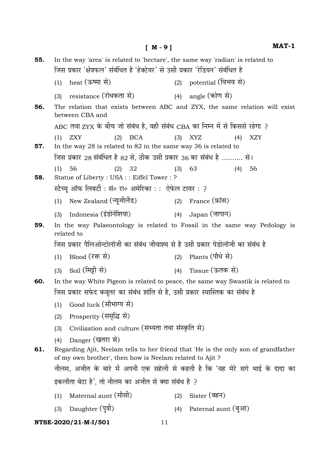|     |                                                                                                                                           | $[M - 9]$                  | MAT-1 |  |  |  |
|-----|-------------------------------------------------------------------------------------------------------------------------------------------|----------------------------|-------|--|--|--|
| 55. | In the way 'area' is related to 'hectare', the same way 'radian' is related to                                                            |                            |       |  |  |  |
|     | जिस प्रकार 'क्षेत्रफल' संबंधित है 'हेक्टेयर' से उसी प्रकार 'रेडियन' संबंधित है                                                            |                            |       |  |  |  |
|     | heat (ऊष्मा से)<br>(1)                                                                                                                    | (2) potential (विभव से)    |       |  |  |  |
|     | resistance (रोधकता से)<br>(3)                                                                                                             | (4) angle (कोण से)         |       |  |  |  |
| 56. | The relation that exists between ABC and ZYX, the same relation will exist<br>between CBA and                                             |                            |       |  |  |  |
|     | ABC तथा ZYX के बीच जो संबंध है, वही संबंध CBA का निम्न में से किससे रहेगा ?                                                               |                            |       |  |  |  |
|     | <b>ZXY</b><br><b>BCA</b><br>(1)<br>(2)                                                                                                    | (3)<br>XYZ<br>(4)          | XZY   |  |  |  |
| 57. | In the way 28 is related to 82 in the same way 36 is related to                                                                           |                            |       |  |  |  |
|     | जिस प्रकार 28 संबंधित है 82 से, ठीक उसी प्रकार 36 का संबंध है  से।                                                                        |                            |       |  |  |  |
| 58. | 56<br>(2)<br>32<br>(1)<br>Statue of Liberty: USA:: Eiffel Tower: ?                                                                        | (3)<br>63<br>(4)<br>56     |       |  |  |  |
|     | स्टैच्यू ऑफ लिबर्टी : सं० रा० अमेरिका : : ऐफेल टावर : ?                                                                                   |                            |       |  |  |  |
|     | New Zealand (न्यूजीलैंड)<br>(1)                                                                                                           | France (फ्रांस)<br>(2)     |       |  |  |  |
|     | Indonesia (इंडोनेशिया)<br>(3)                                                                                                             | Japan (जापान)<br>(4)       |       |  |  |  |
| 59. | In the way Palaeontology is related to Fossil in the same way Pedology is                                                                 |                            |       |  |  |  |
|     | related to                                                                                                                                |                            |       |  |  |  |
|     | जिस प्रकार पैलिओन्टोलॉजी का संबंध जीवाश्म से है उसी प्रकार पेडोलॉजी का संबंध है                                                           |                            |       |  |  |  |
|     | Blood (रक्त से)<br>(1)                                                                                                                    | Plants (पौधे से)<br>(2)    |       |  |  |  |
|     | Soil (मिट्टी से)<br>(3)                                                                                                                   | Tissue (ऊतक से)<br>(4)     |       |  |  |  |
| 60. | In the way White Pigeon is related to peace, the same way Swastik is related to                                                           |                            |       |  |  |  |
|     | जिस प्रकार सफेद कबूतर का संबंध शांति से है, उसी प्रकार स्वास्तिक का संबंध है                                                              |                            |       |  |  |  |
|     | Good luck (सौभाग्य से)<br>(1)                                                                                                             |                            |       |  |  |  |
|     | Prosperity (समृद्धि से)<br>(2)                                                                                                            |                            |       |  |  |  |
|     | Civilization and culture (सभ्यता तथा संस्कृति से)<br>(3)                                                                                  |                            |       |  |  |  |
|     | Danger (खतरा से)<br>(4)                                                                                                                   |                            |       |  |  |  |
| 61. | Regarding Ajit, Neelam tells to her friend that 'He is the only son of grandfather                                                        |                            |       |  |  |  |
|     | of my own brother', then how is Neelam related to Ajit?<br>नीलम, अजीत के बारे में अपनी एक सहेली से कहती है कि 'वह मेरे सगे भाई के दादा का |                            |       |  |  |  |
|     | इकलौता बेटा है', तो नीलम का अजीत से क्या संबंध है ?                                                                                       |                            |       |  |  |  |
|     | Maternal aunt (मौसी)<br>(1)                                                                                                               | Sister (बहन)<br>(2)        |       |  |  |  |
|     | Daughter (पुत्री)<br>(3)                                                                                                                  | Paternal aunt (बुआ)<br>(4) |       |  |  |  |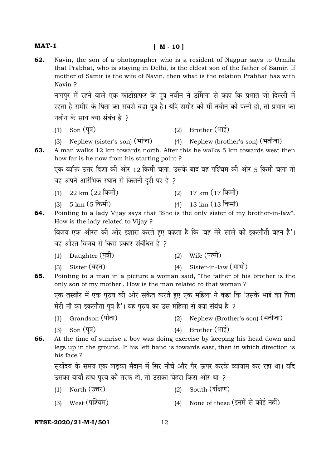| MAT-1 | $[M - 10]$                                                                                                                                                                                                                                                       |
|-------|------------------------------------------------------------------------------------------------------------------------------------------------------------------------------------------------------------------------------------------------------------------|
| 62.   | Navin, the son of a photographer who is a resident of Nagpur says to Urmila<br>that Prabhat, who is staying in Delhi, is the eldest son of the father of Samir. If<br>mother of Samir is the wife of Navin, then what is the relation Prabhat has with<br>Navin? |
|       | नागपुर में रहने वाले एक फोटोग्राफर के पुत्र नवीन ने उर्मिला से कहा कि प्रभात जो दिल्ली में                                                                                                                                                                       |
|       | रहता है समीर के पिता का सबसे बड़ा पुत्र है। यदि समीर की माँ नवीन की पत्नी हो, तो प्रभात का                                                                                                                                                                       |
|       | नवीन के साथ क्या संबंध है ?                                                                                                                                                                                                                                      |
|       | (2) Brother $(\overline{\mathfrak{m}}\overline{\mathfrak{k}})$<br>$(1)$ Son $($ पुत्र)                                                                                                                                                                           |
| 63.   | Nephew (brother's son) (भतीजा)<br>Nephew (sister's son) (भांजा)<br>(4)<br>(3)<br>A man walks 12 km towards north. After this he walks 5 km towards west then<br>how far is he now from his starting point?                                                       |
|       | एक व्यक्ति उत्तर दिशा की ओर 12 किमी चला, उसके बाद वह पश्चिम की ओर 5 किमी चला तो<br>वह अपने आरंभिक स्थान से कितनी दूरी पर है ?                                                                                                                                    |
|       | $(1)$ 22 km $(22 \overline{p}$ किमी)<br>(2) 17 km (17 किमी)                                                                                                                                                                                                      |
|       | (3) 5 km (5 किमी)<br>(4) 13 km (13 किमी)                                                                                                                                                                                                                         |
| 64.   | Pointing to a lady Vijay says that "She is the only sister of my brother-in-law".<br>How is the lady related to Vijay?                                                                                                                                           |
|       | विजय एक औरत की ओर इशारा करते हुए कहता है कि 'वह मेरे साले की इकलौती बहन है'।                                                                                                                                                                                     |
|       | वह औरत विजय से किस प्रकार संबंधित है ?                                                                                                                                                                                                                           |
|       |                                                                                                                                                                                                                                                                  |

- (1) Daughter  $(\overline{q}3)$  (2) Wife  $(\overline{q}\overline{q})$ 
	-
- (3) Sister (बहन) (4) Sister-in-law (भाभी)
- **65.** Pointing to a man in a picture a woman said, 'The father of his brother is the only son of my mother'. How is the man related to that woman ? एक तस्वीर में एक परुष की ओर संकेत करते हए एक महिला ने कहा कि 'उसके भाई का पिता

मेरी माँ का इकलौता पुत्र है'। वह पुरुष का उस महिला से क्या संबंध है ?

- (1) Grandson (पोता) (2) Nephew (Brother's son) (भतीजा)
- $(3)$  Son  $(4)$  Brother  $(4\mathbb{R})$
- **66.** At the time of sunrise a boy was doing exercise by keeping his head down and legs up in the ground. If his left hand is towards east, then in which direction is his face ?

सुर्योदय के समय एक लडका मैदान में सिर नीचे और पैर ऊपर करके व्यायाम कर रहा था। यदि उसका बायाँ हाथ परब की तरफ हो, तो उसका चेहरा किस ओर था ?

- $(1)$  North  $(3\pi)$  (2) South (दक्षिण)
- (3) West (पश्चिम) (4) None of these (इनमें से कोई नहीं)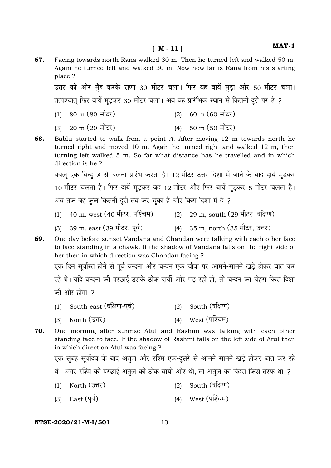**[ M - 11 ]** 

**67.** Facing towards north Rana walked 30 m. Then he turned left and walked 50 m. Again he turned left and walked 30 m. Now how far is Rana from his starting place ? उत्तर की ओर मुँह करके राणा 30 मीटर चला। फिर वह बायें मुड़ा और 50 मीटर चला।

तत्पश्चात फिर बायें मड़कर 30 मीटर चला। अब वह प्रारंभिक स्थान से कितनी दुरी पर है ?

- $(1)$  80 m (80  $\overline{\text{m}}$ ) (2) 60 m (60  $\overline{\text{m}}$ )
- $(3)$  20 m  $(20 \text{ m}^2)$  (4) 50 m  $(50 \text{ m}^2)$
- **68.** Bablu started to walk from a point *A*. After moving 12 m towards north he turned right and moved 10 m. Again he turned right and walked 12 m, then turning left walked 5 m. So far what distance has he travelled and in which direction is he ?
	- ञबलू एक बिन्दु A से चलना प्रारंभ करता है। 12 मीटर उत्तर दिशा में जाने के बाद दायें मडकर  $10$  मीटर चलता है। फिर दायें मुड़कर वह  $12$  मीटर और फिर बायें मुड़कर 5 मीटर चलता है। अब तक वह कुल कितनी दुरी तय कर चुका है और किस दिशा में है ?
	- (1) 40 m, west (40 मीटर, पश्चिम) (2) 29 m, south (29 मीटर, दक्षिण)
	- (3) 39 m, east (39 मीटर, पूर्व) (4) 35 m, north (35 मीटर, उत्तर)
- **69.** One day before sunset Vandana and Chandan were talking with each other face to face standing in a chawk. If the shadow of Vandana falls on the right side of her then in which direction was Chandan facing ? एक दिन सर्यास्त होने से पर्व वन्दना और चन्दन एक चौक पर आमने-सामने खडे होकर बात कर रहे थे। यदि वन्दना को परछाई उसके ठीक दायीं ओर पड़ रही हो. तो चन्दन का चेहरा किस दिशा की ओर होगा 2
	- (1) South-east (दक्षिण-पूर्व) (2) South (दक्षिण)
	- (3) North (उत्तर)  $(4)$  West (पश्चिम)
- **70.** One morning after sunrise Atul and Rashmi was talking with each other standing face to face. If the shadow of Rashmi falls on the left side of Atul then in which direction Atul was facing ?

एक सुबह सुर्योदय के बाद अतुल और रश्मि एक-दुसरे से आमने सामने खड़े होकर बात कर रहे थे। अगर रश्मि की परछाई अतुल की ठीक बायीं ओर थी, तो अतुल का चेहरा किस तरफ था ?

- $(1)$  North  $(3\pi)$  (2) South (दक्षिण)
- (3) East (पर्व) (4) West (पश्चिम)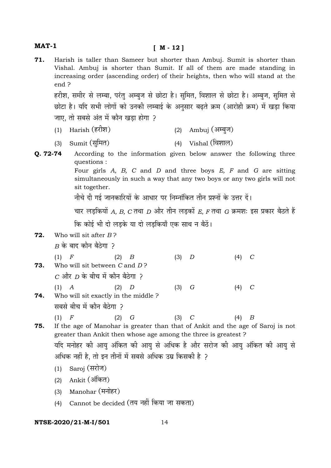| MAT-1    | $M - 12$                                                                                                                                                                                                                                          |
|----------|---------------------------------------------------------------------------------------------------------------------------------------------------------------------------------------------------------------------------------------------------|
| 71.      | Harish is taller than Sameer but shorter than Ambuj. Sumit is shorter than<br>Vishal. Ambuj is shorter than Sumit. If all of them are made standing in<br>increasing order (ascending order) of their heights, then who will stand at the<br>end? |
|          | हरीश, समीर से लम्बा, परंतु अम्बुज से छोटा है। सुमित, विशाल से छोटा है। अम्बुज, सुमित से                                                                                                                                                           |
|          | छोटा है। यदि सभी लोगों को उनकी लम्बाई के अनुसार बढ़ते क्रम (आरोही क्रम) में खड़ा किया                                                                                                                                                             |
|          | जाए, तो सबसे अंत में कौन खड़ा होगा ?                                                                                                                                                                                                              |
|          | Harish (हरीश)<br>(2) Ambuj (अम्बुज)<br>(1)                                                                                                                                                                                                        |
|          | (4) Vishal (विशाल)<br>Sumit (सुमित)<br>(3)                                                                                                                                                                                                        |
| Q. 72-74 | According to the information given below answer the following three<br>questions :                                                                                                                                                                |
|          | Four girls A, B, C and D and three boys E, F and G are sitting<br>simultaneously in such a way that any two boys or any two girls will not<br>sit together.                                                                                       |
|          | नीचे दी गई जानकारियों के आधार पर निम्नांकित तीन प्रश्नों के उत्तर दें।                                                                                                                                                                            |
|          | चार लड़कियों A, B, C तथा D और तीन लड़कों E, F तथा G क्रमशः इस प्रकार बैठते हैं                                                                                                                                                                    |
|          | कि कोई भी दो लड़के या दो लड़कियाँ एक साथ न बैठें।                                                                                                                                                                                                 |
| 72.      | Who will sit after $B$ ?                                                                                                                                                                                                                          |
|          | $\overline{B}$ के बाद कौन बैठेगा ?                                                                                                                                                                                                                |
| 73.      | $(1)$ F<br>(2)<br>B<br>(3)<br>D<br>(4)<br>$\mathcal C$<br>Who will sit between $C$ and $D$ ?                                                                                                                                                      |
|          | $C$ और $D$ के बीच में कौन बैठेगा ?                                                                                                                                                                                                                |
| 74.      | (3)<br>(4)<br>$\mathcal C$<br>G<br>$(1)$ A<br>(2)<br>D<br>Who will sit exactly in the middle?                                                                                                                                                     |
|          | सबसे बीच में कौन बैठेगा ?                                                                                                                                                                                                                         |
| 75.      | $(1)$ F<br>(2)<br>$(3)$ C<br>G<br>(4)<br>В<br>If the age of Manohar is greater than that of Ankit and the age of Saroj is not                                                                                                                     |
|          | greater than Ankit then whose age among the three is greatest?                                                                                                                                                                                    |
|          | यदि मनोहर को आयु अंकित की आयु से अधिक है और सरोज की आयु अंकित की आयु से<br>अधिक नहीं है, तो इन तीनों में सबसे अधिक उम्र किसकी है ?                                                                                                                |
|          | Saroj (सरोज)<br>(1)                                                                                                                                                                                                                               |
|          | Ankit (अंकित)<br>(2)                                                                                                                                                                                                                              |
|          | Manohar (मनोहर)<br>(3)                                                                                                                                                                                                                            |
|          | Cannot be decided (तय नहीं किया जा सकता)<br>(4)                                                                                                                                                                                                   |
|          |                                                                                                                                                                                                                                                   |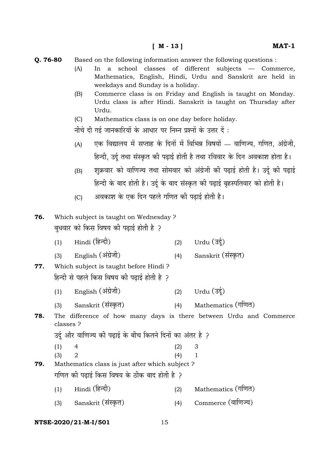$0.76 - 80$ Based on the following information answer the following questions :

- In a school classes of different subjects Commerce,  $(A)$ Mathematics, English, Hindi, Urdu and Sanskrit are held in weekdays and Sunday is a holiday.
- $(B)$ Commerce class is on Friday and English is taught on Monday. Urdu class is after Hindi. Sanskrit is taught on Thursday after Urdu.
- $(C)$ Mathematics class is on one day before holiday.

नीचे दी गई जानकारियों के आधार पर निम्न प्रश्नों के उत्तर दें :

- एक विद्यालय में सप्ताह के दिनों में विभिन्न विषयों वाणिज्य, गणित, अंग्रेजी,  $(A)$ हिन्दी. उर्द तथा संस्कृत की पढाई होती है तथा रविवार के दिन अवकाश होता है।
- शुक्रवार को वाणिज्य तथा सोमवार को अंग्रेजी की पढाई होती है। उर्दू की पढाई  $(B)$ हिन्दी के बाद होती है। उर्द के बाद संस्कृत की पढाई बृहस्पतिवार को होती है।

अवकाश के एक दिन पहले गणित की पढ़ाई होती है।  $(C)$ 

76. Which subject is taught on Wednesday? बधवार को किस विषय की पढाई होती है ?

- Hindi (हिन्दी) Urdu (उर्द)  $(1)$  $(2)$ 
	- English (अंग्रेजी) Sanskrit (संस्कृत)  $(3)$  $(4)$

Which subject is taught before Hindi? 77. हिन्दी से पहले किस विषय की पढ़ाई होती है ?

- English (अंग्रेजी)  $(2)$  Urdu  $(3\dot{5})$  $(1)$ 
	- Mathematics (गणित) Sanskrit (संस्कृत)  $(3)$  $(4)$
- 78. The difference of how many days is there between Urdu and Commerce classes ?

उर्दू और वाणिज्य की पढ़ाई के बीच कितने दिनों का अंतर है ?

- $(1)$  $\overline{4}$  $(2)$ 3
- $(3)$  $\overline{2}$  $(4)$  $\mathbf{1}$
- Mathematics class is just after which subject? 79. गणित की पढाई किस विषय के ठीक बाद होती है ?
	- Hindi (हिन्दी) Mathematics (गणित)  $(1)$  $(2)$
	- Commerce (वाणिज्य) Sanskrit (संस्कृत)  $(4)$  $(3)$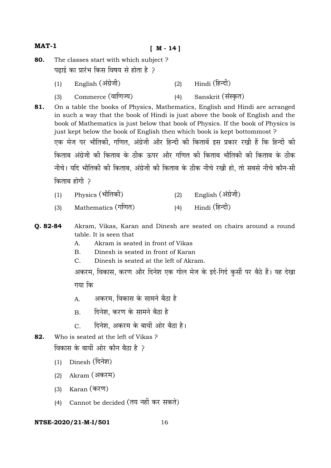| $MAT-1$  |     | $[ M - 14 ]$                                                                                                                                                                                                                                                                                           |     |                                                                                                                                                                                                                                                     |
|----------|-----|--------------------------------------------------------------------------------------------------------------------------------------------------------------------------------------------------------------------------------------------------------------------------------------------------------|-----|-----------------------------------------------------------------------------------------------------------------------------------------------------------------------------------------------------------------------------------------------------|
| 80.      |     | The classes start with which subject?                                                                                                                                                                                                                                                                  |     |                                                                                                                                                                                                                                                     |
|          |     | पढ़ाई का प्रारंभ किस विषय से होता है ?                                                                                                                                                                                                                                                                 |     |                                                                                                                                                                                                                                                     |
|          | (1) | English (अंग्रेजी)                                                                                                                                                                                                                                                                                     | (2) | Hindi (हिन्दी)                                                                                                                                                                                                                                      |
|          | (3) | Commerce (वाणिज्य)                                                                                                                                                                                                                                                                                     | (4) | Sanskrit (संस्कृत)                                                                                                                                                                                                                                  |
| 81.      |     | just kept below the book of English then which book is kept bottommost ?                                                                                                                                                                                                                               |     | On a table the books of Physics, Mathematics, English and Hindi are arranged<br>in such a way that the book of Hindi is just above the book of English and the<br>book of Mathematics is just below that book of Physics. If the book of Physics is |
|          |     |                                                                                                                                                                                                                                                                                                        |     | एक मेज पर भौतिकी, गणित, अंग्रेजी और हिन्दी की किताबें इस प्रकार रखी हैं कि हिन्दी की                                                                                                                                                                |
|          |     |                                                                                                                                                                                                                                                                                                        |     | किताब अंग्रेजी की किताब के ठीक ऊपर और गणित की किताब भौतिकी की किताब के ठीक                                                                                                                                                                          |
|          |     |                                                                                                                                                                                                                                                                                                        |     | नीचे। यदि भौतिकी की किताब, अंग्रेजी की किताब के ठीक नीचे रखी हो, तो सबसे नीचे कौन-सी                                                                                                                                                                |
|          |     | किताब होगी ?                                                                                                                                                                                                                                                                                           |     |                                                                                                                                                                                                                                                     |
|          | (1) | Physics (भौतिकी)                                                                                                                                                                                                                                                                                       | (2) | English (अंग्रेजी)                                                                                                                                                                                                                                  |
|          | (3) | Mathematics (गणित)                                                                                                                                                                                                                                                                                     | (4) | Hindi (हिन्दी)                                                                                                                                                                                                                                      |
| Q. 82-84 |     | table. It is seen that<br>Akram is seated in front of Vikas<br>A.<br>Dinesh is seated in front of Karan<br>В.<br>C.<br>Dinesh is seated at the left of Akram.<br>गया कि<br>अकरम, विकास के सामने बैठा है<br>A.<br>दिनेश, करण के सामने बैठा है<br><b>B.</b><br>दिनेश, अकरम के बायीं ओर बैठा है।<br>$C$ . |     | Akram, Vikas, Karan and Dinesh are seated on chairs around a round<br>अकरम, विकास, करण और दिनेश एक गोल मेज के इर्द-गिर्द कुर्सी पर बैठे हैं। यह देखा                                                                                                |
| 82.      |     | Who is seated at the left of Vikas?                                                                                                                                                                                                                                                                    |     |                                                                                                                                                                                                                                                     |
|          |     | विकास के बायीं ओर कौन बैठा है ?                                                                                                                                                                                                                                                                        |     |                                                                                                                                                                                                                                                     |
|          | (1) | Dinesh (दिनेश)                                                                                                                                                                                                                                                                                         |     |                                                                                                                                                                                                                                                     |
|          | (2) | Akram (अकरम)                                                                                                                                                                                                                                                                                           |     |                                                                                                                                                                                                                                                     |
|          | (3) | Karan (करण)                                                                                                                                                                                                                                                                                            |     |                                                                                                                                                                                                                                                     |
|          | (4) | Cannot be decided (तय नहीं कर सकते)                                                                                                                                                                                                                                                                    |     |                                                                                                                                                                                                                                                     |
|          |     | 16<br>NTSE-2020/21-M-I/501                                                                                                                                                                                                                                                                             |     |                                                                                                                                                                                                                                                     |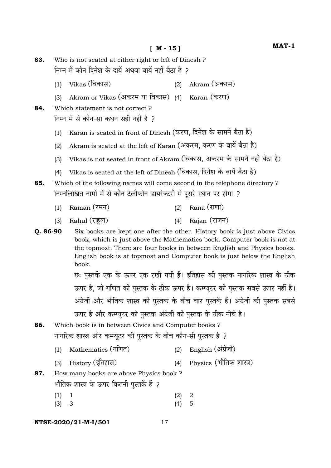|          |                                                        | $M - 15$                                                                  |     | MAT-1                                                                                                                                                                                                                                                                                                     |  |  |  |  |  |
|----------|--------------------------------------------------------|---------------------------------------------------------------------------|-----|-----------------------------------------------------------------------------------------------------------------------------------------------------------------------------------------------------------------------------------------------------------------------------------------------------------|--|--|--|--|--|
| 83.      |                                                        | Who is not seated at either right or left of Dinesh?                      |     |                                                                                                                                                                                                                                                                                                           |  |  |  |  |  |
|          | निम्न में कौन दिनेश के दायें अथवा बायें नहीं बैठा है ? |                                                                           |     |                                                                                                                                                                                                                                                                                                           |  |  |  |  |  |
|          | (1)                                                    | Vikas (विकास)                                                             | (2) | Akram (अकरम)                                                                                                                                                                                                                                                                                              |  |  |  |  |  |
|          | (3)                                                    | Akram or Vikas (अकरम या विकास)                                            | (4) | Karan (करण)                                                                                                                                                                                                                                                                                               |  |  |  |  |  |
| 84.      |                                                        | Which statement is not correct?                                           |     |                                                                                                                                                                                                                                                                                                           |  |  |  |  |  |
|          |                                                        | निम्न में से कौन-सा कथन सही नहीं है ?                                     |     |                                                                                                                                                                                                                                                                                                           |  |  |  |  |  |
|          | (1)                                                    | Karan is seated in front of Dinesh (करण, दिनेश के सामने बैठा है)          |     |                                                                                                                                                                                                                                                                                                           |  |  |  |  |  |
|          | (2)                                                    | Akram is seated at the left of Karan (अकरम, करण के बायें बैठा है)         |     |                                                                                                                                                                                                                                                                                                           |  |  |  |  |  |
|          | (3)                                                    | Vikas is not seated in front of Akram (विकास, अकरम के सामने नहीं बैठा है) |     |                                                                                                                                                                                                                                                                                                           |  |  |  |  |  |
|          | (4)                                                    | Vikas is seated at the left of Dinesh (विकास, दिनेश के बायें बैठा है)     |     |                                                                                                                                                                                                                                                                                                           |  |  |  |  |  |
| 85.      |                                                        | Which of the following names will come second in the telephone directory? |     |                                                                                                                                                                                                                                                                                                           |  |  |  |  |  |
|          |                                                        | निम्नलिखित नामों में से कौन टेलीफोन डायरेक्टरी में दूसरे स्थान पर होगा ?  |     |                                                                                                                                                                                                                                                                                                           |  |  |  |  |  |
|          | (1)                                                    | Raman (रमन)                                                               | (2) | Rana (राणा)                                                                                                                                                                                                                                                                                               |  |  |  |  |  |
|          | (3)                                                    | Rahul (राहुल)                                                             | (4) | Rajan (राजन)                                                                                                                                                                                                                                                                                              |  |  |  |  |  |
| Q. 86-90 |                                                        | book.                                                                     |     | Six books are kept one after the other. History book is just above Civics<br>book, which is just above the Mathematics book. Computer book is not at<br>the topmost. There are four books in between English and Physics books.<br>English book is at topmost and Computer book is just below the English |  |  |  |  |  |
|          |                                                        |                                                                           |     | छः पुस्तकें एक के ऊपर एक रखी गयी हैं। इतिहास की पुस्तक नागरिक शास्त्र के ठीक                                                                                                                                                                                                                              |  |  |  |  |  |
|          |                                                        |                                                                           |     | ऊपर है, जो गणित की पुस्तक के ठीक ऊपर है। कम्प्यूटर की पुस्तक सबसे ऊपर नहीं है।                                                                                                                                                                                                                            |  |  |  |  |  |
|          |                                                        |                                                                           |     | अंग्रेजी और भौतिक शास्त्र की पुस्तक के बीच चार पुस्तकें हैं। अंग्रेजी की पुस्तक सबसे                                                                                                                                                                                                                      |  |  |  |  |  |
|          |                                                        | ऊपर है और कम्प्यूटर की पुस्तक अंग्रेजी की पुस्तक के ठीक नीचे है।          |     |                                                                                                                                                                                                                                                                                                           |  |  |  |  |  |
| 86.      |                                                        | Which book is in between Civics and Computer books?                       |     |                                                                                                                                                                                                                                                                                                           |  |  |  |  |  |
|          |                                                        | नागरिक शास्त्र और कम्प्यूटर की पुस्तक के बीच कौन-सी पुस्तक है ?           |     |                                                                                                                                                                                                                                                                                                           |  |  |  |  |  |
|          | (1)                                                    | Mathematics (गणित)                                                        |     | (2) English (अंग्रेजी)                                                                                                                                                                                                                                                                                    |  |  |  |  |  |
|          | (3)                                                    | History (इतिहास)                                                          | (4) | Physics (भौतिक शास्त्र)                                                                                                                                                                                                                                                                                   |  |  |  |  |  |
| 87.      |                                                        | How many books are above Physics book?                                    |     |                                                                                                                                                                                                                                                                                                           |  |  |  |  |  |
|          |                                                        | भौतिक शास्त्र के ऊपर कितनी पुस्तकें हैं ?                                 |     |                                                                                                                                                                                                                                                                                                           |  |  |  |  |  |
|          | (1)                                                    | $\mathbf{1}$                                                              | (2) | 2                                                                                                                                                                                                                                                                                                         |  |  |  |  |  |
|          | (3)                                                    | 3                                                                         | (4) | 5                                                                                                                                                                                                                                                                                                         |  |  |  |  |  |
|          |                                                        | NTSE-2020/21-M-I/501<br>17                                                |     |                                                                                                                                                                                                                                                                                                           |  |  |  |  |  |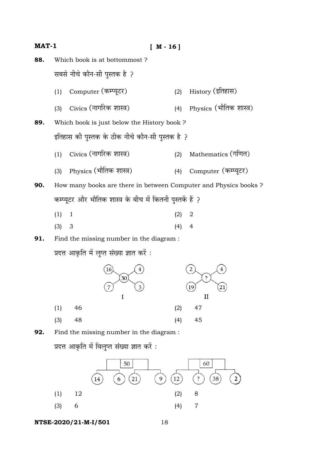| MAT-1                      |                                                                                                                                |                                                 | M - 16                  |                           |  |     |                                          |  |
|----------------------------|--------------------------------------------------------------------------------------------------------------------------------|-------------------------------------------------|-------------------------|---------------------------|--|-----|------------------------------------------|--|
| 88.                        | Which book is at bottommost?                                                                                                   |                                                 |                         |                           |  |     |                                          |  |
|                            | सबसे नीचे कौन-सी पुस्तक है ?                                                                                                   |                                                 |                         |                           |  |     |                                          |  |
|                            | (1)                                                                                                                            |                                                 | Computer (कम्प्यूटर)    |                           |  | (2) | History (इतिहास)                         |  |
|                            | (3)                                                                                                                            |                                                 | Civics (नागरिक शास्त्र) |                           |  | (4) | Physics (भौतिक शास्त्र)                  |  |
| 89.                        | Which book is just below the History book?                                                                                     |                                                 |                         |                           |  |     |                                          |  |
|                            |                                                                                                                                | इतिहास की पुस्तक के ठीक नीचे कौन-सी पुस्तक है ? |                         |                           |  |     |                                          |  |
|                            | (1)                                                                                                                            |                                                 | Civics (नागरिक शास्त्र) |                           |  | (2) | Mathematics (गणित)                       |  |
|                            | (3)                                                                                                                            |                                                 | Physics (भौतिक शास्त्र) |                           |  | (4) | Computer (कम्प्यूटर)                     |  |
| 90.                        | How many books are there in between Computer and Physics books ?<br>कम्प्यूटर और भौतिक शास्त्र के बीच में कितनी पुस्तकें हैं ? |                                                 |                         |                           |  |     |                                          |  |
|                            |                                                                                                                                |                                                 |                         |                           |  |     |                                          |  |
|                            | (1)                                                                                                                            | $\mathbf{1}$                                    |                         |                           |  | (2) | 2                                        |  |
|                            | (3)                                                                                                                            | 3                                               |                         |                           |  | (4) | 4                                        |  |
| 91.                        | Find the missing number in the diagram :                                                                                       |                                                 |                         |                           |  |     |                                          |  |
|                            | प्रदत्त आकृति में लुप्त संख्या ज्ञात करें :                                                                                    |                                                 |                         |                           |  |     |                                          |  |
|                            |                                                                                                                                |                                                 | 16<br>$\overline{7}$    | 30<br>$\overline{3}$<br>I |  |     | 2<br>$\overline{\cdot}$<br>21<br>19<br>п |  |
|                            | (1)                                                                                                                            | 46                                              |                         |                           |  | (2) | 47                                       |  |
|                            | (3)                                                                                                                            | 48                                              |                         |                           |  | (4) | 45                                       |  |
| 92.                        | Find the missing number in the diagram :<br>प्रदत्त आकृति में विलुप्त संख्या ज्ञात करें :                                      |                                                 |                         |                           |  |     |                                          |  |
|                            |                                                                                                                                |                                                 |                         |                           |  |     |                                          |  |
|                            |                                                                                                                                |                                                 |                         | 50<br>21                  |  | 12  | 60<br>?<br>38                            |  |
|                            | (1)                                                                                                                            | 12                                              |                         |                           |  | (2) | 8                                        |  |
|                            | (3)                                                                                                                            | 6                                               |                         |                           |  | (4) | 7                                        |  |
| NTSE-2020/21-M-I/501<br>18 |                                                                                                                                |                                                 |                         |                           |  |     |                                          |  |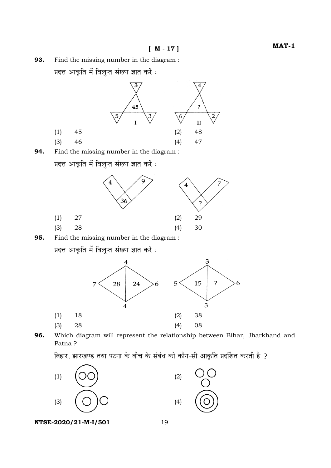**93.** Find the missing number in the diagram :



**96.** Which diagram will represent the relationship between Bihar, Jharkhand and Patna ?

बिहार, झारखण्ड तथा पटना के बीच के संबंध को कौन-सी आकृति प्रदर्शित करती है ?

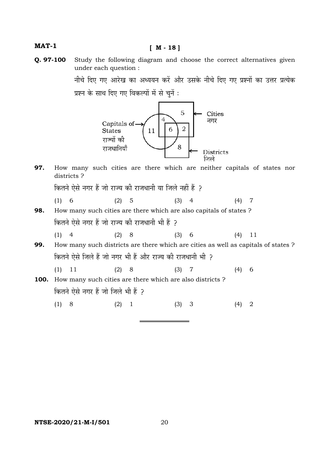#### **MAT-1**

**Q. 97-100** Study the following diagram and choose the correct alternatives given under each question :

> नीचे दिए गए आरेख का अध्ययन करें और उसके नीचे दिए गए प्रश्नों का उत्तर प्रत्येक प्रश्न के साथ दिए गए विकल्पों में से चुनें :



**97.** How many such cities are there which are neither capitals of states nor districts ?

कितने ऐसे नगर हैं जो राज्य की राजधानी या जिले नहीं हैं ?

(1) 6 (2) 5 (3) 4 (4) 7

**98.** How many such cities are there which are also capitals of states ? कितने ऐसे नगर हैं जो राज्य की राजधानी भी हैं ? (1) 4 (2) 8 (3) 6 (4) 11

**99.** How many such districts are there which are cities as well as capitals of states ? कितने ऐसे जिले हैं जो नगर भी हैं और राज्य की राजधानी भी 2 (1) 11 (2) 8 (3) 7 (4) 6 **100.** How many such cities are there which are also districts ?

कितने ऐसे नगर हैं जो जिले भी हैं ?

(1) 8 (2) 1 (3) 3 (4) 2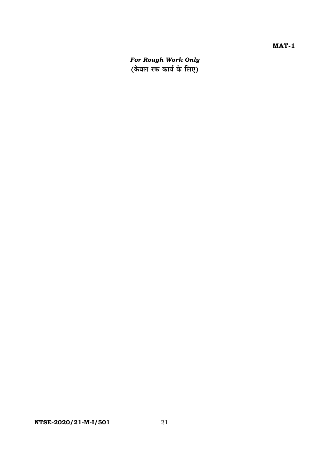For Rough Work Only<br>(केवल रफ कार्य के लिए)

 $MAT-1$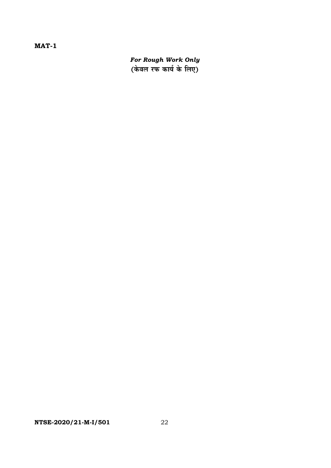$MAT-1$ 

For Rough Work Only<br>(केवल रफ कार्य के लिए)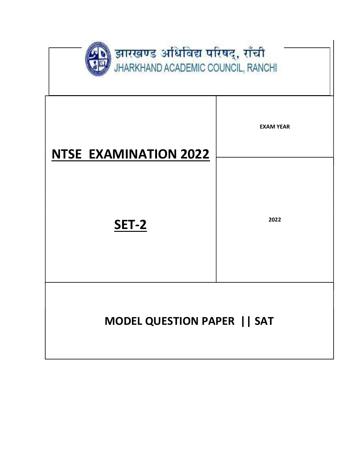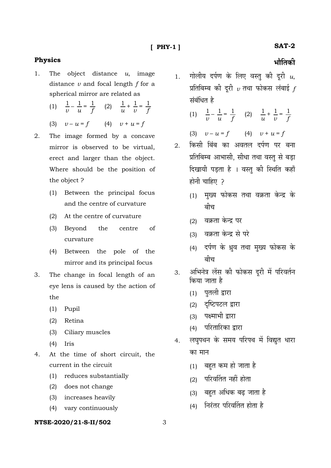# **Physics**

- 1. The object distance *u*, image distance *v* and focal length *f* for a spherical mirror are related as
- (1)  $\frac{1}{v} \frac{1}{u} = \frac{1}{f}$  (2)  $\frac{1}{u} + \frac{1}{v}$  $\frac{1}{v} = \frac{1}{f}$ 
	- (3) *v u* = *f* (4) *v* + *u* = *f*
- 2. The image formed by a concave mirror is observed to be virtual, erect and larger than the object. Where should be the position of the object ?
	- (1) Between the principal focus and the centre of curvature
	- (2) At the centre of curvature
	- (3) Beyond the centre of curvature
	- (4) Between the pole of the mirror and its principal focus
- 3. The change in focal length of an eye lens is caused by the action of the
	- (1) Pupil
	- (2) Retina
	- (3) Ciliary muscles
	- (4) Iris
- 4. At the time of short circuit, the current in the circuit
	- (1) reduces substantially
	- (2) does not change
	- (3) increases heavily
	- (4) vary continuously

# **NTSE-2020/21-S-II/502** 3

- $1.$  गोलीय दर्पण के लिए वस्तु की दुरी  $u$ ,  $\frac{1}{2}$ प्रतिबिम्ब की दुरी  $\nu$  तथा फोकस लंबाई  $f$ संबंधित है
- (1)  $\frac{1}{v} \frac{1}{u} = \frac{1}{f}$  (2)  $\frac{1}{u} + \frac{1}{v}$  $\frac{1}{v} = \frac{1}{f}$ 
	- (3) *v u* = *f* (4) *v* + *u* = *f*
- 2. किसी बिंब का अवतल दर्पण पर बना प्रतिबिम्ब आभासी, सीधा तथा वस्तु से बड़ा दिखायी पडता है । वस्तु की स्थिति कहाँ होनी चाहिए 2
	- (1) मख्य फोकस तथा वक्रता केन्द्र के बीच
	- (2) वक्रता केन्द्र पर
	- (3) वक्रता केन्द्र से परे
	- (4) दर्पण के ध्रव तथा मुख्य फोकस के बीच
- 3. अभिनेत्र लेंस की फोकस दूरी में परिवर्तन किया जाता है
	- $(1)$  पतली द्वारा
	- $(2)$  दृष्टिपटल द्वारा
	- (3) पक्ष्माभी द्रारा
	- (4) परितारिका द्रारा
- 4. जघपथन के समय परिपथ में विद्यत धारा का मान
	- $(1)$  बहुत कम हो जाता है
	- $(2)$  परिवर्तित नहीं होता
	- $(3)$  बहुत अधिक बढ़ जाता है
	- $(4)$  निरंतर परिवर्तित होता है

भौतिकी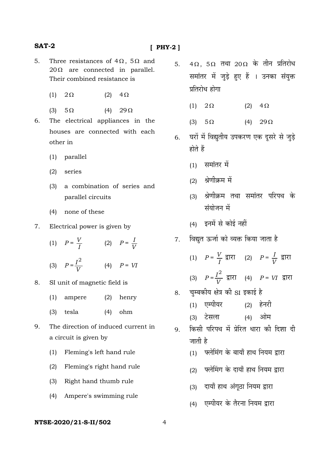# **[ PHY-2 ]**

- 5. Three resistances of  $4\Omega$ ,  $5\Omega$  and 20Ω are connected in parallel. Their combined resistance is
	- (1)  $2\Omega$  (2)  $4\Omega$
	- (3) 5Ω (4) 29Ω
- 6. The electrical appliances in the houses are connected with each other in
	- (1) parallel
	- (2) series
	- (3) a combination of series and parallel circuits
	- (4) none of these
- 7. Electrical power is given by
- (1)  $P = \frac{V}{I}$  (2)  $P = \frac{I}{V}$
- (3)  $P = \frac{I}{V}$  $\frac{I^2}{I}$  (4)  $P = VI$
- 8. SI unit of magnetic field is
	- (1) ampere (2) henry
	- (3) tesla (4) ohm
- 9. The direction of induced current in a circuit is given by
	- (1) Fleming's left hand rule
	- (2) Fleming's right hand rule
	- (3) Right hand thumb rule
	- (4) Ampere's swimming rule
- 5. 4Ω, 5Ω तथा 20Ω के तीन प्रतिरोध समांतर में जुड़े हुए हैं । उनका संयुक्त प्रतिरोध होगा
	- (1)  $2Ω$  (2)  $4Ω$
	- (3) 5Ω (4) 29Ω
- 6. घरों में विद्युतीय उपकरण एक दूसरे से जुड़े होते हैं $\overrightarrow{a}$ 
	- $(1)$  समांतर में
	- $(2)$  श्रेणीक्रम में
	- (3) श्रेणीक्रम तथा समांतर परिपथ के संयोजन में
	- $(4)$   $5\overrightarrow{4}$  से कोई नहीं
- 7. विद्युत ऊर्जा को व्यक्त किया जाता है
- $(1)$   $P = \frac{V}{I}$  द्वारा  $(2)$   $P = \frac{I}{V}$  द्वारा (3)  $P = \frac{I}{V}$  $\frac{I^2}{V}$  द्वारा (4)  $P = VI$  द्वारा
- 8. व्यम्बकीय क्षेत्र की SI इकाई है
	- $(1)$  एम्पीयर  $(2)$  हेनरी
	- (3) टेसला (4) ओम
- 9. किसी परिपथ में प्रेरित धारा की दिशा दी जाती है
	- (1) पलेमिंग के बायाँ हाथ नियम द्वारा
	- $(2)$  एलेमिंग के दायाँ हाथ नियम द्रारा
	- $(3)$  दायाँ हाथ अंगठा नियम द्वारा
	- (4) एम्पीयर के तैरना नियम द्वारा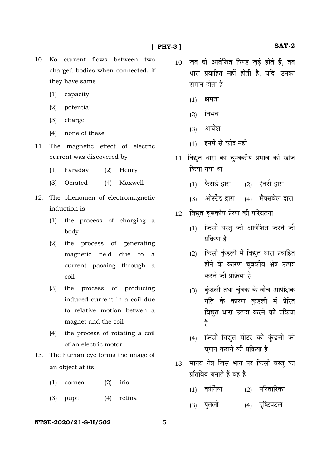- 10. No current flows between two charged bodies when connected, if they have same
	- (1) capacity
	- (2) potential
	- (3) charge
	- (4) none of these
- 11. The magnetic effect of electric current was discovered by
	- (1) Faraday (2) Henry
	- (3) Oersted (4) Maxwell
- 12. The phenomen of electromagnetic induction is
	- (1) the process of charging a body
	- (2) the process of generating magnetic field due to a current passing through a coil
	- (3) the process of producing induced current in a coil due to relative motion betwen a magnet and the coil
	- (4) the process of rotating a coil of an electric motor
- 13. The human eye forms the image of an object at its
	- (1) cornea (2) iris
	- (3) pupil (4) retina
- 10. जब दो आवेशित पिण्ड जुड़े होते हैं, तब धारा प्रवाहित नहीं होती है, यदि उनका समान होता है
	- $(1)$  क्षमता
	- (2) विभव
	- $(3)$  आवेश
	- $(4)$  इनमें से कोई नहीं
- 11. विद्युत धारा का चुम्बकीय प्रभाव की खोज किया गया था
	- $(1)$  फैराडे द्वारा  $(2)$  हेनरी द्वारा
	- (3) ओर्स्टेड द्वारा (4) मैक्सवेल द्वारा
- 12. विद्युत चुंबकीय प्रेरण की परिघटना
	- $(1)$  किसी वस्तु को आवेशित करने की प्रक्रिया है
	- (2) किसी कुंडली में विद्युत धारा प्रवाहित होने के कारण चुंबकीय क्षेत्र उत्पन्न करने की प्रक्रिया है
	- (3) कंडली तथा चंबक के बीच आपेक्षिक गति के कारण कुंडली में प्रेरित विद्युत धारा उत्पन्न करने की प्रक्रिया है
	- (4) किसी विद्युत मोटर की कुंडली को <u>घर्णन कराने की प्रक्रिया है</u>
- 13. मानव नेत्र जिस भाग पर किसी वस्तू का प्रतिबिंब बनाते हैं वह है
	- (1) कॉर्निया (2) परितारिका
	- (3) पुतली (4) दृष्टिपटल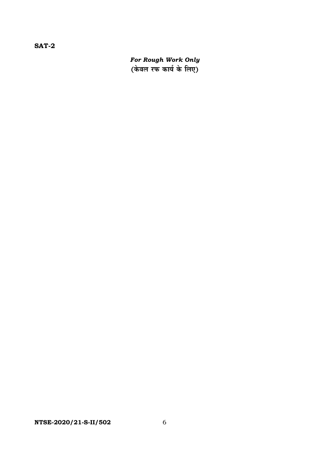For Rough Work Only<br>(केवल रफ कार्य के लिए)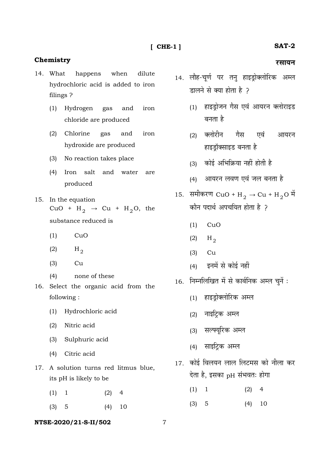#### **Chemistry**

- 14. What happens when dilute hydrochloric acid is added to iron filings ?
	- (1) Hydrogen gas and iron chloride are produced
	- (2) Chlorine gas and iron hydroxide are produced
	- (3) No reaction takes place
	- (4) Iron salt and water are produced
- 15. In the equation CuO +  $H_2 \rightarrow Cu + H_2O$ , the substance reduced is
	- (1) CuO
	- (2)  $H_2$
	- (3) Cu
	- (4) none of these
- 16. Select the organic acid from the following :
	- (1) Hydrochloric acid
	- (2) Nitric acid
	- (3) Sulphuric acid
	- (4) Citric acid
- 17. A solution turns red litmus blue, its pH is likely to be
- $(1)$  1  $(2)$  4
- (3) 5 (4) 10

#### **NTSE-2020/21-S-II/502** 7

# **SAT-2**

#### रसायन

- 14. लौह-चूर्ण पर तनु हाइड्रोक्लोरिक अम्ल डालने से क्या होता है ?
	- $(1)$  हाइडोजन गैस एवं आयरन क्लोराइड बनता है
	- (2) क्लोरीन गैस एवं आयरन हाइड़ॉक्साइड बनता है
	- $(3)$  कोई अभिक्रिया नहीं होती है
	- $(4)$  आयरन लवण एवं जल बनता है
- 15. समीकरण CuO + H<sub>2</sub> → Cu + H<sub>2</sub>O में <u>कौन पदार्थ अपचयित होता है</u> ?
	- $(1)$  CuO
	- (2)  $H_2$
	- (3) Cu
	- $(4)$  इनमें से कोई नहीं
- $16.$  निम्नलिखित में से कार्बनिक अम्ल चुनें :
	- (1) हाइड़ोक्लोरिक अम्ल
	- $(2)$  नाइटिक अम्ल
	- (3) सल्फ्युरिक अम्ल
	- (4) साइट्रिक अम्ल
- 17. कोई विलयन लाल लिटमस को नीला कर देता है, इसका pH संभवतः होगा
	- $(1)$  1  $(2)$  4
	- (3) 5 (4) 10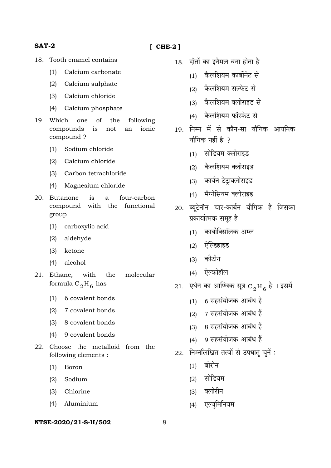# **[ CHE-2 ]**

# **SAT-2**

- 18. Tooth enamel contains
	- (1) Calcium carbonate
	- (2) Calcium sulphate
	- (3) Calcium chloride
	- (4) Calcium phosphate
- 19. Which one of the following compounds is not an ionic compound ?
	- (1) Sodium chloride
	- (2) Calcium chloride
	- (3) Carbon tetrachloride
	- (4) Magnesium chloride
- 20. Butanone is a four-carbon compound with the functional group
	- (1) carboxylic acid
	- (2) aldehyde
	- (3) ketone
	- (4) alcohol
- 21. Ethane, with the molecular formula  $C_2H_6$  has
	- (1) 6 covalent bonds
	- (2) 7 covalent bonds
	- (3) 8 covalent bonds
	- (4) 9 covalent bonds
- 22. Choose the metalloid from the following elements :
	- (1) Boron
	- (2) Sodium
	- (3) Chlorine
	- (4) Aluminium

- 18. दाँतों का इनैमल बना होता है
	- $(1)$  कैलशियम कार्बोनेट से
	- (2) कैलशियम सल्फेट से
	- (3) कैलशियम क्लोराइड से
	- (4) कैलशियम फॉस्फेट से
- 19. निम्न में से कौन-सा यौगिक आयनिक यौगिक नहीं है २
	- (1) सोडियम क्लोराइड
	- $(2)$  कैलशियम क्लोराइड
	- (3) कार्बन टेटाक्लोराइड
	- (4) मैग्नेसियम क्लोराइड
- 20. ब्युटेनॉन चार-कार्बन यौगिक है जिसका प्रकार्यात्मक समूह है
	- $(1)$  कार्बोक्सिलिक अम्ल
	- $(2)$  ऐल्डिहाइड
	- (3) कोटोन
	- (4) ऐल्कोहॉल
- $21.$  एथेन का आण्विक सूत्र  $\overline{\mathrm{C}}_2\mathrm{H}_\kappa$  है । इसमें
	- $(1)$  6 सहसंयोजक आबंध हैं
	- $(2)$  7 सहसंयोजक आबंध हैं
	- $(3)$   $8$  सहसंयोजक आबंध हैं
	- $(4)$  9 सहसंयोजक आबंध हैं
- $22.$  निम्नलिखित तत्वों से उपधात् चुनें :
	- $(1)$  बोरोन
	- $(2)$  सोडियम
	- (3) क्लोरीन
	- (4) एल्यूमिनियम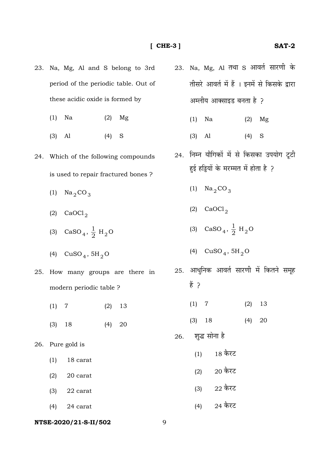- 23. Na, Mg, Al and S belong to 3rd period of the periodic table. Out of these acidic oxide is formed by 23. Na, Mg, Al तथा S आवर्त सारणी के तीसरे आवर्त में हैं । इनमें से किसके द्वारा आम्लीय आक्साइड बनता है ?
	- (1) Na (2) Mg
	- (3) Al (4) S
- 24. Which of the following compounds is used to repair fractured bones ?
	- (1)  $\text{Na}_2\text{CO}_3$
	- (2)  $CaOCl<sub>2</sub>$
- (3) CaSO<sub>4</sub>,  $\frac{1}{2}$  H<sub>2</sub>O
	- (4)  $CuSO_4, 5H_2O$
- 25. How many groups are there in modern periodic table ?
- (1) 7 (2) 13
- (3) 18 (4) 20
- 26. Pure gold is
	- (1) 18 carat
	- (2) 20 carat
	- (3) 22 carat
	- (4) 24 carat
- **NTSE-2020/21-S-II/502** 9
- - (1) Na (2) Mg
	- (3) Al (4) S
- 24. निम्न यौगिकों में से किसका उपयोग टूटी हुई हड्डियों के मरम्मत में होता है ?
	- (1)  $\text{Na}_2\text{CO}_3$
	- (2)  $CaOCl<sub>2</sub>$
- (3) CaSO<sub>4</sub>,  $\frac{1}{2}$  H<sub>2</sub>O
	- (4)  $CuSO_4, 5H_2O$
- 25. आधुनिक आवर्त सारणी में कितने समूह  $\frac{3}{6}$  ?
	- (1) 7 (2) 13
	- (3) 18 (4) 20
- $26.$  शुद्ध सोना है
	- $(1)$  18 कैरट
	- $(2)$  20 कैरट
	- $(3)$  22 कैरट
- $(4)$  24 कैरट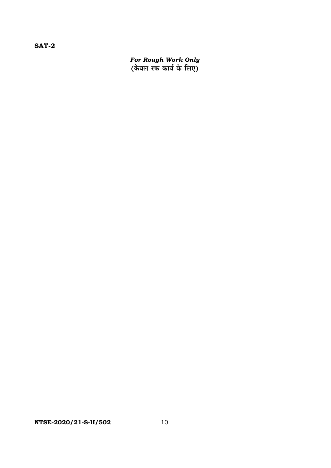For Rough Work Only<br>(केवल रफ कार्य के लिए)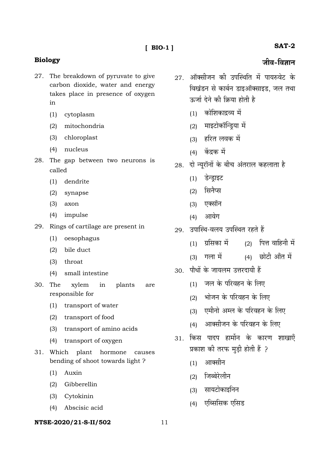# $[$  BIO-1]

# **Biology**

- 27. The breakdown of pyruvate to give carbon dioxide, water and energy takes place in presence of oxygen in
	- cytoplasm  $(1)$
	- $(2)$ mitochondria
	- (3) chloroplast
	- (4) nucleus
- 28. The gap between two neurons is called
	- $(1)$ dendrite
	- $(2)$ synapse
	- $(3)$ axon
	- $(4)$ impulse
- 29. Rings of cartilage are present in
	- oesophagus  $(1)$
	- $(2)$ bile duct
	- $(3)$ throat
	- small intestine  $(4)$
- 30. The xvlem in plants are responsible for
	- transport of water  $(1)$
	- transport of food  $(2)$
	- transport of amino acids  $(3)$
	- transport of oxygen  $(4)$
- 31. Which plant hormone causes bending of shoot towards light?
	- $(1)$ Auxin
	- Gibberellin  $(2)$
	- $(3)$ Cytokinin
	- Abscisic acid  $(4)$

# NTSE-2020/21-S-II/502

- 27 ऑक्सीजन की उपस्थिति में पायरुवेट के विखंडन से कार्बन डाइऑक्साइड, जल तथा ऊर्जा देने की क्रिया होती है
	- (1) कोशिकाद्रव्य में
	- (2) माइटोकॉन्डिया में
	- (3) हरित लवक में
	- (4) केंद्रक में
- दो न्यूरॉनों के बीच अंतराल कहलाता है 28.
	- (1) डेन्ड्राइट
	- (2) सिनैप्स
	- (3) एक्सॉन
	- (4) आवेग
- 29 उपास्थि-वलय उपस्थित रहते हैं
	- $(2)$  पित्त वाहिनी में (1) ग्रसिका में
	- (4) छोटी आँत में (3) गला में
- पौधों के जायलम उत्तरदायी हैं  $30<sup>7</sup>$ 
	- (1) जल के परिवहन के लिए
	- (2) भोजन के परिवहन के लिए
	- (3) एमीनो अम्ल के परिवहन के लिए
	- (4) आक्सीजन के परिवहन के लिए
- 31 किस पादप हार्मोन के कारण शाखाएँ प्रकाश की तरफ मडी होती हैं ?
	- (1) आक्सीन
	- (2) जिब्बेरेलीन
	- (3) सायटोकाइनिन
	- (4) एब्सिसिक एसिड

# **SAT-2**

जीव-विज्ञान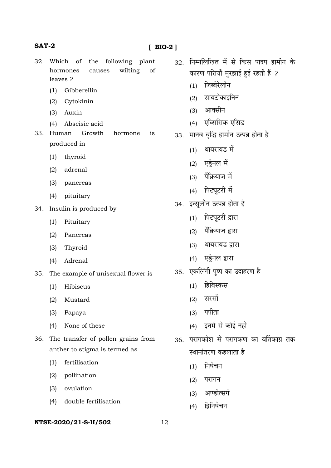# **[ BIO-2 ]**

- 32. Which of the following plant hormones causes wilting of leaves ?
	- (1) Gibberellin
	- (2) Cytokinin
	- (3) Auxin
	- (4) Abscisic acid
- 33. Human Growth hormone is produced in
	- (1) thyroid
	- (2) adrenal
	- (3) pancreas
	- (4) pituitary
- 34. Insulin is produced by
	- (1) Pituitary
	- (2) Pancreas
	- (3) Thyroid
	- (4) Adrenal
- 35. The example of unisexual flower is
	- (1) Hibiscus
	- (2) Mustard
	- (3) Papaya
	- (4) None of these
- 36. The transfer of pollen grains from anther to stigma is termed as
	- (1) fertilisation
	- (2) pollination
	- (3) ovulation
	- (4) double fertilisation

- 32. निम्नलिखित में से किस पादप हार्मोन के कारण पत्तियाँ मुरझाई हुई रहती हैं ?
	- (1) जिब्बेरेलीन
	- $(2)$  सायटोकाइनिन
	- $(3)$  आक्सीन
	- $(4)$  एब्सिसिक एसिड
- 33. मानव वृद्धि हार्मोन उत्पन्न होता है
	- $(1)$  थायरायड में
	- (2) एड्रेनल में
	- $(3)$  पैंक्रियाज में
	- (4) पिट्यूटरी में
- 34. इन्सलीन उत्पन्न होता है
	- (1) पिट्यूटरी द्वारा
	- $(2)$  पैंक्रियाज द्वारा
	- (3) थायरायड द्वारा
	- (4) एड़ेनल द्वारा
- 35. एकलिंगी पुष्प का उदाहरण है
	- (1) हिबिस्कस
	- (2) सरसों
	- $(3)$  पपीता
	- $(4)$   $5\overrightarrow{+}$   $\overrightarrow{+}$   $\overrightarrow{+}$   $\overrightarrow{+}$   $\overrightarrow{+}$   $\overrightarrow{+}$   $\overrightarrow{+}$   $\overrightarrow{+}$   $\overrightarrow{+}$   $\overrightarrow{+}$   $\overrightarrow{+}$   $\overrightarrow{+}$   $\overrightarrow{+}$   $\overrightarrow{+}$   $\overrightarrow{+}$   $\overrightarrow{+}$   $\overrightarrow{+}$   $\overrightarrow{+}$   $\overrightarrow{+}$   $\overrightarrow{+}$   $\overrightarrow{+}$   $\overrightarrow{+}$   $\overrightarrow{+}$   $\overrightarrow{+$
- 36. परागकोश से परागकण का वर्तिकाग्र तक स्थानांतरण कहलाता है
	- $(1)$  निषेचन
	- $(2)$  परागन
	- (3) अण्डोत्सर्ग
	- (4) द्विनिषेचन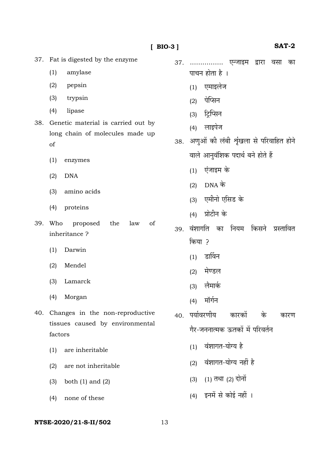$[$  BIO-3 $]$ 

|     | 37. Fat is digested by the enzyme          | 37. | एन्जाइम द्वारा<br>वसा<br>.<br>का       |
|-----|--------------------------------------------|-----|----------------------------------------|
|     | (1)<br>amylase                             |     | पाचन होता है ।                         |
|     | (2)<br>pepsin                              |     | एमाइलेज<br>(1)                         |
|     | (3)<br>trypsin                             |     | पेप्सिन<br>(2)                         |
|     | (4)<br>lipase                              |     | ट्रिप्सिन<br>(3)                       |
| 38. | Genetic material is carried out by         |     | लाइपेज<br>(4)                          |
|     | long chain of molecules made up            |     |                                        |
|     | of                                         | 38. | अणुओं की लंबी शृंखला से परिवाहित होने  |
|     | (1)<br>enzymes                             |     | वाले आनुवंशिक पदार्थ बने होते हैं      |
|     | <b>DNA</b><br>(2)                          |     | एंजाइम के<br>(1)                       |
|     | (3)<br>amino acids                         |     | DNA के<br>(2)                          |
|     |                                            |     | एमीनो एसिड के<br>(3)                   |
|     | (4)<br>proteins                            |     | प्रोटीन के<br>(4)                      |
| 39. | Who<br>proposed<br>the<br>of<br>law        | 39. | वंशागति का नियम<br>किसने<br>प्रस्तावित |
|     | inheritance?                               |     | किया ?                                 |
|     | Darwin<br>(1)                              |     | डार्विन<br>(1)                         |
|     | Mendel<br>(2)                              |     | मेण्डल<br>(2)                          |
|     | Lamarck<br>(3)                             |     | लैमार्क<br>(3)                         |
|     | (4)<br>Morgan                              |     | मॉर्गन                                 |
|     |                                            |     | (4)                                    |
| 40. | Changes in the non-reproductive            | 40. | पर्यावरणीय<br>कारकों<br>के<br>कारण     |
|     | tissues caused by environmental<br>factors |     | गैर-जननात्मक ऊतकों में परिवर्तन        |
|     | are inheritable<br>(1)                     |     | वंशागत-योग्य है<br>(1)                 |
|     |                                            |     |                                        |
|     | are not inheritable<br>(2)                 |     | वंशागत-योग्य नहीं है<br>(2)            |
|     | both $(1)$ and $(2)$<br>(3)                |     | (1) तथा (2) दोनों<br>(3)               |
|     | none of these<br>(4)                       |     | (4) इनमें से कोई नहीं ।                |

# NTSE-2020/21-S-II/502

13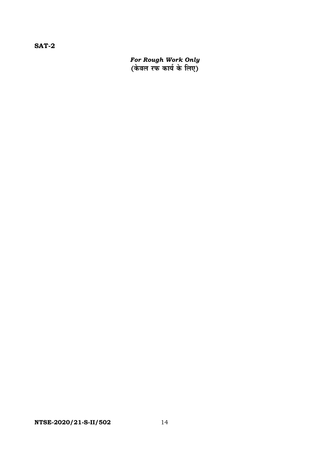For Rough Work Only<br>(केवल रफ कार्य के लिए)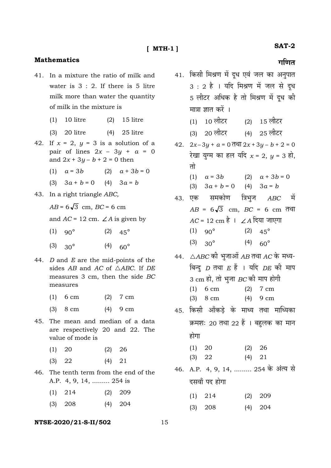# **Mathematics**

- 41. In a mixture the ratio of milk and water is  $3:2$ . If there is  $5$  litre milk more than water the quantity of milk in the mixture is
	- $(1)$  10 litre  $(2)$  15 litre
	- (3) 20 litre (4)25 litre
- 42. If  $x = 2$ ,  $y = 3$  is a solution of a pair of lines  $2x - 3y + a = 0$ and  $2x + 3y - b + 2 = 0$  then
	- (1)  $a = 3b$  (2)  $a + 3b = 0$
	- (3) 3*a* + *b* = 0 (4) 3*a* = *b*
- 43. In a right triangle *ABC,* 
	- $AB = 6\sqrt{3}$  cm,  $BC = 6$  cm
	- and  $AC = 12$  cm. ∠ *A* is given by
	- $(1)$  90<sup>°</sup>  $(2)$  45<sup>°</sup>
	- (3)  $30^{\circ}$  (4)  $60^{\circ}$
- 44. *D* and *E* are the mid-points of the sides  $AB$  and  $AC$  of  $\triangle ABC$ . If  $DE$ measures 3 cm, then the side *BC* measures
	- (1) 6 cm (2) 7 cm
	- (3) 8 cm (4) 9 cm
- 45. The mean and median of a data are respectively 20 and 22. The value of mode is
- (1) 20 (2) 26
- (3) 22 (4) 21
- 46. The tenth term from the end of the A.P. 4, 9, 14, ......... 254 is
	- (1) 214 (2) 209
	- (3) 208 (4) 204

- <u>गणित</u> 41. किसी मिश्रण में दूध एवं जल का अनुपात 3 : 2 है । यदि मिश्रण में जल से दूध 5 लीटर अधिक है तो मिश्रण में दुध की मात्रा ज्ञात करें ।  $(1)$   $10$  लीटर  $(2)$   $15$  लीटर (3) 20 लीटर (4) 25 लीटर  $42. \quad 2x-3y+a=0$  तथा  $2x+3y-b+2=0$ रेखा युग्म का हल यदि x = 2, y = 3 हो, तो (1)  $a = 3b$  (2)  $a + 3b = 0$  (3) 3*a* + *b* = 0 (4) 3*a* = *b*  43. एक समकोण त्रिभुज *ABC* में  $AB = 6\sqrt{3}$  cm,  $BC = 6$  cm  $\vec{A}$  $AC$  = 12 cm है । ∠ A दिया जाएगा  $(1)$  90<sup>°</sup>  $(2)$  45<sup>°</sup> (3)  $30^{\circ}$  (4)  $60^{\circ}$ 44. ∆*ABC* की भृजाओं *AB* तथा *AC* के मध्य-िंबन्दु *D* तथा  $E$  हैं । यदि  $DE$  की माप 3 cm हो, तो भूजा *BC* की माप होगी (1) 6 cm (2) 7 cm (3) 8 cm (4) 9 cm
- 45. किसी आँकडे के माध्य तथा माध्यिका क्रमशः 20 तथा 22 हैं । बहलक का मान होगा (1) 20 (2) 26
	- (3) 22 (4) 21
- 46. A.P. 4, 9, 14, ......... 254 के अंत्य से दसवाँ पद होगा
	- (1) 214 (2) 209 (3) 208 (4) 204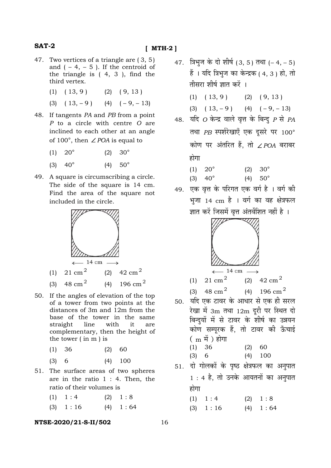#### $[MTH-2]$

- 47. Two vertices of a triangle are (3, 5) and  $(-4, -5)$ . If the centroid of the triangle is  $(4, 3)$ , find the third vertex.
	- $(13, 9)$  $(2)$   $(9, 13)$  $(1)$
	- $(13, -9)$  $(4) \quad (-9, -13)$  $(3)$
- 48. If tangents PA and PB from a point P to a circle with centre O are inclined to each other at an angle of 100 $^{\circ}$ , then  $\angle$  POA is equal to
	- $20^{\circ}$  $30^\circ$  $(1)$  $(2)$
	- $40^{\circ}$  $(4)$  $50^{\circ}$  $(3)$
- 49. A square is circumscribing a circle. The side of the square is 14 cm. Find the area of the square not included in the circle.



- 21 cm<sup>2</sup>  $(2)$ 42 cm $^2$  $(1)$
- 48 cm $^2$ 196 cm $^2$  $(4)$  $(3)$
- 50. If the angles of elevation of the top of a tower from two points at the distances of 3m and 12m from the base of the tower in the same straight line with it are complementary, then the height of the tower  $($  in  $m$  $)$  is
	- $(1)$ 36  $(2)$ - 60
	- $(3)$ 6  $(4)$ 100
- 51. The surface areas of two spheres are in the ratio  $1:4$ . Then, the ratio of their volumes is
	- $(1)$  $1:4$  $(2)$  $1:8$
	- $1:16$  $(4)$  $1:64$  $(3)$

#### NTSE-2020/21-S-II/502

- 47. त्रिभुज के दो शीर्ष (3, 5) तथा (-4, -5) हैं । यदि त्रिभज का केन्द्रक ( 4, 3 ) हो, तो तीसरा शीर्ष ज्ञात करें ।
	- $(1)$   $(13, 9)$  $(2)$   $(9, 13)$
	- (3)  $(13, -9)$  (4)  $(-9, -13)$
- 48. यदि 0 केन्द्र वाले वृत्त के बिन्द P से PA तथा PB स्पर्शरेखाएँ एक दसरे पर 100° कोण पर अंतरित हैं, तो ∠*POA* बराबर होगा
	- $(1)$  $20^{\circ}$  $(2)$  $30^\circ$
	- $(3)$  $40^{\circ}$  $(4)$  $50^{\circ}$
- 49. एक वृत्त के परिगत एक वर्ग है । वर्ग की भुजा 14 cm है । वर्ग का वह क्षेत्रफल ज्ञात करें जिसमें वृत्त अंतर्वेशित नहीं है ।



(4) 196 cm<sup>2</sup> (3)  $48 \text{ cm}^2$ 

- 50. यदि एक टावर के आधार से एक ही सरल रेखा में 3m तथा 12m दूरी पर स्थित दो बिन्दयों में से टावर के शीर्ष का उन्नयन कोण सम्पूरक हैं, तो टावर की ऊँचाई  $(m \nightharpoonup \vec{r})$  होगा  $(2)$ 60  $(1) 36$ 
	- $(4)$  100  $(3) 6$
- 51. दो गोलकों के पृष्ठ क्षेत्रफल का अनुपात 1: 4 है, तो उनके आयतनों का अनुपात होगा
	- $1:4$  $(1)$  $(2) \quad 1:8$  $(3)$  $1:16$  $(4)$  1:64
- 16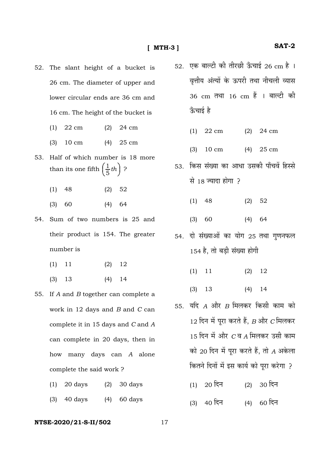- 52. The slant height of a bucket is 26 cm. The diameter of upper and lower circular ends are 36 cm and 16 cm. The height of the bucket is
	- (1) 22 cm (2) 24 cm
	- (3) 10 cm (4) 25 cm
- 53. Half of which number is 18 more than its one fifth  $\left(\frac{1}{5}th\right)$  ?
- (1) 48 (2) 52
- (3) 60 (4) 64
- 54. Sum of two numbers is 25 and their product is 154. The greater number is
- (1) 11 (2) 12
- (3) 13 (4) 14
- 55. If *A* and *B* together can complete a work in 12 days and *B* and *C* can complete it in 15 days and *C* and *A* can complete in 20 days, then in how many days can *A* alone complete the said work ?
	- (1) 20 days (2) 30 days
	- (3) 40 days (4) 60 days

- 52. एक बाल्टी की तीरछी ऊँचाई 26 cm है । <u>वृत्तीय अंत्यों के ऊपरी तथा नीचली व्यास</u> 36 cm तथा 16 cm हैं । बाल्टी की ऊँचाई है
	- (1) 22 cm (2) 24 cm
	- (3) 10 cm (4) 25 cm
- 53. किस संख्या का आधा उसकी पाँचवें हिस्से से 18 ज्यादा होगा ?
- (1) 48 (2) 52
- (3) 60 (4) 64
- 54. दो संख्याओं का योग 25 तथा गुणनफल 154 है, तो बड़ी संख्या होगी
- (1) 11 (2) 12
- (3) 13 (4) 14
- 55. यदि *A* और *B* मिलकर किसी काम को  $12$  दिन में परा करते हैं,  $B$  और  $C$  मिलकर 15 दिन में और *C* व *A* मिलकर उसी काम को 20 दिन में परा करते हैं. तो *A* अकेला कितने दिनों में इस कार्य को पूरा करेगा ?
	- $(1)$  20 दिन  $(2)$  30 दिन
	- $(3)$  40 दिन  $(4)$  60 दिन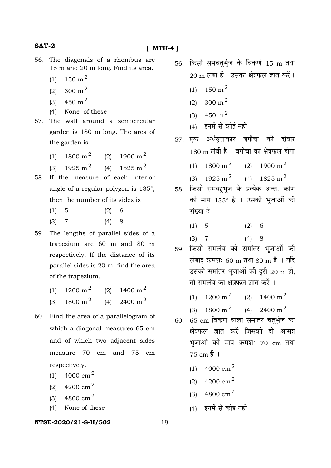# **[ MTH-4 ]**

- 56. The diagonals of a rhombus are 15 m and 20 m long. Find its area.
	- $(1)$  150 m<sup>2</sup>
	- $(2)$  300 m<sup>2</sup>
	- (3) 450 m<sup>2</sup>
	- (4) None of these
- 57. The wall around a semicircular garden is 180 m long. The area of the garden is
	- (1)  $1800 \text{ m}^2$  (2)  $1900 \text{ m}^2$
	- (3)  $1925 \text{ m}^2$  (4)  $1825 \text{ m}^2$
- 58. If the measure of each interior angle of a regular polygon is 135°, then the number of its sides is
- $(1)$  5  $(2)$  6 (3) 7 (4) 8
- 59. The lengths of parallel sides of a trapezium are 60 m and 80 m respectively. If the distance of its parallel sides is 20 m, find the area of the trapezium.
	- (1)  $1200 \text{ m}^2$  (2)  $1400 \text{ m}^2$
	- (3)  $1800 \text{ m}^2$  (4)  $2400 \text{ m}^2$
- 60. Find the area of a parallelogram of which a diagonal measures 65 cm and of which two adjacent sides measure 70 cm and 75 cm respectively.
	- (1) 4000 cm<sup>2</sup>
	- (2)  $4200 \text{ cm}^2$
	- (3) 4800 cm  $^{2}$
	- (4) None of these

- 56. किसी समचतर्भज के विकर्ण 15 m तथा  $20 \text{ m}$  लंबा हैं । उसका क्षेत्रफल ज्ञात करें ।
	- (1)  $150 \text{ m}^2$
	- (2)  $300 \text{ m}^2$
	- (3) 450 m<sup>2</sup>
	- (4) इनमें से कोई नहीं
- 57. एक अर्धवृत्ताकार बगीचा की दीवार  $180 \text{ m}$  लंबी है । बगीचा का क्षेत्रफल होगा
	- (1)  $1800 \text{ m}^2$  (2)  $1900 \text{ m}^2$
	- (3)  $1925 \text{ m}^2$  (4)  $1825 \text{ m}^2$
- 58. किसी समबहभज के प्रत्येक अन्तः कोण की माप 135° है । उसकी भुजाओं की संख्या है
	- $(1) 5 (2) 6$
	- (3) 7 (4) 8
- 59. किसी समलंब की समांतर भजाओं की लंबाई क्रमशः 60 m तथा 80 m हैं । यदि उसकी समांतर भूजाओं की दुरी 20 m हो, तो समलंब का क्षेत्रफल ज्ञात करें ।
	- (1)  $1200 \text{ m}^2$  (2)  $1400 \text{ m}^2$
	- (3)  $1800 \text{ m}^2$  (4)  $2400 \text{ m}^2$
- 60.  $65 \text{ cm}$  विकर्ण वाला समांतर चतुर्भुज का क्षेत्रफल ज्ञात करें जिसकी दो आसन्<mark>न</mark> भूजाओं की माप क्रमशः 70 cm तथा  $75 \text{ cm} \, \text{\AA}$  |
	- (1) 4000 cm<sup>2</sup>
	- (2) 4200 cm<sup>2</sup>
	- (3) 4800 cm<sup>2</sup>
	- $(4)$  इनमें से कोई नहीं
-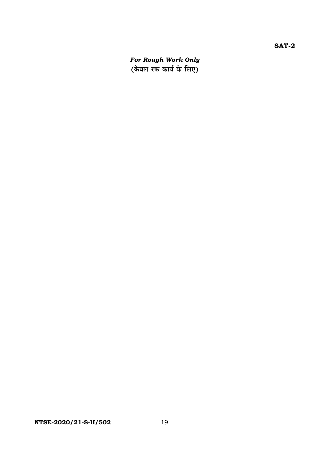For Rough Work Only<br>(केवल रफ कार्य के लिए)

**SAT-2**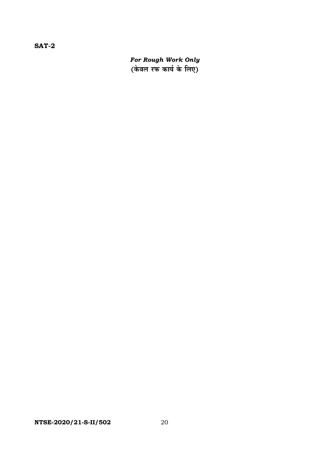For Rough Work Only<br>(केवल रफ कार्य के लिए)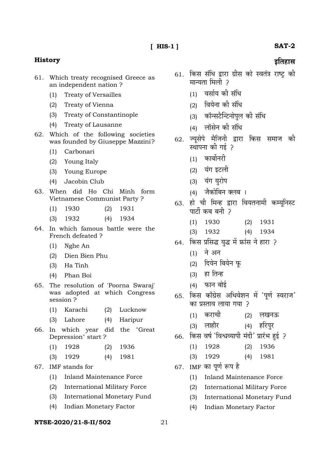## **History**

- 61. Which treaty recognised Greece as an independent nation ?
	- (1) Treaty of Versailles
	- (2) Treaty of Vienna
	- (3) Treaty of Constantinople
	- (4) Treaty of Lausanne
- 62. Which of the following societies was founded by Giuseppe Mazzini?
	- (1) Carbonari
	- (2) Young Italy
	- (3) Young Europe
	- (4) Jacobin Club
- 63. When did Ho Chi Minh form Vietnamese Communist Party ?
	- (1) 1930 (2) 1931
	- (3) 1932 (4) 1934
- 64. In which famous battle were the French defeated ?
	- (1) Nghe An
	- (2) Dien Bien Phu
	- (3) Ha Tinh
	- (4) Phan Boi
- 65. The resolution of 'Poorna Swaraj' was adopted at which Congress session ?
	- (1) Karachi (2) Lucknow
	- (3) Lahore (4) Haripur
- 66. In which year did the "Great Depression" start ?
	- (1) 1928 (2) 1936
	- (3) 1929 (4) 1981
- 67. IMF stands for
	- (1) Inland Maintenance Force
	- (2) International Military Force
	- (3) International Monetary Fund
	- (4) Indian Monetary Factor

#### **NTSE-2020/21-S-II/502** 21

# **SAT-2** डतिहास

- $61.$  किस संधि द्वारा ग्रीस को स्वतंत्र राष्ट्र की मान्यता मिली २
	- $(1)$  वर्साय की संधि
	- $(2)$  वियेना की संधि
	- (3) कॉन्सटैन्टिनोपुल की संधि
	- (4) लॉसेन की संधि
- 62. ज्यूसेपे मैजिनी द्वारा किस समाज की स्थापना की गई ?
	- (1) कार्बोनरी
	- (2) यंग इटली
	- (3) यंग यूरोप
	- (4) जैकोबिन क्लब ।
- 63. हो ची मिन्ह द्वारा वियतनामी कम्यनिस्ट पार्टी कब बनी २
	- (1) 1930 (2) 1931
	- (3) 1932 (4) 1934
- 64. किस प्रसिद्ध युद्ध में फ्रांस ने हारा ?
	- $(1)$  ने अन
	- $(2)$  दियेन बियेन फ
	- $(3)$  हा तिन्ह
	- $(4)$  फान बोई
- 65. किस काँग्रेस अधिवेशन में 'पर्ण स्वराज' <u>का प्रस्ताव लाया गया ?</u>
	- (1) कराची (2) लखनऊ
	- (3) ±……Ω˛…ËÆ˙ (4) Ω˛ Æ˙{…÷Æ˙
- 66. किस वर्ष 'विश्वव्यापी मंदी' प्रारंभ हई ?
	- (1) 1928 (2) 1936
	- (3) 1929 (4) 1981
- $67.$  IMF का पर्ण रूप है
	- (1) Inland Maintenance Force
	- (2) International Military Force
	- (3) International Monetary Fund
	- (4) Indian Monetary Factor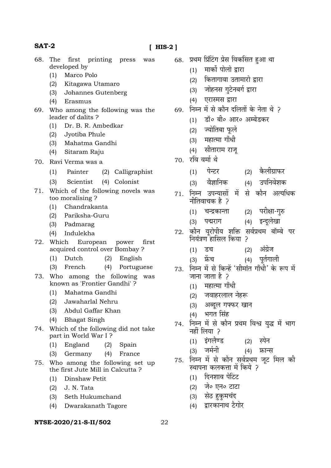# **[ HIS-2 ]**

- 68. The first printing press was developed by
	- (1) Marco Polo
	- (2) Kitagawa Utamaro
	- (3) Johannes Gutenberg
	- (4) Erasmus
- 69. Who among the following was the leader of dalits ?
	- (1) Dr. B. R. Ambedkar
	- (2) Jyotiba Phule
	- (3) Mahatma Gandhi
	- (4) Sitaram Raju
- 70. Ravi Verma was a
	- (1) Painter (2) Calligraphist
	- (3) Scientist (4) Colonist
- 71. Which of the following novels was too moralising ?
	- (1) Chandrakanta
	- (2) Pariksha-Guru
	- (3) Padmarag
	- (4) Indulekha
- 72. Which European power first acquired control over Bombay ?
	- (1) Dutch (2) English
	- (3) French (4) Portuguese
- 73. Who among the following was known as 'Frontier Gandhi' ?
	- (1) Mahatma Gandhi
	- (2) Jawaharlal Nehru
	- (3) Abdul Gaffar Khan
	- (4) Bhagat Singh
- 74. Which of the following did not take part in World War I ?
	- (1) England (2) Spain
	- (3) Germany (4) France
- 75. Who among the following set up the first Jute Mill in Calcutta ?
	- (1) Dinshaw Petit
	- (2) J. N. Tata
	- (3) Seth Hukumchand
	- (4) Dwarakanath Tagore

- 68. प्रथम प्रिंटिंग प्रेस विकसित हुआ था
	- $(1)$  सार्को पोलो द्वारा
	- (2) कितागावा उतामारो द्वारा
	- (3) जोहनस गुटेनबर्ग द्वारा
	- $(4)$  एरास्मस द्वारा
- 69. निम्न में से कौन दलितों के नेता थे 2
	- (1) हॉ॰ बी॰ आर॰ अम्बेडकर
	- $(2)$  ज्योतिबा फले
	- (3) महात्मा गाँधी
	- (4) सीताराम राज
- 70. रवि वर्मा थे
	- (1) पेन्टर (2) कैलीग्राफर
	- (3) वैज्ञानिक (4) उपनिवेशक
- $71.$  निम्न उपन्यासों में से कौन अत्यधिक नीतिवाचक है २
	- (1) चन्द्रकान्ता (2) परीक्षा-गुरु
	- (3) पद्मराग (4) इन्दुलेखा
- 72. कौन युरोपीय शक्ति सर्वप्रथम बॉम्बे पर नियंत्रण हासिल किया ?
- (1) डच (2) अंग्रेज
	- (3) फ्रेंच ... (4) पर्तगाली
- 73. निम्न में से किन्हें 'सीमांत गाँधी' के रूप में जाना जाता है २
	- $(1)$  महात्मा गाँधी
	- (2) जवाहरलाल नेहरू
	- (3) अब्दुल गफ्फर खान
	- (4) <sup>भगत सिंह</sup>
- 74. निम्न में से कौन प्रथम विश्व युद्ध में भाग नहीं लिया ?
	- (1) इंगलैण्ड (2) स्पेन
	- (3) जर्मनी (4) फ्रान्स
- 75. निम्न में से कौन सर्वप्रथम जूट मिल की स्थापना कलकत्ता में किये २
	- (1) दिनशाव पेटिट
	- (2) जे॰ एन॰ टाटा
	- (3) सेठ हकुमचंद
	- (4) द्वारकानाथ टैगोर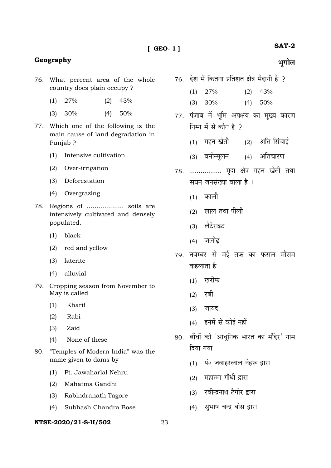# **[ GEO- 1 ]**

# **Geography**

- 76. What percent area of the whole country does plain occupy ?
	- (1) 27% (2) 43%
	- (3) 30% (4) 50%
- 77. Which one of the following is the main cause of land degradation in Punjab ?
	- (1) Intensive cultivation
	- (2) Over-irrigation
	- (3) Deforestation
	- (4) Overgrazing
- 78. Regions of ................... soils are intensively cultivated and densely populated.
	- (1) black
	- (2) red and yellow
	- (3) laterite
	- (4) alluvial
- 79. Cropping season from November to May is called
	- (1) Kharif
	- (2) Rabi
	- (3) Zaid
	- (4) None of these
- 80. "Temples of Modern India" was the name given to dams by
	- (1) Pt. Jawaharlal Nehru
	- (2) Mahatma Gandhi
	- (3) Rabindranath Tagore
	- (4) Subhash Chandra Bose

#### **NTSE-2020/21-S-II/502** 23

# **SAT-2**

- **¶…⁄M……‰±…**
- $76.$  देश में कितना प्रतिशत क्षेत्र मैदानी है २
	- (1) 27% (2) 43% (3) 30% (4) 50%
- $77.$  पंजाब में भूमि अपक्षय का मुख्य कारण <u>निम्न में से कौन है</u> 2
	- $(1)$  गहन खेती  $(2)$  अति सिंचाई
	- (3) वनोन्मूलन (4) अतिचारण
- 78. ............... मृदा क्षेत्र गहन खेती तथा सघन जनसंख्या वाला है ।
	- $(1)$  काली
	- $(2)$  लाल तथा पीली
	- (3) लैटेराइट
	- (4) जलोढ
- 79. नवम्बर से मई तक का फसल मौसम कहलाता है $\,$ 
	- (1) खरीफ
	- $(2)$  रबी
	- $(3)$  जायद
	- $(4)$  इनमें से कोई नहीं
- 80. बाँधों को 'आधुनिक भारत का मंदिर' नाम दिया गया
	- $(1)$  पं $\circ$  जवाहरलाल नेहरू द्वारा
	- $(2)$  महात्मा गाँधी द्रारा
	- (3) स्वीन्द्रनाथ टैगोर द्रारा
	- (4) सुभाष चन्द्र बोस द्वारा
-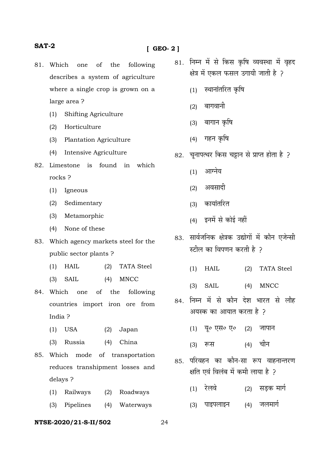# $[$  GEO-2]

- 81. Which one  $\alpha$ f the following describes a system of agriculture where a single crop is grown on a large area?
	- **Shifting Agriculture**  $(1)$
	- $(2)$ Horticulture
	- $(3)$ Plantation Agriculture
	- Intensive Agriculture  $(4)$
- 82. Limestone is found in which rocks?
	- $(1)$ Igneous
	- $(2)$ Sedimentary
	- $(3)$ Metamorphic
	- None of these  $(4)$
- 83. Which agency markets steel for the public sector plants?
	- $(1)$ HAIL  $(2)$ **TATA Steel**
	- $(3)$ **SAIL**  $(4)$ **MNCC**
- 84. Which one  $\sigma$ the following countries import iron ore from India?
	- $(1)$ **USA**  $(2)$  Japan
	- $(3)$ Russia  $(4)$  China
- 85. Which mode of transportation reduces transhipment losses and delays ?
	- Railways Roadways  $(1)$  $(2)$
	- $(4)$  $(3)$ Pipelines Waterways

#### NTSE-2020/21-S-II/502

- 81. निम्न में से किस कृषि व्यवस्था में वृहद क्षेत्र में एकल फसल उगायी जाती है २
	- स्थानांतरित कृषि  $(1)$
	- बागवानी  $(2)$
	- (3) बागान कृषि
	- गहन कृषि  $(4)$
- 82. चुनापत्थर किस चड़ान से प्राप्त होता है ?
	- आग्नेय  $(1)$
	- अवसादी  $(2)$
	- (3) कायांतरित
	- (4) इनमें से कोई नहीं
- 83. सार्वजनिक क्षेत्रक उद्योगों में कौन एजेन्सी स्टील का विपणन करती है ?
	- $(1)$ **HAIL**  $(2)$ **TATA Steel**
	- $(3)$ **SAIL**  $(4)$ **MNCC**
- 84. निम्न में से कौन देश भारत से लौह अयस्क का आयात करता है २
	- (1) यू० एस० ए०  $(2)$ जापान
	- चीन  $(4)$  $(3)$  रूस
- परिवहन का कौन-सा रूप वाहनान्तरण 85 क्षति एवं विलंब में कमी लाया है ?
	- (1) रेलवे सडक मार्ग  $(2)$
	- (4) जलमार्ग पाइपलाइन  $(3)$

24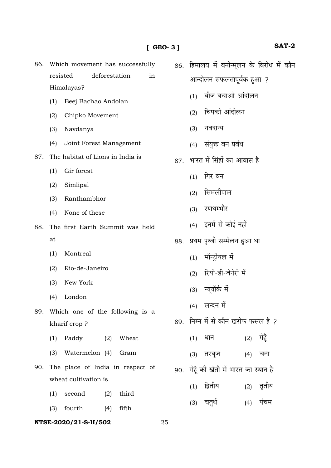| 86. | Which movement has successfully  | 86. | हिमालय में वनोन्मूलन के विरोध में कौन |
|-----|----------------------------------|-----|---------------------------------------|
|     | resisted<br>deforestation<br>in  |     | आन्दोलन सफलतापूर्वक हुआ ?             |
|     | Himalayas?                       |     | बीज बचाओ आंदोलन<br>(1)                |
|     | Beej Bachao Andolan<br>(1)       |     | चिपको आंदोलन                          |
|     | (2)<br>Chipko Movement           |     | (2)                                   |
|     | Navdanya<br>(3)                  |     | नवदान्य<br>(3)                        |
|     | Joint Forest Management<br>(4)   |     | संयुक्त वन प्रबंध<br>(4)              |
| 87. | The habitat of Lions in India is | 87. | भारत में सिंहों का आवास है            |
|     | Gir forest<br>(1)                |     | गिर वन<br>(1)                         |
|     | (2)<br>Simlipal                  |     | सिमलीपाल<br>(2)                       |
|     | Ranthambhor<br>(3)               |     | रणथम्भौर<br>(3)                       |
|     | None of these<br>(4)             |     |                                       |
| 88. | The first Earth Summit was held  |     | इनमें से कोई नहीं<br>(4)              |
|     | at                               | 88. | प्रथम पृथ्वी सम्मेलन हुआ था           |
|     | Montreal<br>(1)                  |     | मॉन्ट्रीयल में<br>(1)                 |
|     | Rio-de-Janeiro<br>(2)            |     | रियो-डी-जेनेरो में<br>(2)             |
|     | New York<br>(3)                  |     | न्यूयॉर्क में<br>(3)                  |
|     | London<br>(4)                    |     | लन्दन में<br>(4)                      |
| 89. | Which one of the following is a  |     |                                       |
|     | kharif crop?                     | 89. | निम्न में से कौन खरीफ फसल है ?        |
|     | (2)<br>Wheat<br>(1)<br>Paddy     |     | गेहूँ<br>धान<br>(2)<br>(1)            |
|     | (3)<br>Watermelon (4)<br>Gram    |     | तरबूज<br>चना<br>(3)<br>(4)            |
| 90. | The place of India in respect of | 90. | गेहूँ की खेती में भारत का स्थान है    |
|     | wheat cultivation is             |     | द्वितीय<br>तृतीय<br>(2)<br>(1)        |
|     | second<br>third<br>(1)<br>(2)    |     | चतुर्थ<br>पंचम                        |
|     | fourth<br>fifth<br>(3)<br>(4)    |     | (3)<br>(4)                            |

# **NTSE-2020/21-S-II/502** 25

# **SAT-2**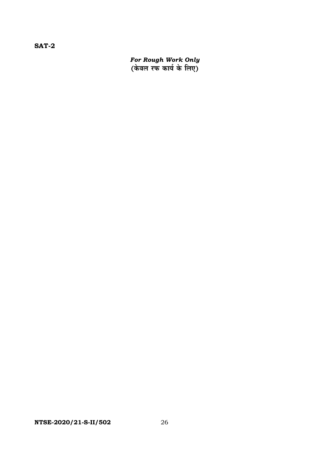For Rough Work Only<br>(केवल रफ कार्य के लिए)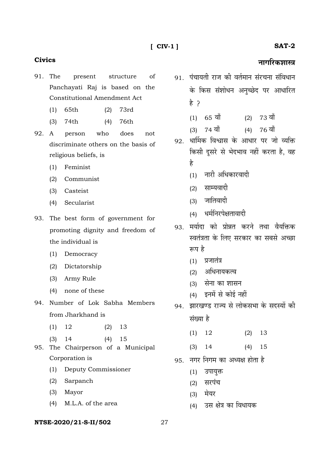नागरिकशास्त्र

# Civics

91. The present structure of Panchayati Raj is based on the **Constitutional Amendment Act** 

- 65th  $(2)$ 73rd  $(1)$
- 76th  $(3)$  $74th$  $(4)$
- 92. A person who does not discriminate others on the basis of religious beliefs, is
	- $(1)$ Feminist
	- $(2)$ Communist
	- Casteist  $(3)$
	- Secularist  $(4)$
- 93. The best form of government for promoting dignity and freedom of the individual is
	- $(1)$ Democracy
	- $(2)$ Dictatorship
	- $(3)$ Army Rule
	- (4) none of these
- 94. Number of Lok Sabha Members from Jharkhand is
	- $(1)$  $12$  $(2)$ 13
	- $(3)$  $14$  $(4)$ 15
- 95. The Chairperson of a Municipal Corporation is
	- Deputy Commissioner  $(1)$
	- Sarpanch  $(2)$
	- $(3)$ Mayor
	- M.L.A. of the area  $(4)$

#### NTSE-2020/21-S-II/502

91 पंचायती राज की वर्तमान संरचना संविधान के किस संशोधन अनुच्छेद पर आधारित हे २

- $(2)$  73 वाँ  $(1)$  65 वाँ
- $(4)$  76 वाँ  $(3)$  74 वाँ
- 92 धार्मिक विश्वास के आधार पर जो व्यक्ति किसी दुसरे से भेदभाव नहीं करता है, वह है
	- (1) नारी अधिकारवादी
	- $(2)$  साम्यवादी
	- (3) जातिवादी
	- (4) धर्मनिरपेक्षतावादी
- 93. मर्यादा को प्रोन्नत करने तथा वैयक्तिक स्वतंत्रता के लिए सरकार का सबसे अच्छा रूप है
	- $(1)$  प्रजातंत्र
	- अधिनायकत्व  $(2)$
	- (3) सेना का शासन
	- (4) इनमें से कोई नहीं
- झारखण्ड राज्य से लोकसभा के सदस्यों की 94. संख्या है
	- $(1)$ 12  $(2)$ 13
	- 14  $(4)$ 15  $(3)$
- 95. नगर निगम का अध्यक्ष होता है
	- (1) उपायुक्त
	- (2) सरपंच
	- (3) मेयर
	- (4) उस क्षेत्र का विधायक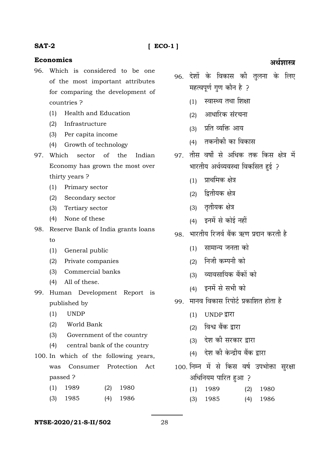# $[ECO-1]$

# **Economics**

- 96. Which is considered to be one of the most important attributes for comparing the development of countries?
	- $(1)$ Health and Education
	- $(2)$ Infrastructure
	- $(3)$ Per capita income
	- (4) Growth of technology
- 97. Which sector of the Indian Economy has grown the most over thirty years?
	- (1) Primary sector
	- $(2)$ Secondary sector
	- $(3)$ Tertiary sector
	- (4) None of these
- 98. Reserve Bank of India grants loans to
	- General public  $(1)$
	- Private companies  $(2)$
	- $(3)$ Commercial banks
	- $(4)$ All of these.
- 99. Human Development Report is published by
	- $(1)$ **UNDP**
	- $(2)$ World Bank
	- $(3)$ Government of the country
	- $(4)$ central bank of the country
- 100. In which of the following years. Consumer Protection Act was passed ?
	- $(1)$ 1989  $(2)$ 1980
	- 1985  $(4)$ 1986  $(3)$
- 96. देशों के विकास की तुलना के लिए महत्वपूर्ण गूण कौन है ?
	- (1) स्वास्थ्य तथा शिक्षा
	- आधारिक संरचना  $(2)$
	- प्रति व्यक्ति आय  $(3)$
	- (4) तकनीकी का विकास
- 97. तीस वर्षों से अधिक तक किस क्षेत्र में भारतीय अर्थव्यवस्था विकसित हुई ?
	- (1) प्राथमिक क्षेत्र
	- (2) द्वितीयक क्षेत्र
	- (3) तृतीयक क्षेत्र
	- (4) इनमें से कोई नहीं
- भारतीय रिजर्व बैंक ऋण प्रदान करती है 98.
	- (1) सामान्य जनता को
	- निजी कम्पनी को  $(2)$
	- (3) व्यावसायिक बैंकों को
	- (4) इनमें से सभी को
- 99. मानव विकास रिपोर्ट प्रकाशित होता है
	- UNDP द्वारा  $(1)$
	- (2) विश्व बैंक द्वारा
	- (3) देश की सरकार द्रारा
	- (4) देश की केन्द्रीय बैंक द्वारा
- 100. निम्न में से किस वर्ष उपभोक्ता सुरक्षा अधिनियम पारित हुआ ?
	- $(1)$ 1989 1980  $(2)$
	- $(3)$ 1985  $(4)$ 1986

#### NTSE-2020/21-S-II/502

# 28

# अर्थशास्त्र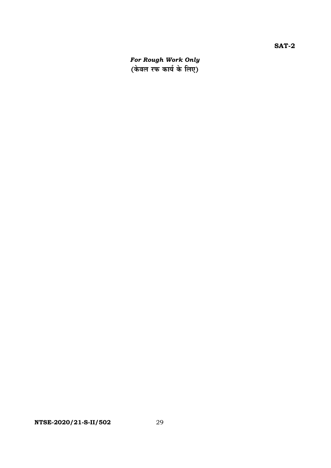For Rough Work Only<br>(केवल रफ कार्य के लिए)